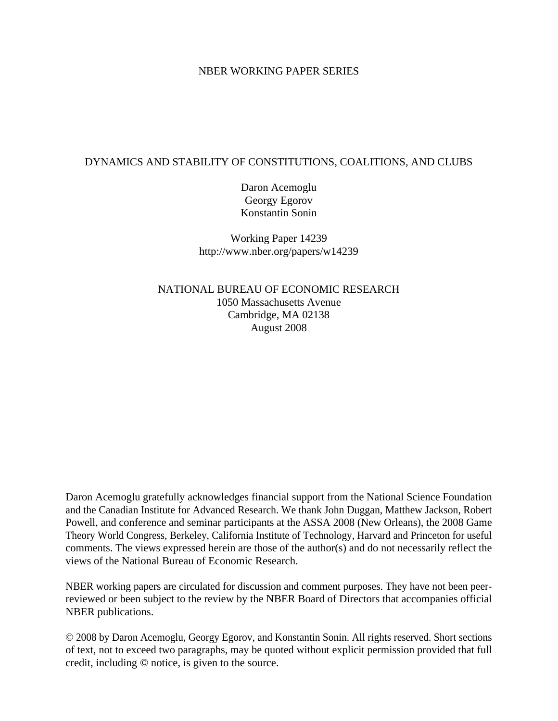### NBER WORKING PAPER SERIES

## DYNAMICS AND STABILITY OF CONSTITUTIONS, COALITIONS, AND CLUBS

Daron Acemoglu Georgy Egorov Konstantin Sonin

Working Paper 14239 http://www.nber.org/papers/w14239

NATIONAL BUREAU OF ECONOMIC RESEARCH 1050 Massachusetts Avenue Cambridge, MA 02138 August 2008

Daron Acemoglu gratefully acknowledges financial support from the National Science Foundation and the Canadian Institute for Advanced Research. We thank John Duggan, Matthew Jackson, Robert Powell, and conference and seminar participants at the ASSA 2008 (New Orleans), the 2008 Game Theory World Congress, Berkeley, California Institute of Technology, Harvard and Princeton for useful comments. The views expressed herein are those of the author(s) and do not necessarily reflect the views of the National Bureau of Economic Research.

NBER working papers are circulated for discussion and comment purposes. They have not been peerreviewed or been subject to the review by the NBER Board of Directors that accompanies official NBER publications.

© 2008 by Daron Acemoglu, Georgy Egorov, and Konstantin Sonin. All rights reserved. Short sections of text, not to exceed two paragraphs, may be quoted without explicit permission provided that full credit, including © notice, is given to the source.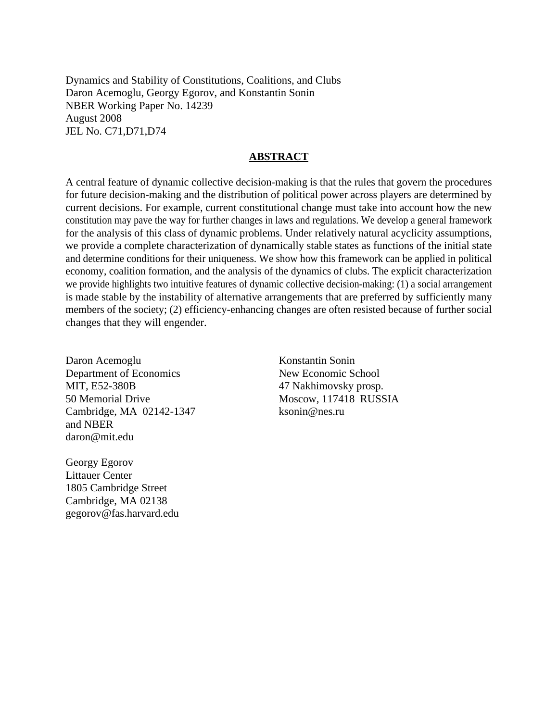Dynamics and Stability of Constitutions, Coalitions, and Clubs Daron Acemoglu, Georgy Egorov, and Konstantin Sonin NBER Working Paper No. 14239 August 2008 JEL No. C71,D71,D74

## **ABSTRACT**

A central feature of dynamic collective decision-making is that the rules that govern the procedures for future decision-making and the distribution of political power across players are determined by current decisions. For example, current constitutional change must take into account how the new constitution may pave the way for further changes in laws and regulations. We develop a general framework for the analysis of this class of dynamic problems. Under relatively natural acyclicity assumptions, we provide a complete characterization of dynamically stable states as functions of the initial state and determine conditions for their uniqueness. We show how this framework can be applied in political economy, coalition formation, and the analysis of the dynamics of clubs. The explicit characterization we provide highlights two intuitive features of dynamic collective decision-making: (1) a social arrangement is made stable by the instability of alternative arrangements that are preferred by sufficiently many members of the society; (2) efficiency-enhancing changes are often resisted because of further social changes that they will engender.

Daron Acemoglu Department of Economics MIT, E52-380B 50 Memorial Drive Cambridge, MA 02142-1347 and NBER daron@mit.edu

Georgy Egorov Littauer Center 1805 Cambridge Street Cambridge, MA 02138 gegorov@fas.harvard.edu Konstantin Sonin New Economic School 47 Nakhimovsky prosp. Moscow, 117418 RUSSIA ksonin@nes.ru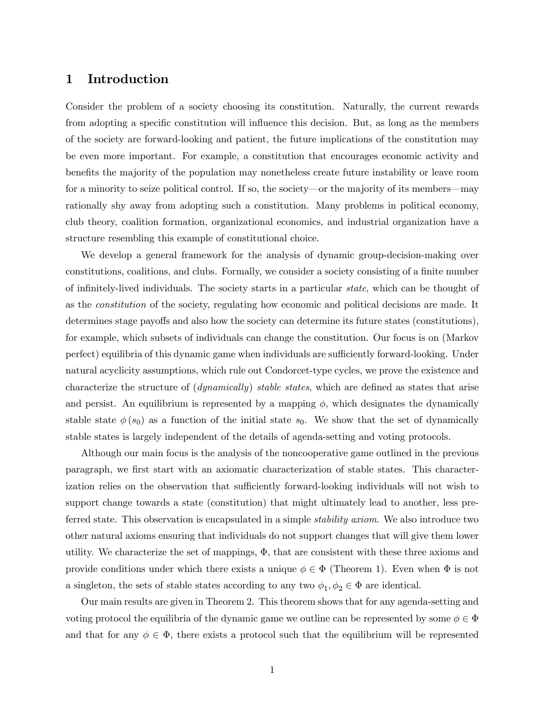## 1 Introduction

Consider the problem of a society choosing its constitution. Naturally, the current rewards from adopting a specific constitution will influence this decision. But, as long as the members of the society are forward-looking and patient, the future implications of the constitution may be even more important. For example, a constitution that encourages economic activity and benefits the majority of the population may nonetheless create future instability or leave room for a minority to seize political control. If so, the society–or the majority of its members–may rationally shy away from adopting such a constitution. Many problems in political economy, club theory, coalition formation, organizational economics, and industrial organization have a structure resembling this example of constitutional choice.

We develop a general framework for the analysis of dynamic group-decision-making over constitutions, coalitions, and clubs. Formally, we consider a society consisting of a finite number of infinitely-lived individuals. The society starts in a particular state, which can be thought of as the constitution of the society, regulating how economic and political decisions are made. It determines stage payoffs and also how the society can determine its future states (constitutions), for example, which subsets of individuals can change the constitution. Our focus is on (Markov perfect) equilibria of this dynamic game when individuals are sufficiently forward-looking. Under natural acyclicity assumptions, which rule out Condorcet-type cycles, we prove the existence and characterize the structure of (dynamically) stable states, which are defined as states that arise and persist. An equilibrium is represented by a mapping  $\phi$ , which designates the dynamically stable state  $\phi(s_0)$  as a function of the initial state  $s_0$ . We show that the set of dynamically stable states is largely independent of the details of agenda-setting and voting protocols.

Although our main focus is the analysis of the noncooperative game outlined in the previous paragraph, we first start with an axiomatic characterization of stable states. This characterization relies on the observation that sufficiently forward-looking individuals will not wish to support change towards a state (constitution) that might ultimately lead to another, less preferred state. This observation is encapsulated in a simple *stability axiom*. We also introduce two other natural axioms ensuring that individuals do not support changes that will give them lower utility. We characterize the set of mappings,  $\Phi$ , that are consistent with these three axioms and provide conditions under which there exists a unique  $\phi \in \Phi$  (Theorem 1). Even when  $\Phi$  is not a singleton, the sets of stable states according to any two  $\phi_1, \phi_2 \in \Phi$  are identical.

Our main results are given in Theorem 2. This theorem shows that for any agenda-setting and voting protocol the equilibria of the dynamic game we outline can be represented by some  $\phi \in \Phi$ and that for any  $\phi \in \Phi$ , there exists a protocol such that the equilibrium will be represented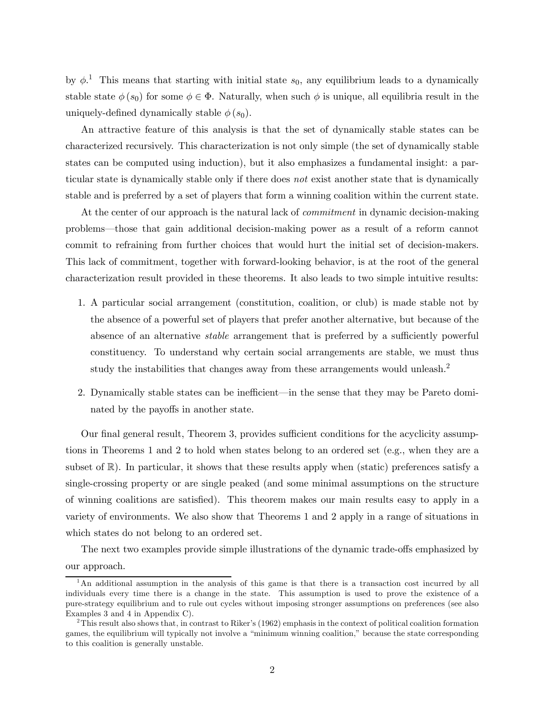by  $\phi$ <sup>1</sup>. This means that starting with initial state  $s_0$ , any equilibrium leads to a dynamically stable state  $\phi(s_0)$  for some  $\phi \in \Phi$ . Naturally, when such  $\phi$  is unique, all equilibria result in the uniquely-defined dynamically stable  $\phi(s_0)$ .

An attractive feature of this analysis is that the set of dynamically stable states can be characterized recursively. This characterization is not only simple (the set of dynamically stable states can be computed using induction), but it also emphasizes a fundamental insight: a particular state is dynamically stable only if there does not exist another state that is dynamically stable and is preferred by a set of players that form a winning coalition within the current state.

At the center of our approach is the natural lack of commitment in dynamic decision-making problems–those that gain additional decision-making power as a result of a reform cannot commit to refraining from further choices that would hurt the initial set of decision-makers. This lack of commitment, together with forward-looking behavior, is at the root of the general characterization result provided in these theorems. It also leads to two simple intuitive results:

- 1. A particular social arrangement (constitution, coalition, or club) is made stable not by the absence of a powerful set of players that prefer another alternative, but because of the absence of an alternative stable arrangement that is preferred by a sufficiently powerful constituency. To understand why certain social arrangements are stable, we must thus study the instabilities that changes away from these arrangements would unleash.<sup>2</sup>
- 2. Dynamically stable states can be inefficient–in the sense that they may be Pareto dominated by the payoffs in another state.

Our final general result, Theorem 3, provides sufficient conditions for the acyclicity assumptions in Theorems 1 and 2 to hold when states belong to an ordered set (e.g., when they are a subset of  $\mathbb{R}$ ). In particular, it shows that these results apply when (static) preferences satisfy a single-crossing property or are single peaked (and some minimal assumptions on the structure of winning coalitions are satisfied). This theorem makes our main results easy to apply in a variety of environments. We also show that Theorems 1 and 2 apply in a range of situations in which states do not belong to an ordered set.

The next two examples provide simple illustrations of the dynamic trade-offs emphasized by our approach.

<sup>&</sup>lt;sup>1</sup>An additional assumption in the analysis of this game is that there is a transaction cost incurred by all individuals every time there is a change in the state. This assumption is used to prove the existence of a pure-strategy equilibrium and to rule out cycles without imposing stronger assumptions on preferences (see also Examples 3 and 4 in Appendix C).

<sup>2</sup>This result also shows that, in contrast to Riker's (1962) emphasis in the context of political coalition formation games, the equilibrium will typically not involve a "minimum winning coalition," because the state corresponding to this coalition is generally unstable.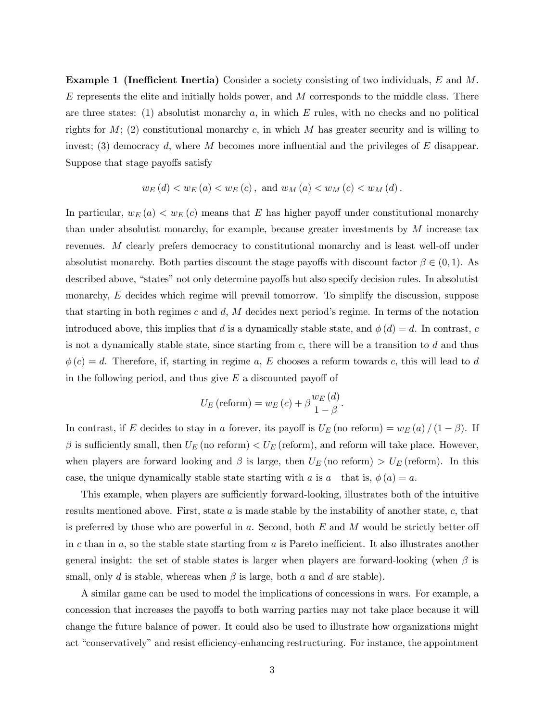Example 1 (Inefficient Inertia) Consider a society consisting of two individuals, E and M.  $E$  represents the elite and initially holds power, and  $M$  corresponds to the middle class. There are three states: (1) absolutist monarchy  $a$ , in which  $E$  rules, with no checks and no political rights for  $M$ ; (2) constitutional monarchy c, in which  $M$  has greater security and is willing to invest; (3) democracy d, where M becomes more influential and the privileges of  $E$  disappear. Suppose that stage payoffs satisfy

$$
w_E(d) < w_E(a) < w_E(c)
$$
, and  $w_M(a) < w_M(c) < w_M(d)$ .

In particular,  $w_E(a) < w_E(c)$  means that E has higher payoff under constitutional monarchy than under absolutist monarchy, for example, because greater investments by  $M$  increase tax revenues. M clearly prefers democracy to constitutional monarchy and is least well-off under absolutist monarchy. Both parties discount the stage payoffs with discount factor  $\beta \in (0,1)$ . As described above, "states" not only determine payoffs but also specify decision rules. In absolutist monarchy, E decides which regime will prevail tomorrow. To simplify the discussion, suppose that starting in both regimes c and d, M decides next period's regime. In terms of the notation introduced above, this implies that d is a dynamically stable state, and  $\phi(d) = d$ . In contrast, c is not a dynamically stable state, since starting from  $c$ , there will be a transition to  $d$  and thus  $\phi(c) = d$ . Therefore, if, starting in regime a, E chooses a reform towards c, this will lead to d in the following period, and thus give  $E$  a discounted payoff of

$$
U_E \text{ (reform)} = w_E(c) + \beta \frac{w_E(d)}{1 - \beta}.
$$

In contrast, if E decides to stay in a forever, its payoff is  $U_E$  (no reform) =  $w_E(a)/(1-\beta)$ . If  $\beta$  is sufficiently small, then  $U_E$  (no reform)  $\langle U_E$  (reform), and reform will take place. However, when players are forward looking and  $\beta$  is large, then  $U_E$  (no reform)  $> U_E$  (reform). In this case, the unique dynamically stable state starting with a is  $a$ —that is,  $\phi(a) = a$ .

This example, when players are sufficiently forward-looking, illustrates both of the intuitive results mentioned above. First, state  $a$  is made stable by the instability of another state,  $c$ , that is preferred by those who are powerful in a. Second, both  $E$  and  $M$  would be strictly better off in c than in a, so the stable state starting from a is Pareto inefficient. It also illustrates another general insight: the set of stable states is larger when players are forward-looking (when  $\beta$  is small, only d is stable, whereas when  $\beta$  is large, both a and d are stable).

A similar game can be used to model the implications of concessions in wars. For example, a concession that increases the payoffs to both warring parties may not take place because it will change the future balance of power. It could also be used to illustrate how organizations might act "conservatively" and resist efficiency-enhancing restructuring. For instance, the appointment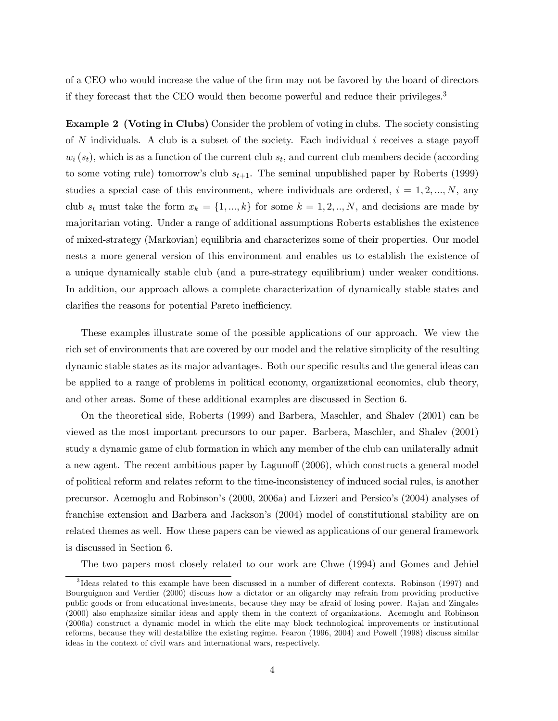of a CEO who would increase the value of the firm may not be favored by the board of directors if they forecast that the CEO would then become powerful and reduce their privileges.<sup>3</sup>

Example 2 (Voting in Clubs) Consider the problem of voting in clubs. The society consisting of N individuals. A club is a subset of the society. Each individual  $i$  receives a stage payoff  $w_i(s_t)$ , which is as a function of the current club  $s_t$ , and current club members decide (according to some voting rule) tomorrow's club  $s_{t+1}$ . The seminal unpublished paper by Roberts (1999) studies a special case of this environment, where individuals are ordered,  $i = 1, 2, ..., N$ , any club  $s_t$  must take the form  $x_k = \{1, ..., k\}$  for some  $k = 1, 2, ..., N$ , and decisions are made by majoritarian voting. Under a range of additional assumptions Roberts establishes the existence of mixed-strategy (Markovian) equilibria and characterizes some of their properties. Our model nests a more general version of this environment and enables us to establish the existence of a unique dynamically stable club (and a pure-strategy equilibrium) under weaker conditions. In addition, our approach allows a complete characterization of dynamically stable states and clarifies the reasons for potential Pareto inefficiency.

These examples illustrate some of the possible applications of our approach. We view the rich set of environments that are covered by our model and the relative simplicity of the resulting dynamic stable states as its major advantages. Both our specific results and the general ideas can be applied to a range of problems in political economy, organizational economics, club theory, and other areas. Some of these additional examples are discussed in Section 6.

On the theoretical side, Roberts (1999) and Barbera, Maschler, and Shalev (2001) can be viewed as the most important precursors to our paper. Barbera, Maschler, and Shalev (2001) study a dynamic game of club formation in which any member of the club can unilaterally admit a new agent. The recent ambitious paper by Lagunoff (2006), which constructs a general model of political reform and relates reform to the time-inconsistency of induced social rules, is another precursor. Acemoglu and Robinson's (2000, 2006a) and Lizzeri and Persico's (2004) analyses of franchise extension and Barbera and Jackson's (2004) model of constitutional stability are on related themes as well. How these papers can be viewed as applications of our general framework is discussed in Section 6.

The two papers most closely related to our work are Chwe (1994) and Gomes and Jehiel

<sup>&</sup>lt;sup>3</sup>Ideas related to this example have been discussed in a number of different contexts. Robinson (1997) and Bourguignon and Verdier (2000) discuss how a dictator or an oligarchy may refrain from providing productive public goods or from educational investments, because they may be afraid of losing power. Rajan and Zingales (2000) also emphasize similar ideas and apply them in the context of organizations. Acemoglu and Robinson (2006a) construct a dynamic model in which the elite may block technological improvements or institutional reforms, because they will destabilize the existing regime. Fearon (1996, 2004) and Powell (1998) discuss similar ideas in the context of civil wars and international wars, respectively.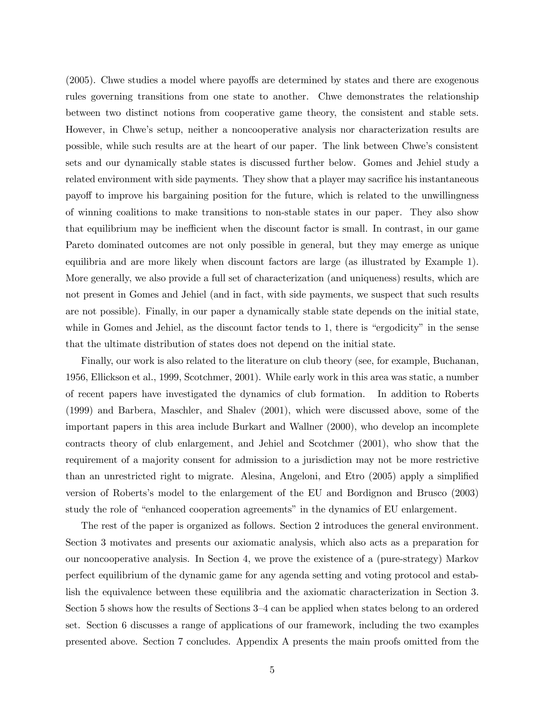(2005). Chwe studies a model where payoffs are determined by states and there are exogenous rules governing transitions from one state to another. Chwe demonstrates the relationship between two distinct notions from cooperative game theory, the consistent and stable sets. However, in Chwe's setup, neither a noncooperative analysis nor characterization results are possible, while such results are at the heart of our paper. The link between Chwe's consistent sets and our dynamically stable states is discussed further below. Gomes and Jehiel study a related environment with side payments. They show that a player may sacrifice his instantaneous payoff to improve his bargaining position for the future, which is related to the unwillingness of winning coalitions to make transitions to non-stable states in our paper. They also show that equilibrium may be inefficient when the discount factor is small. In contrast, in our game Pareto dominated outcomes are not only possible in general, but they may emerge as unique equilibria and are more likely when discount factors are large (as illustrated by Example 1). More generally, we also provide a full set of characterization (and uniqueness) results, which are not present in Gomes and Jehiel (and in fact, with side payments, we suspect that such results are not possible). Finally, in our paper a dynamically stable state depends on the initial state, while in Gomes and Jehiel, as the discount factor tends to 1, there is "ergodicity" in the sense that the ultimate distribution of states does not depend on the initial state.

Finally, our work is also related to the literature on club theory (see, for example, Buchanan, 1956, Ellickson et al., 1999, Scotchmer, 2001). While early work in this area was static, a number of recent papers have investigated the dynamics of club formation. In addition to Roberts (1999) and Barbera, Maschler, and Shalev (2001), which were discussed above, some of the important papers in this area include Burkart and Wallner (2000), who develop an incomplete contracts theory of club enlargement, and Jehiel and Scotchmer (2001), who show that the requirement of a majority consent for admission to a jurisdiction may not be more restrictive than an unrestricted right to migrate. Alesina, Angeloni, and Etro (2005) apply a simplified version of Roberts's model to the enlargement of the EU and Bordignon and Brusco (2003) study the role of "enhanced cooperation agreements" in the dynamics of EU enlargement.

The rest of the paper is organized as follows. Section 2 introduces the general environment. Section 3 motivates and presents our axiomatic analysis, which also acts as a preparation for our noncooperative analysis. In Section 4, we prove the existence of a (pure-strategy) Markov perfect equilibrium of the dynamic game for any agenda setting and voting protocol and establish the equivalence between these equilibria and the axiomatic characterization in Section 3. Section 5 shows how the results of Sections 3—4 can be applied when states belong to an ordered set. Section 6 discusses a range of applications of our framework, including the two examples presented above. Section 7 concludes. Appendix A presents the main proofs omitted from the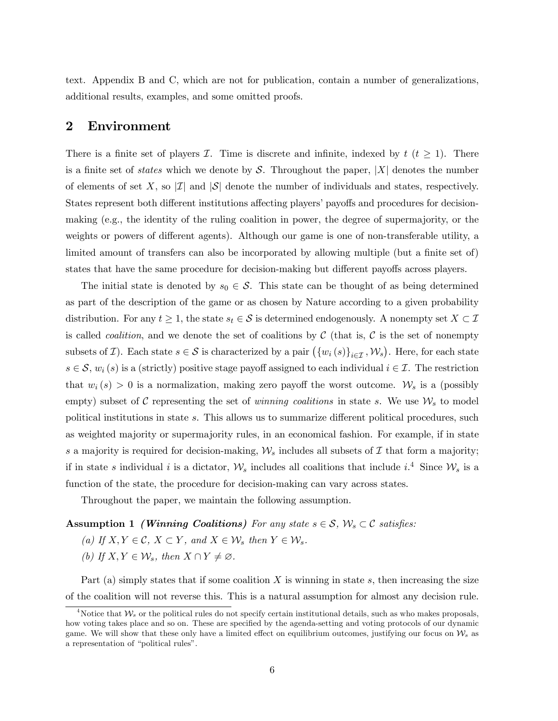text. Appendix B and C, which are not for publication, contain a number of generalizations, additional results, examples, and some omitted proofs.

## 2 Environment

There is a finite set of players  $\mathcal I$ . Time is discrete and infinite, indexed by  $t$   $(t \geq 1)$ . There is a finite set of *states* which we denote by S. Throughout the paper,  $|X|$  denotes the number of elements of set X, so  $|\mathcal{I}|$  and  $|\mathcal{S}|$  denote the number of individuals and states, respectively. States represent both different institutions affecting players' payoffs and procedures for decisionmaking (e.g., the identity of the ruling coalition in power, the degree of supermajority, or the weights or powers of different agents). Although our game is one of non-transferable utility, a limited amount of transfers can also be incorporated by allowing multiple (but a finite set of) states that have the same procedure for decision-making but different payoffs across players.

The initial state is denoted by  $s_0 \in \mathcal{S}$ . This state can be thought of as being determined as part of the description of the game or as chosen by Nature according to a given probability distribution. For any  $t \geq 1$ , the state  $s_t \in S$  is determined endogenously. A nonempty set  $X \subset \mathcal{I}$ is called *coalition*, and we denote the set of coalitions by  $\mathcal C$  (that is,  $\mathcal C$  is the set of nonempty subsets of  $\mathcal{I}$ ). Each state  $s \in \mathcal{S}$  is characterized by a pair  $(\{w_i(s)\}_{i \in \mathcal{I}}, \mathcal{W}_s)$ . Here, for each state  $s \in \mathcal{S}$ ,  $w_i(s)$  is a (strictly) positive stage payoff assigned to each individual  $i \in \mathcal{I}$ . The restriction that  $w_i(s) > 0$  is a normalization, making zero payoff the worst outcome.  $\mathcal{W}_s$  is a (possibly empty) subset of C representing the set of winning coalitions in state s. We use  $\mathcal{W}_s$  to model political institutions in state s. This allows us to summarize different political procedures, such as weighted majority or supermajority rules, in an economical fashion. For example, if in state s a majority is required for decision-making,  $\mathcal{W}_s$  includes all subsets of  $\mathcal I$  that form a majority; if in state s individual i is a dictator,  $\mathcal{W}_s$  includes all coalitions that include i.<sup>4</sup> Since  $\mathcal{W}_s$  is a function of the state, the procedure for decision-making can vary across states.

Throughout the paper, we maintain the following assumption.

#### **Assumption 1** (Winning Coalitions) For any state  $s \in \mathcal{S}$ ,  $\mathcal{W}_s \subset \mathcal{C}$  satisfies:

- (a) If  $X, Y \in \mathcal{C}, X \subset Y$ , and  $X \in \mathcal{W}_s$  then  $Y \in \mathcal{W}_s$ .
- (b) If  $X, Y \in \mathcal{W}_s$ , then  $X \cap Y \neq \emptyset$ .

Part (a) simply states that if some coalition  $X$  is winning in state  $s$ , then increasing the size of the coalition will not reverse this. This is a natural assumption for almost any decision rule.

<sup>&</sup>lt;sup>4</sup>Notice that  $\mathcal{W}_s$  or the political rules do not specify certain institutional details, such as who makes proposals, how voting takes place and so on. These are specified by the agenda-setting and voting protocols of our dynamic game. We will show that these only have a limited effect on equilibrium outcomes, justifying our focus on  $\mathcal{W}_s$  as a representation of "political rules".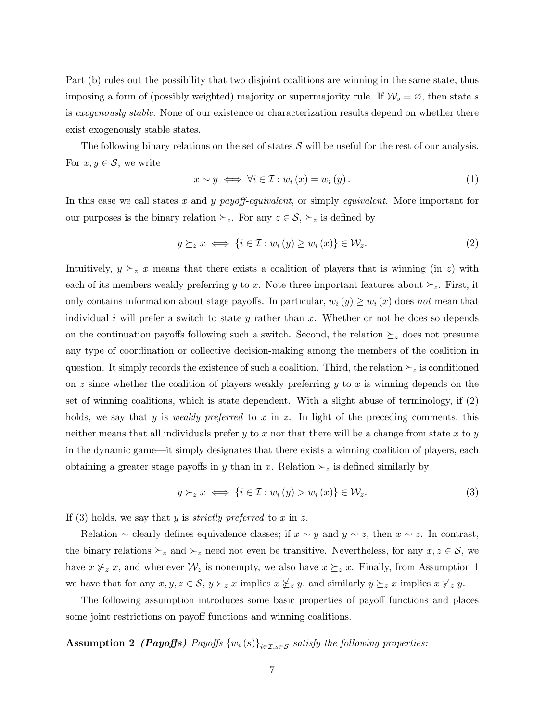Part (b) rules out the possibility that two disjoint coalitions are winning in the same state, thus imposing a form of (possibly weighted) majority or supermajority rule. If  $\mathcal{W}_s = \emptyset$ , then state s is exogenously stable. None of our existence or characterization results depend on whether there exist exogenously stable states.

The following binary relations on the set of states  $S$  will be useful for the rest of our analysis. For  $x, y \in \mathcal{S}$ , we write

$$
x \sim y \iff \forall i \in \mathcal{I} : w_i(x) = w_i(y). \tag{1}
$$

In this case we call states x and y payoff-equivalent, or simply equivalent. More important for our purposes is the binary relation  $\succeq_z$ . For any  $z \in \mathcal{S}, \succeq_z$  is defined by

$$
y \succeq_z x \iff \{i \in \mathcal{I} : w_i(y) \ge w_i(x)\} \in \mathcal{W}_z. \tag{2}
$$

Intuitively,  $y \succeq_z x$  means that there exists a coalition of players that is winning (in z) with each of its members weakly preferring y to x. Note three important features about  $\succeq_z$ . First, it only contains information about stage payoffs. In particular,  $w_i(y) \geq w_i(x)$  does not mean that individual i will prefer a switch to state  $y$  rather than  $x$ . Whether or not he does so depends on the continuation payoffs following such a switch. Second, the relation  $\succeq_z$  does not presume any type of coordination or collective decision-making among the members of the coalition in question. It simply records the existence of such a coalition. Third, the relation  $\succeq_z$  is conditioned on z since whether the coalition of players weakly preferring y to x is winning depends on the set of winning coalitions, which is state dependent. With a slight abuse of terminology, if (2) holds, we say that y is weakly preferred to x in z. In light of the preceding comments, this neither means that all individuals prefer y to x nor that there will be a change from state x to y in the dynamic game–it simply designates that there exists a winning coalition of players, each obtaining a greater stage payoffs in y than in x. Relation  $\succ_z$  is defined similarly by

$$
y \succ_z x \iff \{i \in \mathcal{I} : w_i(y) > w_i(x)\} \in \mathcal{W}_z.
$$
 (3)

If (3) holds, we say that y is *strictly preferred* to x in z.

Relation  $\sim$  clearly defines equivalence classes; if  $x \sim y$  and  $y \sim z$ , then  $x \sim z$ . In contrast, the binary relations  $\succeq_z$  and  $\succ_z$  need not even be transitive. Nevertheless, for any  $x, z \in \mathcal{S}$ , we have  $x \nless z$ , and whenever  $\mathcal{W}_z$  is nonempty, we also have  $x \succeq_z x$ . Finally, from Assumption 1 we have that for any  $x, y, z \in S$ ,  $y \succ_z x$  implies  $x \not\preceq_z y$ , and similarly  $y \succeq_z x$  implies  $x \not\preceq_z y$ .

The following assumption introduces some basic properties of payoff functions and places some joint restrictions on payoff functions and winning coalitions.

Assumption 2 (Payoffs) Payoffs  ${w_i(s)}_{i \in I, s \in S}$  satisfy the following properties: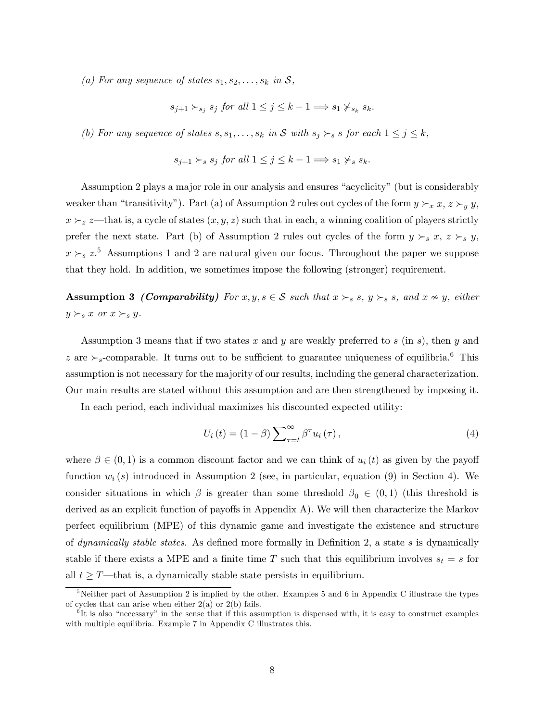(a) For any sequence of states  $s_1, s_2, \ldots, s_k$  in S,

$$
s_{j+1} \succ_{s_j} s_j \text{ for all } 1 \le j \le k-1 \Longrightarrow s_1 \nsucc_{s_k} s_k.
$$

(b) For any sequence of states  $s, s_1, \ldots, s_k$  in S with  $s_j \succ_s s$  for each  $1 \leq j \leq k$ ,

$$
s_{j+1} \succ_s s_j
$$
 for all  $1 \leq j \leq k-1 \Longrightarrow s_1 \nsucc_s s_k$ .

Assumption 2 plays a major role in our analysis and ensures "acyclicity" (but is considerably weaker than "transitivity"). Part (a) of Assumption 2 rules out cycles of the form  $y \succ_x x, z \succ_y y$ ,  $x \succ_z z$ —that is, a cycle of states  $(x, y, z)$  such that in each, a winning coalition of players strictly prefer the next state. Part (b) of Assumption 2 rules out cycles of the form  $y \succ_s x$ ,  $z \succ_s y$ ,  $x \succ_s z$ <sup>5</sup> Assumptions 1 and 2 are natural given our focus. Throughout the paper we suppose that they hold. In addition, we sometimes impose the following (stronger) requirement.

Assumption 3 (Comparability) For  $x, y, s \in S$  such that  $x \succ_s s$ ,  $y \succ_s s$ , and  $x \nsim y$ , either  $y \succ_s x$  or  $x \succ_s y$ .

Assumption 3 means that if two states x and y are weakly preferred to s (in s), then y and z are  $\epsilon_s$ -comparable. It turns out to be sufficient to guarantee uniqueness of equilibria.<sup>6</sup> This assumption is not necessary for the majority of our results, including the general characterization. Our main results are stated without this assumption and are then strengthened by imposing it.

In each period, each individual maximizes his discounted expected utility:

$$
U_i(t) = (1 - \beta) \sum_{\tau=t}^{\infty} \beta^{\tau} u_i(\tau), \qquad (4)
$$

where  $\beta \in (0,1)$  is a common discount factor and we can think of  $u_i(t)$  as given by the payoff function  $w_i(s)$  introduced in Assumption 2 (see, in particular, equation (9) in Section 4). We consider situations in which  $\beta$  is greater than some threshold  $\beta_0 \in (0,1)$  (this threshold is derived as an explicit function of payoffs in Appendix A). We will then characterize the Markov perfect equilibrium (MPE) of this dynamic game and investigate the existence and structure of dynamically stable states. As defined more formally in Definition 2, a state s is dynamically stable if there exists a MPE and a finite time T such that this equilibrium involves  $s_t = s$  for all  $t \geq T$ —that is, a dynamically stable state persists in equilibrium.

<sup>&</sup>lt;sup>5</sup>Neither part of Assumption 2 is implied by the other. Examples 5 and 6 in Appendix C illustrate the types of cycles that can arise when either  $2(a)$  or  $2(b)$  fails.

 ${}^{6}$ It is also "necessary" in the sense that if this assumption is dispensed with, it is easy to construct examples with multiple equilibria. Example 7 in Appendix C illustrates this.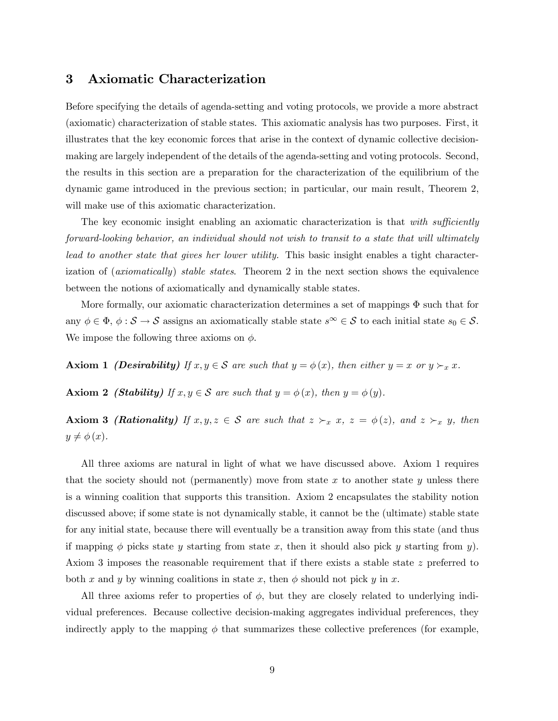## 3 Axiomatic Characterization

Before specifying the details of agenda-setting and voting protocols, we provide a more abstract (axiomatic) characterization of stable states. This axiomatic analysis has two purposes. First, it illustrates that the key economic forces that arise in the context of dynamic collective decisionmaking are largely independent of the details of the agenda-setting and voting protocols. Second, the results in this section are a preparation for the characterization of the equilibrium of the dynamic game introduced in the previous section; in particular, our main result, Theorem 2, will make use of this axiomatic characterization.

The key economic insight enabling an axiomatic characterization is that with sufficiently forward-looking behavior, an individual should not wish to transit to a state that will ultimately lead to another state that gives her lower utility. This basic insight enables a tight characterization of (axiomatically) stable states. Theorem 2 in the next section shows the equivalence between the notions of axiomatically and dynamically stable states.

More formally, our axiomatic characterization determines a set of mappings  $\Phi$  such that for any  $\phi \in \Phi$ ,  $\phi : \mathcal{S} \to \mathcal{S}$  assigns an axiomatically stable state  $s^{\infty} \in \mathcal{S}$  to each initial state  $s_0 \in \mathcal{S}$ . We impose the following three axioms on  $\phi$ .

**Axiom 1** (*Desirability*) If  $x, y \in S$  are such that  $y = \phi(x)$ , then either  $y = x$  or  $y \succ_x x$ .

**Axiom 2** (Stability) If  $x, y \in S$  are such that  $y = \phi(x)$ , then  $y = \phi(y)$ .

**Axiom 3 (Rationality)** If  $x, y, z \in S$  are such that  $z \succ_x x$ ,  $z = \phi(z)$ , and  $z \succ_x y$ , then  $y \neq \phi(x)$ .

All three axioms are natural in light of what we have discussed above. Axiom 1 requires that the society should not (permanently) move from state  $x$  to another state  $y$  unless there is a winning coalition that supports this transition. Axiom 2 encapsulates the stability notion discussed above; if some state is not dynamically stable, it cannot be the (ultimate) stable state for any initial state, because there will eventually be a transition away from this state (and thus if mapping  $\phi$  picks state y starting from state x, then it should also pick y starting from y). Axiom 3 imposes the reasonable requirement that if there exists a stable state z preferred to both x and y by winning coalitions in state x, then  $\phi$  should not pick y in x.

All three axioms refer to properties of  $\phi$ , but they are closely related to underlying individual preferences. Because collective decision-making aggregates individual preferences, they indirectly apply to the mapping  $\phi$  that summarizes these collective preferences (for example,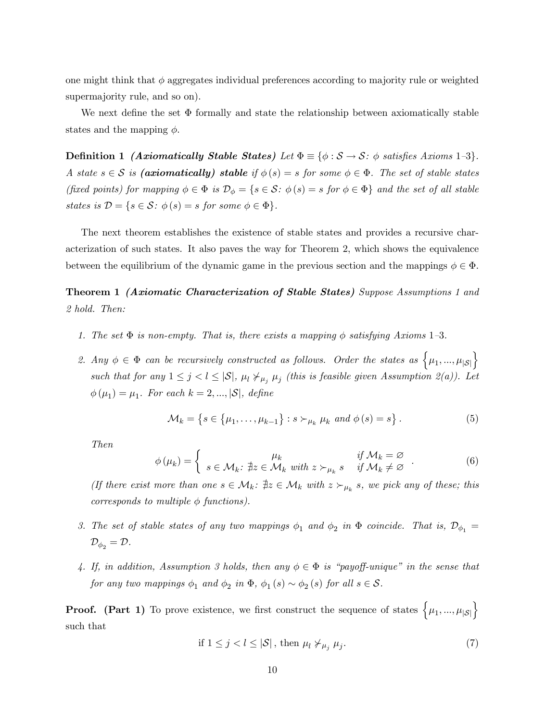one might think that  $\phi$  aggregates individual preferences according to majority rule or weighted supermajority rule, and so on).

We next define the set  $\Phi$  formally and state the relationship between axiomatically stable states and the mapping  $\phi$ .

**Definition 1** (*Axiomatically Stable States*) Let  $\Phi \equiv \{\phi : \mathcal{S} \to \mathcal{S} : \phi \text{ satisfies Axioms } 1-3\}.$ A state  $s \in \mathcal{S}$  is (axiomatically) stable if  $\phi(s) = s$  for some  $\phi \in \Phi$ . The set of stable states (fixed points) for mapping  $\phi \in \Phi$  is  $\mathcal{D}_{\phi} = \{s \in \mathcal{S} : \phi(s) = s \text{ for } \phi \in \Phi\}$  and the set of all stable states is  $\mathcal{D} = \{s \in \mathcal{S} : \phi(s) = s \text{ for some } \phi \in \Phi\}.$ 

The next theorem establishes the existence of stable states and provides a recursive characterization of such states. It also paves the way for Theorem 2, which shows the equivalence between the equilibrium of the dynamic game in the previous section and the mappings  $\phi \in \Phi$ .

Theorem 1 (Axiomatic Characterization of Stable States) Suppose Assumptions 1 and 2 hold. Then:

- 1. The set  $\Phi$  is non-empty. That is, there exists a mapping  $\phi$  satisfying Axioms 1-3.
- 2. Any  $\phi \in \Phi$  can be recursively constructed as follows. Order the states as  $\{\mu_1, ..., \mu_{|\mathcal{S}|}\}$ such that for any  $1 \leq j < l \leq |\mathcal{S}|$ ,  $\mu_l \nsucc_{\mu_j} \mu_j$  (this is feasible given Assumption 2(a)). Let  $\phi(\mu_1) = \mu_1$ . For each  $k = 2, ..., |\mathcal{S}|$ , define

$$
\mathcal{M}_k = \left\{ s \in \left\{ \mu_1, \dots, \mu_{k-1} \right\} : s \succ_{\mu_k} \mu_k \text{ and } \phi \left( s \right) = s \right\}. \tag{5}
$$

Then

$$
\phi(\mu_k) = \begin{cases}\n\mu_k & \text{if } \mathcal{M}_k = \varnothing \\
s \in \mathcal{M}_k \colon \nexists z \in \mathcal{M}_k \text{ with } z \succ_{\mu_k} s & \text{if } \mathcal{M}_k \neq \varnothing\n\end{cases} \tag{6}
$$

(If there exist more than one  $s \in \mathcal{M}_k$ :  $\sharp z \in \mathcal{M}_k$  with  $z \succ_{\mu_k} s$ , we pick any of these; this corresponds to multiple  $\phi$  functions).

- 3. The set of stable states of any two mappings  $\phi_1$  and  $\phi_2$  in  $\Phi$  coincide. That is,  $\mathcal{D}_{\phi_1} =$  $\mathcal{D}_{\phi_2} = \mathcal{D}.$
- 4. If, in addition, Assumption 3 holds, then any  $\phi \in \Phi$  is "payoff-unique" in the sense that for any two mappings  $\phi_1$  and  $\phi_2$  in  $\Phi$ ,  $\phi_1(s) \sim \phi_2(s)$  for all  $s \in \mathcal{S}$ .

**Proof.** (Part 1) To prove existence, we first construct the sequence of states  $\{\mu_1, ..., \mu_{|\mathcal{S}|}\}$ such that

if 
$$
1 \leq j < l \leq |\mathcal{S}|
$$
, then  $\mu_l \nsucc \mu_j \mu_j$ . (7)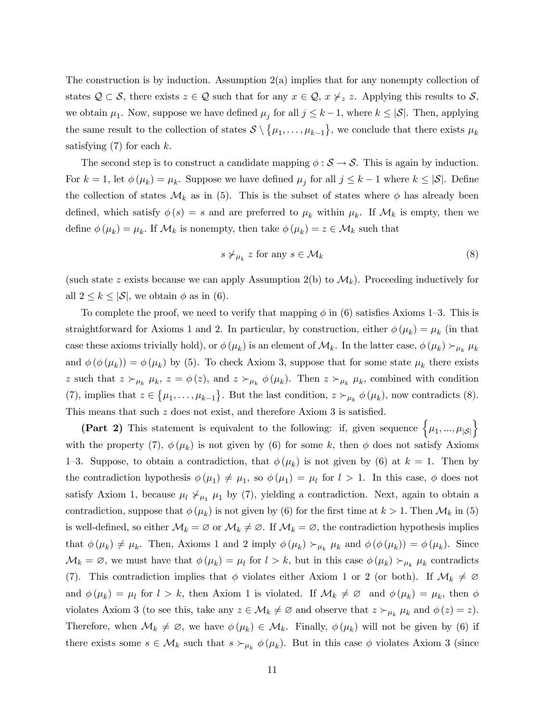The construction is by induction. Assumption  $2(a)$  implies that for any nonempty collection of states  $\mathcal{Q} \subset \mathcal{S}$ , there exists  $z \in \mathcal{Q}$  such that for any  $x \in \mathcal{Q}$ ,  $x \neq_z z$ . Applying this results to  $\mathcal{S}$ , we obtain  $\mu_1$ . Now, suppose we have defined  $\mu_j$  for all  $j \leq k-1$ , where  $k \leq |\mathcal{S}|$ . Then, applying the same result to the collection of states  $S \setminus {\mu_1, \ldots, \mu_{k-1}}$ , we conclude that there exists  $\mu_k$ satisfying  $(7)$  for each k.

The second step is to construct a candidate mapping  $\phi : \mathcal{S} \to \mathcal{S}$ . This is again by induction. For  $k = 1$ , let  $\phi(\mu_k) = \mu_k$ . Suppose we have defined  $\mu_j$  for all  $j \leq k - 1$  where  $k \leq |\mathcal{S}|$ . Define the collection of states  $\mathcal{M}_k$  as in (5). This is the subset of states where  $\phi$  has already been defined, which satisfy  $\phi(s) = s$  and are preferred to  $\mu_k$  within  $\mu_k$ . If  $\mathcal{M}_k$  is empty, then we define  $\phi(\mu_k) = \mu_k$ . If  $\mathcal{M}_k$  is nonempty, then take  $\phi(\mu_k) = z \in \mathcal{M}_k$  such that

$$
s \neq_{\mu_k} z \text{ for any } s \in \mathcal{M}_k \tag{8}
$$

(such state z exists because we can apply Assumption 2(b) to  $\mathcal{M}_k$ ). Proceeding inductively for all  $2 \leq k \leq |\mathcal{S}|$ , we obtain  $\phi$  as in (6).

To complete the proof, we need to verify that mapping  $\phi$  in (6) satisfies Axioms 1–3. This is straightforward for Axioms 1 and 2. In particular, by construction, either  $\phi(\mu_k) = \mu_k$  (in that case these axioms trivially hold), or  $\phi(\mu_k)$  is an element of  $\mathcal{M}_k$ . In the latter case,  $\phi(\mu_k) \succ_{\mu_k} \mu_k$ and  $\phi(\phi(\mu_k)) = \phi(\mu_k)$  by (5). To check Axiom 3, suppose that for some state  $\mu_k$  there exists z such that  $z \succ_{\mu_k} \mu_k$ ,  $z = \phi(z)$ , and  $z \succ_{\mu_k} \phi(\mu_k)$ . Then  $z \succ_{\mu_k} \mu_k$ , combined with condition (7), implies that  $z \in {\mu_1, ..., \mu_{k-1}}$ . But the last condition,  $z \succ_{\mu_k} \phi(\mu_k)$ , now contradicts (8). This means that such z does not exist, and therefore Axiom 3 is satisfied.

(Part 2) This statement is equivalent to the following: if, given sequence  $\{\mu_1, ..., \mu_{|\mathcal{S}|}\}$ with the property (7),  $\phi(\mu_k)$  is not given by (6) for some k, then  $\phi$  does not satisfy Axioms 1–3. Suppose, to obtain a contradiction, that  $\phi(\mu_k)$  is not given by (6) at  $k = 1$ . Then by the contradiction hypothesis  $\phi(\mu_1) \neq \mu_1$ , so  $\phi(\mu_1) = \mu_l$  for  $l > 1$ . In this case,  $\phi$  does not satisfy Axiom 1, because  $\mu_l \nsucc_{\mu_1} \mu_1$  by (7), yielding a contradiction. Next, again to obtain a contradiction, suppose that  $\phi(\mu_k)$  is not given by (6) for the first time at  $k > 1$ . Then  $\mathcal{M}_k$  in (5) is well-defined, so either  $\mathcal{M}_k = \emptyset$  or  $\mathcal{M}_k \neq \emptyset$ . If  $\mathcal{M}_k = \emptyset$ , the contradiction hypothesis implies that  $\phi(\mu_k) \neq \mu_k$ . Then, Axioms 1 and 2 imply  $\phi(\mu_k) \succ_{\mu_k} \mu_k$  and  $\phi(\phi(\mu_k)) = \phi(\mu_k)$ . Since  $\mathcal{M}_k = \emptyset$ , we must have that  $\phi(\mu_k) = \mu_l$  for  $l > k$ , but in this case  $\phi(\mu_k) \succ_{\mu_k} \mu_k$  contradicts (7). This contradiction implies that  $\phi$  violates either Axiom 1 or 2 (or both). If  $\mathcal{M}_k \neq \emptyset$ and  $\phi(\mu_k) = \mu_l$  for  $l > k$ , then Axiom 1 is violated. If  $\mathcal{M}_k \neq \emptyset$  and  $\phi(\mu_k) = \mu_k$ , then  $\phi$ violates Axiom 3 (to see this, take any  $z \in \mathcal{M}_k \neq \emptyset$  and observe that  $z \succ_{\mu_k} \mu_k$  and  $\phi(z) = z$ ). Therefore, when  $\mathcal{M}_k \neq \emptyset$ , we have  $\phi(\mu_k) \in \mathcal{M}_k$ . Finally,  $\phi(\mu_k)$  will not be given by (6) if there exists some  $s \in \mathcal{M}_k$  such that  $s \succ_{\mu_k} \phi(\mu_k)$ . But in this case  $\phi$  violates Axiom 3 (since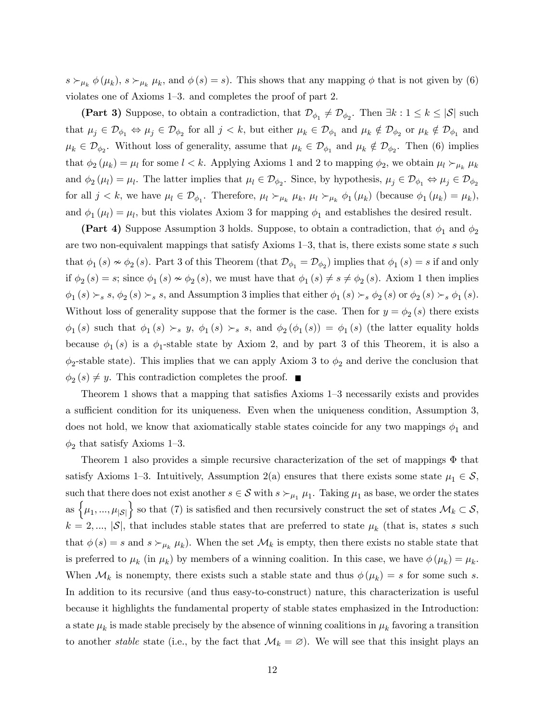$s \succ_{\mu_k} \phi(\mu_k)$ ,  $s \succ_{\mu_k} \mu_k$ , and  $\phi(s) = s$ ). This shows that any mapping  $\phi$  that is not given by (6) violates one of Axioms 1—3. and completes the proof of part 2.

(Part 3) Suppose, to obtain a contradiction, that  $\mathcal{D}_{\phi_1} \neq \mathcal{D}_{\phi_2}$ . Then  $\exists k : 1 \leq k \leq |\mathcal{S}|$  such that  $\mu_j \in \mathcal{D}_{\phi_1} \Leftrightarrow \mu_j \in \mathcal{D}_{\phi_2}$  for all  $j < k$ , but either  $\mu_k \in \mathcal{D}_{\phi_1}$  and  $\mu_k \notin \mathcal{D}_{\phi_2}$  or  $\mu_k \notin \mathcal{D}_{\phi_1}$  and  $\mu_k \in \mathcal{D}_{\phi_2}$ . Without loss of generality, assume that  $\mu_k \in \mathcal{D}_{\phi_1}$  and  $\mu_k \notin \mathcal{D}_{\phi_2}$ . Then (6) implies that  $\phi_2(\mu_k) = \mu_l$  for some  $l < k$ . Applying Axioms 1 and 2 to mapping  $\phi_2$ , we obtain  $\mu_l \succ_{\mu_k} \mu_k$ and  $\phi_2(\mu_l) = \mu_l$ . The latter implies that  $\mu_l \in \mathcal{D}_{\phi_2}$ . Since, by hypothesis,  $\mu_j \in \mathcal{D}_{\phi_1} \Leftrightarrow \mu_j \in \mathcal{D}_{\phi_2}$ for all  $j < k$ , we have  $\mu_l \in \mathcal{D}_{\phi_1}$ . Therefore,  $\mu_l \succ_{\mu_k} \mu_k$ ,  $\mu_l \succ_{\mu_k} \phi_1 (\mu_k)$  (because  $\phi_1 (\mu_k) = \mu_k$ ), and  $\phi_1(\mu_l) = \mu_l$ , but this violates Axiom 3 for mapping  $\phi_1$  and establishes the desired result.

(Part 4) Suppose Assumption 3 holds. Suppose, to obtain a contradiction, that  $\phi_1$  and  $\phi_2$ are two non-equivalent mappings that satisfy Axioms  $1-3$ , that is, there exists some state s such that  $\phi_1(s) \nsim \phi_2(s)$ . Part 3 of this Theorem (that  $\mathcal{D}_{\phi_1} = \mathcal{D}_{\phi_2}$ ) implies that  $\phi_1(s) = s$  if and only if  $\phi_2(s) = s$ ; since  $\phi_1(s) \nsim \phi_2(s)$ , we must have that  $\phi_1(s) \neq s \neq \phi_2(s)$ . Axiom 1 then implies  $\phi_1(s) \succ_s s, \phi_2(s) \succ_s s$ , and Assumption 3 implies that either  $\phi_1(s) \succ_s \phi_2(s)$  or  $\phi_2(s) \succ_s \phi_1(s)$ . Without loss of generality suppose that the former is the case. Then for  $y = \phi_2(s)$  there exists  $\phi_1(s)$  such that  $\phi_1(s) \succ_s y$ ,  $\phi_1(s) \succ_s s$ , and  $\phi_2(\phi_1(s)) = \phi_1(s)$  (the latter equality holds because  $\phi_1(s)$  is a  $\phi_1$ -stable state by Axiom 2, and by part 3 of this Theorem, it is also a  $\phi_2$ -stable state). This implies that we can apply Axiom 3 to  $\phi_2$  and derive the conclusion that  $\phi_2(s) \neq y$ . This contradiction completes the proof.  $\blacksquare$ 

Theorem 1 shows that a mapping that satisfies Axioms 1—3 necessarily exists and provides a sufficient condition for its uniqueness. Even when the uniqueness condition, Assumption 3, does not hold, we know that axiomatically stable states coincide for any two mappings  $\phi_1$  and  $\phi_2$  that satisfy Axioms 1–3.

Theorem 1 also provides a simple recursive characterization of the set of mappings  $\Phi$  that satisfy Axioms 1–3. Intuitively, Assumption 2(a) ensures that there exists some state  $\mu_1 \in \mathcal{S}$ , such that there does not exist another  $s \in \mathcal{S}$  with  $s \succ_{\mu_1} \mu_1$ . Taking  $\mu_1$  as base, we order the states as  $\{\mu_1, ..., \mu_{|\mathcal{S}|}\}$  so that (7) is satisfied and then recursively construct the set of states  $\mathcal{M}_k \subset \mathcal{S}$ ,  $k = 2, ..., |\mathcal{S}|$ , that includes stable states that are preferred to state  $\mu_k$  (that is, states s such that  $\phi(s) = s$  and  $s \succ_{\mu_k} \mu_k$ . When the set  $\mathcal{M}_k$  is empty, then there exists no stable state that is preferred to  $\mu_k$  (in  $\mu_k$ ) by members of a winning coalition. In this case, we have  $\phi(\mu_k) = \mu_k$ . When  $\mathcal{M}_k$  is nonempty, there exists such a stable state and thus  $\phi(\mu_k) = s$  for some such s. In addition to its recursive (and thus easy-to-construct) nature, this characterization is useful because it highlights the fundamental property of stable states emphasized in the Introduction: a state  $\mu_k$  is made stable precisely by the absence of winning coalitions in  $\mu_k$  favoring a transition to another stable state (i.e., by the fact that  $\mathcal{M}_k = \varnothing$ ). We will see that this insight plays an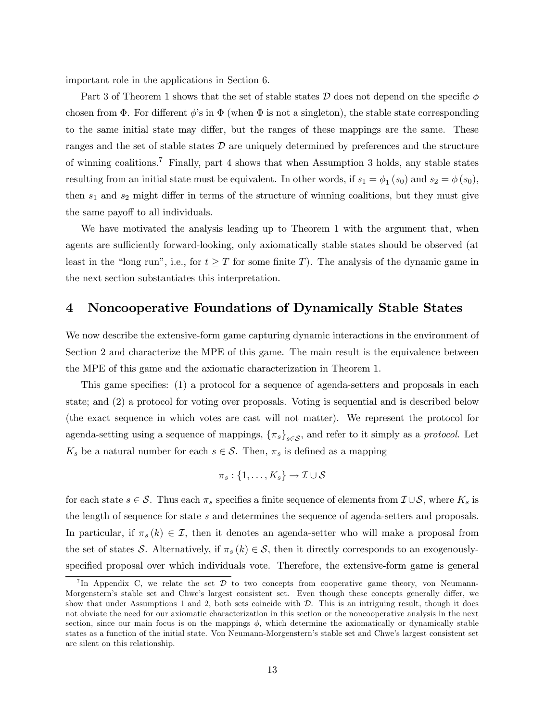important role in the applications in Section 6.

Part 3 of Theorem 1 shows that the set of stable states  $\mathcal D$  does not depend on the specific  $\phi$ chosen from  $\Phi$ . For different  $\phi$ 's in  $\Phi$  (when  $\Phi$  is not a singleton), the stable state corresponding to the same initial state may differ, but the ranges of these mappings are the same. These ranges and the set of stable states  $\mathcal D$  are uniquely determined by preferences and the structure of winning coalitions.7 Finally, part 4 shows that when Assumption 3 holds, any stable states resulting from an initial state must be equivalent. In other words, if  $s_1 = \phi_1(s_0)$  and  $s_2 = \phi(s_0)$ , then  $s_1$  and  $s_2$  might differ in terms of the structure of winning coalitions, but they must give the same payoff to all individuals.

We have motivated the analysis leading up to Theorem 1 with the argument that, when agents are sufficiently forward-looking, only axiomatically stable states should be observed (at least in the "long run", i.e., for  $t \geq T$  for some finite T). The analysis of the dynamic game in the next section substantiates this interpretation.

### 4 Noncooperative Foundations of Dynamically Stable States

We now describe the extensive-form game capturing dynamic interactions in the environment of Section 2 and characterize the MPE of this game. The main result is the equivalence between the MPE of this game and the axiomatic characterization in Theorem 1.

This game specifies: (1) a protocol for a sequence of agenda-setters and proposals in each state; and (2) a protocol for voting over proposals. Voting is sequential and is described below (the exact sequence in which votes are cast will not matter). We represent the protocol for agenda-setting using a sequence of mappings,  $\{\pi_s\}_{s\in\mathcal{S}}$ , and refer to it simply as a *protocol*. Let  $K_s$  be a natural number for each  $s \in \mathcal{S}$ . Then,  $\pi_s$  is defined as a mapping

$$
\pi_s: \{1, \ldots, K_s\} \to \mathcal{I} \cup \mathcal{S}
$$

for each state  $s \in \mathcal{S}$ . Thus each  $\pi_s$  specifies a finite sequence of elements from  $\mathcal{I} \cup \mathcal{S}$ , where  $K_s$  is the length of sequence for state s and determines the sequence of agenda-setters and proposals. In particular, if  $\pi_s(k) \in \mathcal{I}$ , then it denotes an agenda-setter who will make a proposal from the set of states S. Alternatively, if  $\pi_s(k) \in S$ , then it directly corresponds to an exogenouslyspecified proposal over which individuals vote. Therefore, the extensive-form game is general

<sup>&</sup>lt;sup>7</sup>In Appendix C, we relate the set  $\mathcal D$  to two concepts from cooperative game theory, von Neumann-Morgenstern's stable set and Chwe's largest consistent set. Even though these concepts generally differ, we show that under Assumptions 1 and 2, both sets coincide with  $D$ . This is an intriguing result, though it does not obviate the need for our axiomatic characterization in this section or the noncooperative analysis in the next section, since our main focus is on the mappings  $\phi$ , which determine the axiomatically or dynamically stable states as a function of the initial state. Von Neumann-Morgenstern's stable set and Chwe's largest consistent set are silent on this relationship.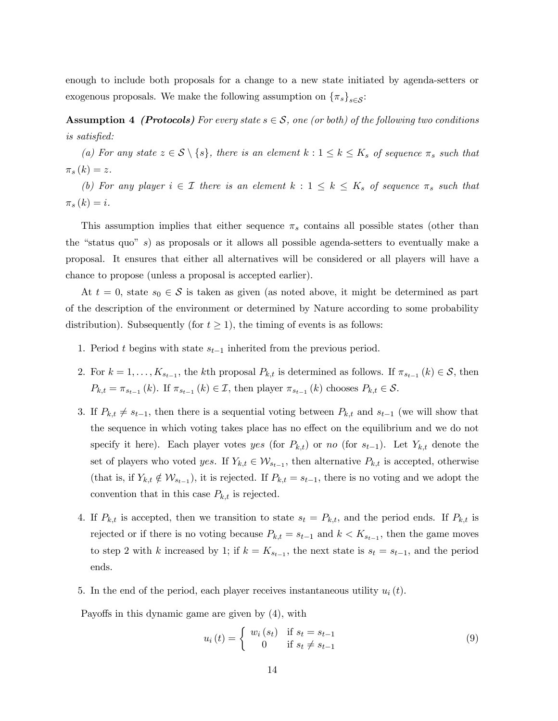enough to include both proposals for a change to a new state initiated by agenda-setters or exogenous proposals. We make the following assumption on  $\{\pi_s\}_{s\in\mathcal{S}}$ :

**Assumption 4** (Protocols) For every state  $s \in \mathcal{S}$ , one (or both) of the following two conditions is satisfied:

(a) For any state  $z \in S \setminus \{s\}$ , there is an element  $k : 1 \leq k \leq K_s$  of sequence  $\pi_s$  such that  $\pi_{s}(k)=z.$ 

(b) For any player  $i \in \mathcal{I}$  there is an element  $k : 1 \leq k \leq K_s$  of sequence  $\pi_s$  such that  $\pi_s(k) = i.$ 

This assumption implies that either sequence  $\pi_s$  contains all possible states (other than the "status quo" s) as proposals or it allows all possible agenda-setters to eventually make a proposal. It ensures that either all alternatives will be considered or all players will have a chance to propose (unless a proposal is accepted earlier).

At  $t = 0$ , state  $s_0 \in \mathcal{S}$  is taken as given (as noted above, it might be determined as part of the description of the environment or determined by Nature according to some probability distribution). Subsequently (for  $t \geq 1$ ), the timing of events is as follows:

- 1. Period t begins with state  $s_{t-1}$  inherited from the previous period.
- 2. For  $k = 1, \ldots, K_{s_{t-1}}$ , the kth proposal  $P_{k,t}$  is determined as follows. If  $\pi_{s_{t-1}}(k) \in \mathcal{S}$ , then  $P_{k,t} = \pi_{s_{t-1}}(k)$ . If  $\pi_{s_{t-1}}(k) \in \mathcal{I}$ , then player  $\pi_{s_{t-1}}(k)$  chooses  $P_{k,t} \in \mathcal{S}$ .
- 3. If  $P_{k,t} \neq s_{t-1}$ , then there is a sequential voting between  $P_{k,t}$  and  $s_{t-1}$  (we will show that the sequence in which voting takes place has no effect on the equilibrium and we do not specify it here). Each player votes yes (for  $P_{k,t}$ ) or no (for  $s_{t-1}$ ). Let  $Y_{k,t}$  denote the set of players who voted yes. If  $Y_{k,t} \in \mathcal{W}_{s_{t-1}}$ , then alternative  $P_{k,t}$  is accepted, otherwise (that is, if  $Y_{k,t} \notin \mathcal{W}_{s_{t-1}}$ ), it is rejected. If  $P_{k,t} = s_{t-1}$ , there is no voting and we adopt the convention that in this case  $P_{k,t}$  is rejected.
- 4. If  $P_{k,t}$  is accepted, then we transition to state  $s_t = P_{k,t}$ , and the period ends. If  $P_{k,t}$  is rejected or if there is no voting because  $P_{k,t} = s_{t-1}$  and  $k < K_{s_{t-1}}$ , then the game moves to step 2 with k increased by 1; if  $k = K_{s_{t-1}}$ , the next state is  $s_t = s_{t-1}$ , and the period ends.
- 5. In the end of the period, each player receives instantaneous utility  $u_i(t)$ .

Payoffs in this dynamic game are given by (4), with

$$
u_i(t) = \begin{cases} w_i(s_t) & \text{if } s_t = s_{t-1} \\ 0 & \text{if } s_t \neq s_{t-1} \end{cases}
$$
 (9)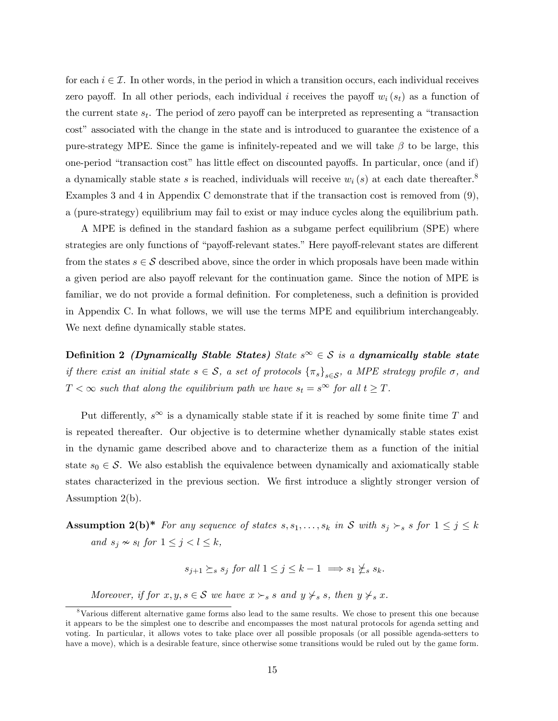for each  $i \in \mathcal{I}$ . In other words, in the period in which a transition occurs, each individual receives zero payoff. In all other periods, each individual i receives the payoff  $w_i(s_t)$  as a function of the current state  $s_t$ . The period of zero payoff can be interpreted as representing a "transaction" cost" associated with the change in the state and is introduced to guarantee the existence of a pure-strategy MPE. Since the game is infinitely-repeated and we will take  $\beta$  to be large, this one-period "transaction cost" has little effect on discounted payoffs. In particular, once (and if) a dynamically stable state s is reached, individuals will receive  $w_i(s)$  at each date thereafter.<sup>8</sup> Examples 3 and 4 in Appendix C demonstrate that if the transaction cost is removed from (9), a (pure-strategy) equilibrium may fail to exist or may induce cycles along the equilibrium path.

A MPE is defined in the standard fashion as a subgame perfect equilibrium (SPE) where strategies are only functions of "payoff-relevant states." Here payoff-relevant states are different from the states  $s \in \mathcal{S}$  described above, since the order in which proposals have been made within a given period are also payoff relevant for the continuation game. Since the notion of MPE is familiar, we do not provide a formal definition. For completeness, such a definition is provided in Appendix C. In what follows, we will use the terms MPE and equilibrium interchangeably. We next define dynamically stable states.

Definition 2 (Dynamically Stable States) State  $s^{\infty} \in S$  is a dynamically stable state if there exist an initial state  $s \in S$ , a set of protocols  $\{\pi_s\}_{s \in S}$ , a MPE strategy profile  $\sigma$ , and  $T < \infty$  such that along the equilibrium path we have  $s_t = s^{\infty}$  for all  $t \geq T$ .

Put differently,  $s^{\infty}$  is a dynamically stable state if it is reached by some finite time T and is repeated thereafter. Our objective is to determine whether dynamically stable states exist in the dynamic game described above and to characterize them as a function of the initial state  $s_0 \in \mathcal{S}$ . We also establish the equivalence between dynamically and axiomatically stable states characterized in the previous section. We first introduce a slightly stronger version of Assumption 2(b).

**Assumption 2(b)\*** For any sequence of states  $s, s_1, \ldots, s_k$  in S with  $s_j \succ_s s$  for  $1 \leq j \leq k$ and  $s_i \nsim s_l$  for  $1 \leq j < l \leq k$ ,

$$
s_{j+1} \succeq_s s_j
$$
 for all  $1 \le j \le k-1 \implies s_1 \not\le_s s_k$ .

Moreover, if for  $x, y, s \in S$  we have  $x \succ_s s$  and  $y \not\succ_s s$ , then  $y \not\succ_s x$ .

<sup>8</sup>Various different alternative game forms also lead to the same results. We chose to present this one because it appears to be the simplest one to describe and encompasses the most natural protocols for agenda setting and voting. In particular, it allows votes to take place over all possible proposals (or all possible agenda-setters to have a move), which is a desirable feature, since otherwise some transitions would be ruled out by the game form.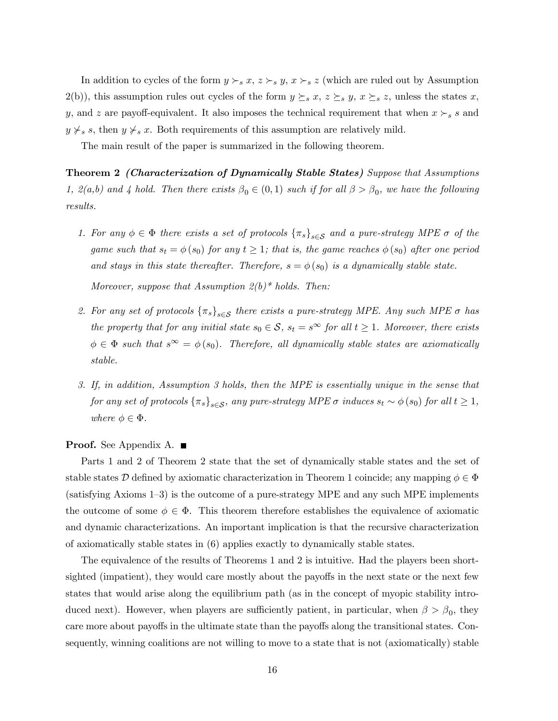In addition to cycles of the form  $y \succ_s x$ ,  $z \succ_s y$ ,  $x \succ_s z$  (which are ruled out by Assumption 2(b)), this assumption rules out cycles of the form  $y \succeq_s x$ ,  $z \succeq_s y$ ,  $x \succeq_s z$ , unless the states x, y, and z are payoff-equivalent. It also imposes the technical requirement that when  $x \succ_s s$  and  $y \nsucc_s s$ , then  $y \nsucc_s x$ . Both requirements of this assumption are relatively mild.

The main result of the paper is summarized in the following theorem.

Theorem 2 (Characterization of Dynamically Stable States) Suppose that Assumptions 1,  $2(a,b)$  and 4 hold. Then there exists  $\beta_0 \in (0,1)$  such if for all  $\beta > \beta_0$ , we have the following results.

- 1. For any  $\phi \in \Phi$  there exists a set of protocols  $\{\pi_s\}_{s \in \mathcal{S}}$  and a pure-strategy MPE  $\sigma$  of the game such that  $s_t = \phi(s_0)$  for any  $t \geq 1$ ; that is, the game reaches  $\phi(s_0)$  after one period and stays in this state thereafter. Therefore,  $s = \phi(s_0)$  is a dynamically stable state. Moreover, suppose that Assumption  $2(b)^*$  holds. Then:
- 2. For any set of protocols  $\{\pi_s\}_{s\in\mathcal{S}}$  there exists a pure-strategy MPE. Any such MPE  $\sigma$  has the property that for any initial state  $s_0 \in \mathcal{S}$ ,  $s_t = s^{\infty}$  for all  $t \geq 1$ . Moreover, there exists  $\phi \in \Phi$  such that  $s^{\infty} = \phi(s_0)$ . Therefore, all dynamically stable states are axiomatically stable.
- 3. If, in addition, Assumption 3 holds, then the MPE is essentially unique in the sense that for any set of protocols  $\{\pi_s\}_{s\in\mathcal{S}}$ , any pure-strategy MPE  $\sigma$  induces  $s_t \sim \phi(s_0)$  for all  $t \geq 1$ , where  $\phi \in \Phi$ .

#### **Proof.** See Appendix A. ■

Parts 1 and 2 of Theorem 2 state that the set of dynamically stable states and the set of stable states D defined by axiomatic characterization in Theorem 1 coincide; any mapping  $\phi \in \Phi$ (satisfying Axioms 1—3) is the outcome of a pure-strategy MPE and any such MPE implements the outcome of some  $\phi \in \Phi$ . This theorem therefore establishes the equivalence of axiomatic and dynamic characterizations. An important implication is that the recursive characterization of axiomatically stable states in (6) applies exactly to dynamically stable states.

The equivalence of the results of Theorems 1 and 2 is intuitive. Had the players been shortsighted (impatient), they would care mostly about the payoffs in the next state or the next few states that would arise along the equilibrium path (as in the concept of myopic stability introduced next). However, when players are sufficiently patient, in particular, when  $\beta > \beta_0$ , they care more about payoffs in the ultimate state than the payoffs along the transitional states. Consequently, winning coalitions are not willing to move to a state that is not (axiomatically) stable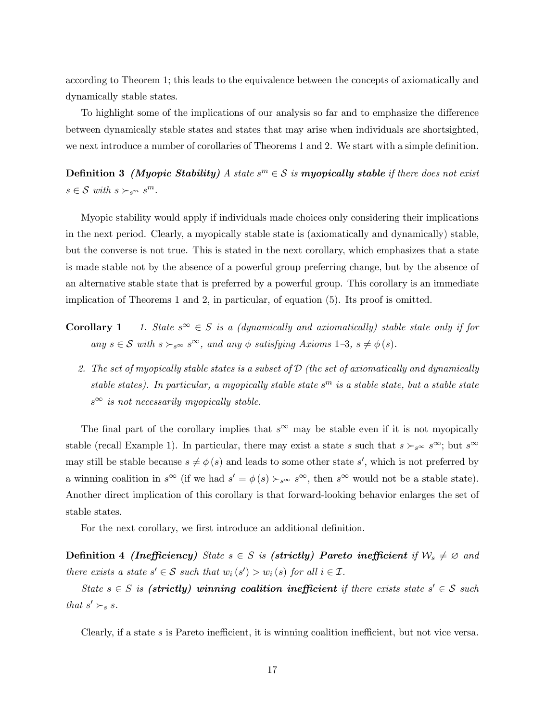according to Theorem 1; this leads to the equivalence between the concepts of axiomatically and dynamically stable states.

To highlight some of the implications of our analysis so far and to emphasize the difference between dynamically stable states and states that may arise when individuals are shortsighted, we next introduce a number of corollaries of Theorems 1 and 2. We start with a simple definition.

**Definition 3** (Myopic Stability) A state  $s^m \in \mathcal{S}$  is myopically stable if there does not exist  $s \in \mathcal{S}$  with  $s \succ_{s^m} s^m$ .

Myopic stability would apply if individuals made choices only considering their implications in the next period. Clearly, a myopically stable state is (axiomatically and dynamically) stable, but the converse is not true. This is stated in the next corollary, which emphasizes that a state is made stable not by the absence of a powerful group preferring change, but by the absence of an alternative stable state that is preferred by a powerful group. This corollary is an immediate implication of Theorems 1 and 2, in particular, of equation  $(5)$ . Its proof is omitted.

- **Corollary 1** 1. State  $s^{\infty} \in S$  is a (dynamically and axiomatically) stable state only if for any  $s \in \mathcal{S}$  with  $s \succ_{s^\infty} s^\infty$ , and any  $\phi$  satisfying Axioms 1–3,  $s \neq \phi(s)$ .
	- 2. The set of myopically stable states is a subset of  $\mathcal{D}$  (the set of axiomatically and dynamically stable states). In particular, a myopically stable state  $s<sup>m</sup>$  is a stable state, but a stable state  $s^{\infty}$  is not necessarily myopically stable.

The final part of the corollary implies that  $s^{\infty}$  may be stable even if it is not myopically stable (recall Example 1). In particular, there may exist a state s such that  $s \succ_{s \infty} s^{\infty}$ ; but  $s^{\infty}$ may still be stable because  $s \neq \phi(s)$  and leads to some other state s', which is not preferred by a winning coalition in  $s^{\infty}$  (if we had  $s' = \phi(s) \succ_{s^{\infty}} s^{\infty}$ , then  $s^{\infty}$  would not be a stable state). Another direct implication of this corollary is that forward-looking behavior enlarges the set of stable states.

For the next corollary, we first introduce an additional definition.

Definition 4 (Inefficiency) State  $s \in S$  is (strictly) Pareto inefficient if  $\mathcal{W}_s \neq \emptyset$  and there exists a state  $s' \in S$  such that  $w_i(s') > w_i(s)$  for all  $i \in \mathcal{I}$ .

State  $s \in S$  is (strictly) winning coalition inefficient if there exists state  $s' \in S$  such that  $s' \succ_s s$ .

Clearly, if a state s is Pareto inefficient, it is winning coalition inefficient, but not vice versa.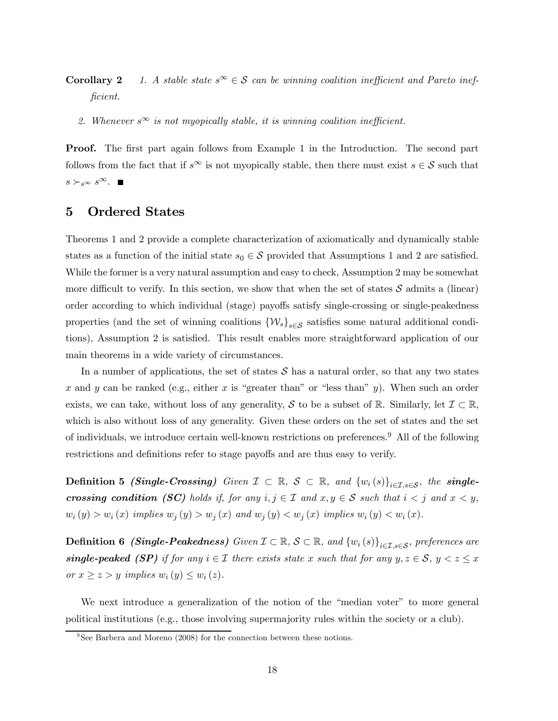- **Corollary 2** 1. A stable state  $s^{\infty} \in \mathcal{S}$  can be winning coalition inefficient and Pareto inefficient.
	- 2. Whenever  $s^{\infty}$  is not myopically stable, it is winning coalition inefficient.

Proof. The first part again follows from Example 1 in the Introduction. The second part follows from the fact that if  $s^{\infty}$  is not myopically stable, then there must exist  $s \in S$  such that  $s \succ_{s} \infty s^{\infty}$ .

## 5 Ordered States

Theorems 1 and 2 provide a complete characterization of axiomatically and dynamically stable states as a function of the initial state  $s_0 \in \mathcal{S}$  provided that Assumptions 1 and 2 are satisfied. While the former is a very natural assumption and easy to check, Assumption 2 may be somewhat more difficult to verify. In this section, we show that when the set of states  $S$  admits a (linear) order according to which individual (stage) payoffs satisfy single-crossing or single-peakedness properties (and the set of winning coalitions  ${W_s}_{s \in S}$  satisfies some natural additional conditions), Assumption 2 is satisfied. This result enables more straightforward application of our main theorems in a wide variety of circumstances.

In a number of applications, the set of states  $S$  has a natural order, so that any two states x and y can be ranked (e.g., either x is "greater than" or "less than" y). When such an order exists, we can take, without loss of any generality, S to be a subset of R. Similarly, let  $\mathcal{I} \subset \mathbb{R}$ , which is also without loss of any generality. Given these orders on the set of states and the set of individuals, we introduce certain well-known restrictions on preferences.9 All of the following restrictions and definitions refer to stage payoffs and are thus easy to verify.

Definition 5 (Single-Crossing) Given  $\mathcal{I} \subset \mathbb{R}$ ,  $\mathcal{S} \subset \mathbb{R}$ , and  $\{w_i(s)\}_{i \in \mathcal{I}, s \in \mathcal{S}}$ , the singlecrossing condition (SC) holds if, for any  $i, j \in \mathcal{I}$  and  $x, y \in \mathcal{S}$  such that  $i < j$  and  $x < y$ ,  $w_i(y) > w_i(x)$  implies  $w_j(y) > w_j(x)$  and  $w_j(y) < w_j(x)$  implies  $w_i(y) < w_i(x)$ .

Definition 6 (Single-Peakedness) Given  $\mathcal{I} \subset \mathbb{R}$ ,  $S \subset \mathbb{R}$ , and  $\{w_i(s)\}_{i \in \mathcal{I}, s \in \mathcal{S}}$ , preferences are single-peaked (SP) if for any  $i \in \mathcal{I}$  there exists state x such that for any  $y, z \in \mathcal{S}$ ,  $y < z \leq x$ or  $x \ge z > y$  implies  $w_i(y) \le w_i(z)$ .

We next introduce a generalization of the notion of the "median voter" to more general political institutions (e.g., those involving supermajority rules within the society or a club).

 $9$ See Barbera and Moreno (2008) for the connection between these notions.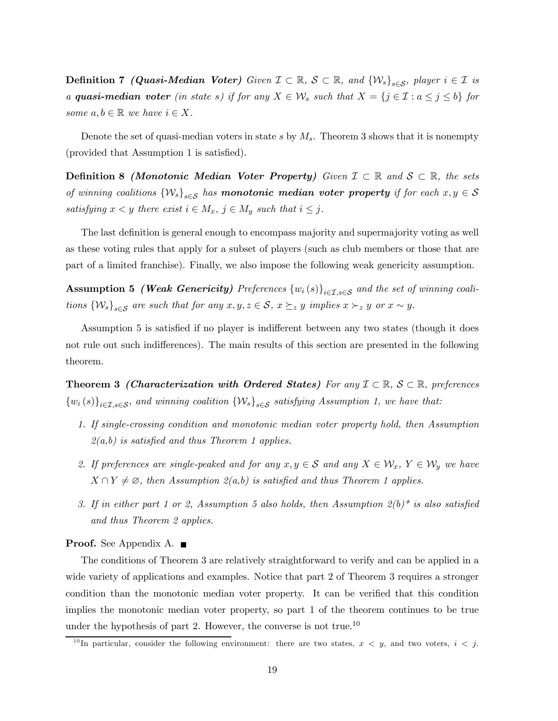**Definition 7** (Quasi-Median Voter) Given  $\mathcal{I} \subset \mathbb{R}$ ,  $\mathcal{S} \subset \mathbb{R}$ , and  $\{W_s\}_{s \in \mathcal{S}}$ , player  $i \in \mathcal{I}$  is a quasi-median voter (in state s) if for any  $X \in \mathcal{W}_s$  such that  $X = \{j \in \mathcal{I} : a \leq j \leq b\}$  for some  $a, b \in \mathbb{R}$  we have  $i \in X$ .

Denote the set of quasi-median voters in state s by  $M_s$ . Theorem 3 shows that it is nonempty (provided that Assumption 1 is satisfied).

Definition 8 (Monotonic Median Voter Property) Given  $\mathcal{I} \subset \mathbb{R}$  and  $\mathcal{S} \subset \mathbb{R}$ , the sets of winning coalitions  $\{W_s\}_{s\in\mathcal{S}}$  has **monotonic median voter property** if for each  $x, y \in \mathcal{S}$ satisfying  $x < y$  there exist  $i \in M_x$ ,  $j \in M_y$  such that  $i \leq j$ .

The last definition is general enough to encompass majority and supermajority voting as well as these voting rules that apply for a subset of players (such as club members or those that are part of a limited franchise). Finally, we also impose the following weak genericity assumption.

Assumption 5 (Weak Genericity) Preferences  ${w_i(s)}_{i \in I, s \in S}$  and the set of winning coalitions  $\{W_s\}_{s\in\mathcal{S}}$  are such that for any  $x, y, z \in \mathcal{S}$ ,  $x \succeq_z y$  implies  $x \succ_z y$  or  $x \sim y$ .

Assumption 5 is satisfied if no player is indifferent between any two states (though it does not rule out such indifferences). The main results of this section are presented in the following theorem.

Theorem 3 (Characterization with Ordered States) For any  $\mathcal{I} \subset \mathbb{R}$ ,  $S \subset \mathbb{R}$ , preferences  ${w_i(s)}_{i \in I, s \in S}$ , and winning coalition  ${W_s}_{s \in S}$  satisfying Assumption 1, we have that:

- 1. If single-crossing condition and monotonic median voter property hold, then Assumption  $2(a,b)$  is satisfied and thus Theorem 1 applies.
- 2. If preferences are single-peaked and for any  $x, y \in S$  and any  $X \in \mathcal{W}_x$ ,  $Y \in \mathcal{W}_y$  we have  $X \cap Y \neq \emptyset$ , then Assumption  $\mathcal{Z}(a,b)$  is satisfied and thus Theorem 1 applies.
- 3. If in either part 1 or 2, Assumption 5 also holds, then Assumption  $2(b)^*$  is also satisfied and thus Theorem 2 applies.

**Proof.** See Appendix A. ■

The conditions of Theorem 3 are relatively straightforward to verify and can be applied in a wide variety of applications and examples. Notice that part 2 of Theorem 3 requires a stronger condition than the monotonic median voter property. It can be verified that this condition implies the monotonic median voter property, so part 1 of the theorem continues to be true under the hypothesis of part 2. However, the converse is not true.<sup>10</sup>

<sup>&</sup>lt;sup>10</sup>In particular, consider the following environment: there are two states,  $x < y$ , and two voters,  $i < j$ .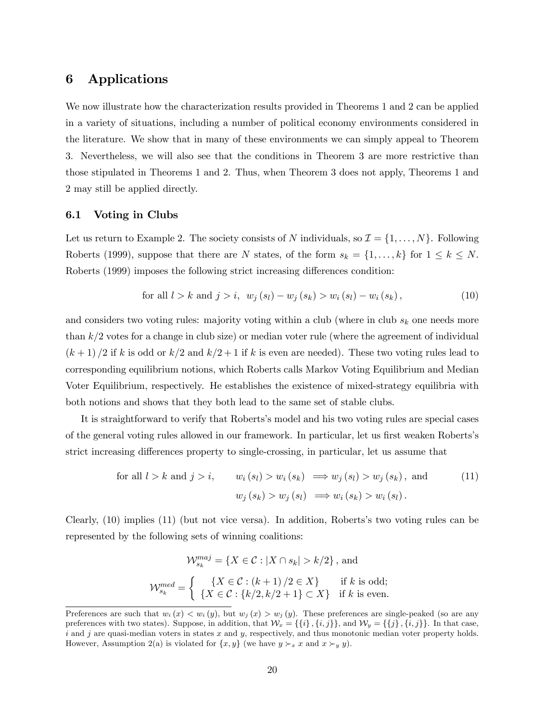## 6 Applications

We now illustrate how the characterization results provided in Theorems 1 and 2 can be applied in a variety of situations, including a number of political economy environments considered in the literature. We show that in many of these environments we can simply appeal to Theorem 3. Nevertheless, we will also see that the conditions in Theorem 3 are more restrictive than those stipulated in Theorems 1 and 2. Thus, when Theorem 3 does not apply, Theorems 1 and 2 may still be applied directly.

#### 6.1 Voting in Clubs

Let us return to Example 2. The society consists of N individuals, so  $\mathcal{I} = \{1, \ldots, N\}$ . Following Roberts (1999), suppose that there are N states, of the form  $s_k = \{1, ..., k\}$  for  $1 \leq k \leq N$ . Roberts (1999) imposes the following strict increasing differences condition:

for all 
$$
l > k
$$
 and  $j > i$ ,  $w_j(s_l) - w_j(s_k) > w_i(s_l) - w_i(s_k)$ ,  $(10)$ 

and considers two voting rules: majority voting within a club (where in club  $s_k$  one needs more than  $k/2$  votes for a change in club size) or median voter rule (where the agreement of individual  $(k+1)/2$  if k is odd or  $k/2$  and  $k/2+1$  if k is even are needed). These two voting rules lead to corresponding equilibrium notions, which Roberts calls Markov Voting Equilibrium and Median Voter Equilibrium, respectively. He establishes the existence of mixed-strategy equilibria with both notions and shows that they both lead to the same set of stable clubs.

It is straightforward to verify that Roberts's model and his two voting rules are special cases of the general voting rules allowed in our framework. In particular, let us first weaken Roberts's strict increasing differences property to single-crossing, in particular, let us assume that

for all 
$$
l > k
$$
 and  $j > i$ ,  $w_i(s_l) > w_i(s_k) \implies w_j(s_l) > w_j(s_k)$ , and  
\n $w_j(s_k) > w_j(s_l) \implies w_i(s_k) > w_i(s_l)$ . (11)

Clearly, (10) implies (11) (but not vice versa). In addition, Roberts's two voting rules can be represented by the following sets of winning coalitions:

$$
\mathcal{W}_{s_k}^{maj} = \{ X \in \mathcal{C} : |X \cap s_k| > k/2 \}, \text{ and}
$$

$$
\mathcal{W}_{s_k}^{med} = \begin{cases} \{ X \in \mathcal{C} : (k+1)/2 \in X \} & \text{if } k \text{ is odd;}\\ \{ X \in \mathcal{C} : \{k/2, k/2 + 1\} \subset X \} & \text{if } k \text{ is even.} \end{cases}
$$

Preferences are such that  $w_i(x) < w_i(y)$ , but  $w_j(x) > w_j(y)$ . These preferences are single-peaked (so are any preferences with two states). Suppose, in addition, that  $\mathcal{W}_x = \{\{i\}, \{i, j\}\}\,$  and  $\mathcal{W}_y = \{\{j\}, \{i, j\}\}\.$  In that case,  $i$  and  $j$  are quasi-median voters in states x and y, respectively, and thus monotonic median voter property holds. However, Assumption 2(a) is violated for  $\{x, y\}$  (we have  $y \succ_x x$  and  $x \succ_y y$ ).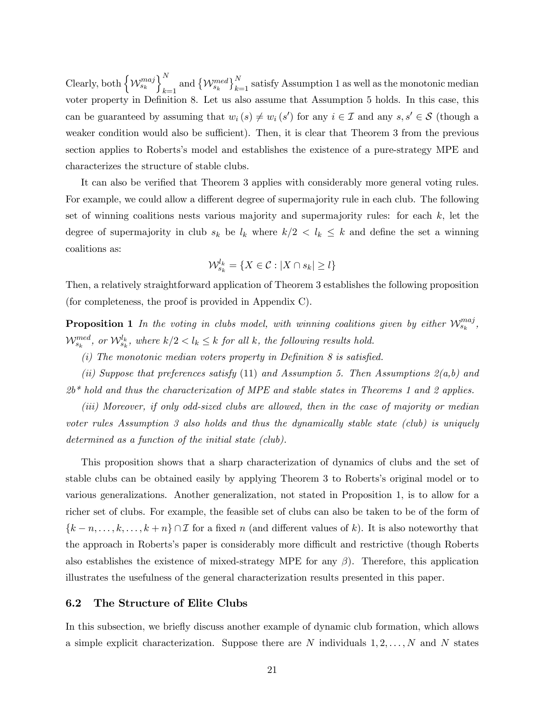Clearly, both  $\left\{\mathcal{W}_{s_k}^{maj}\right\}_{k=1}^N$  $\left\{\mathcal{W}_{s_k}^{med}\right\}_{k=1}^N$  satisfy Assumption 1 as well as the monotonic median voter property in Definition 8. Let us also assume that Assumption 5 holds. In this case, this can be guaranteed by assuming that  $w_i(s) \neq w_i(s')$  for any  $i \in \mathcal{I}$  and any  $s, s' \in \mathcal{S}$  (though a weaker condition would also be sufficient). Then, it is clear that Theorem 3 from the previous section applies to Roberts's model and establishes the existence of a pure-strategy MPE and characterizes the structure of stable clubs.

It can also be verified that Theorem 3 applies with considerably more general voting rules. For example, we could allow a different degree of supermajority rule in each club. The following set of winning coalitions nests various majority and supermajority rules: for each  $k$ , let the degree of supermajority in club  $s_k$  be  $l_k$  where  $k/2 < l_k \leq k$  and define the set a winning coalitions as:

$$
\mathcal{W}_{s_k}^{l_k} = \{ X \in \mathcal{C} : |X \cap s_k| \ge l \}
$$

Then, a relatively straightforward application of Theorem 3 establishes the following proposition (for completeness, the proof is provided in Appendix C).

**Proposition 1** In the voting in clubs model, with winning coalitions given by either  $\mathcal{W}_{s_k}^{maj}$ ,  $\mathcal{W}_{s_k}^{med}$ , or  $\mathcal{W}_{s_k}^{l_k}$ , where  $k/2 < l_k \leq k$  for all k, the following results hold.

(i) The monotonic median voters property in Definition  $\delta$  is satisfied.

(ii) Suppose that preferences satisfy (11) and Assumption 5. Then Assumptions  $2(a,b)$  and  $2b<sup>*</sup>$  hold and thus the characterization of MPE and stable states in Theorems 1 and 2 applies.

(iii) Moreover, if only odd-sized clubs are allowed, then in the case of majority or median voter rules Assumption 3 also holds and thus the dynamically stable state (club) is uniquely determined as a function of the initial state (club).

This proposition shows that a sharp characterization of dynamics of clubs and the set of stable clubs can be obtained easily by applying Theorem 3 to Roberts's original model or to various generalizations. Another generalization, not stated in Proposition 1, is to allow for a richer set of clubs. For example, the feasible set of clubs can also be taken to be of the form of  ${k - n, \ldots, k, \ldots, k + n} \cap \mathcal{I}$  for a fixed n (and different values of k). It is also noteworthy that the approach in Roberts's paper is considerably more difficult and restrictive (though Roberts also establishes the existence of mixed-strategy MPE for any  $\beta$ ). Therefore, this application illustrates the usefulness of the general characterization results presented in this paper.

#### 6.2 The Structure of Elite Clubs

In this subsection, we briefly discuss another example of dynamic club formation, which allows a simple explicit characterization. Suppose there are N individuals  $1, 2, \ldots, N$  and N states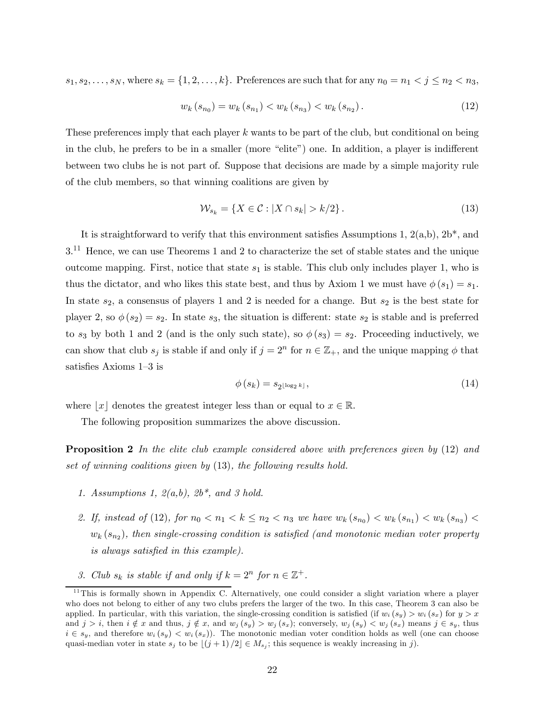$s_1, s_2, \ldots, s_N$ , where  $s_k = \{1, 2, \ldots, k\}$ . Preferences are such that for any  $n_0 = n_1 < j \le n_2 < n_3$ ,

$$
w_k(s_{n_0}) = w_k(s_{n_1}) < w_k(s_{n_3}) < w_k(s_{n_2}).\tag{12}
$$

These preferences imply that each player  $k$  wants to be part of the club, but conditional on being in the club, he prefers to be in a smaller (more "elite") one. In addition, a player is indifferent between two clubs he is not part of. Suppose that decisions are made by a simple majority rule of the club members, so that winning coalitions are given by

$$
\mathcal{W}_{s_k} = \{ X \in \mathcal{C} : |X \cap s_k| > k/2 \}.
$$
\n
$$
(13)
$$

It is straightforward to verify that this environment satisfies Assumptions 1,  $2(a,b)$ ,  $2b^*$ , and 3.11 Hence, we can use Theorems 1 and 2 to characterize the set of stable states and the unique outcome mapping. First, notice that state  $s_1$  is stable. This club only includes player 1, who is thus the dictator, and who likes this state best, and thus by Axiom 1 we must have  $\phi(s_1) = s_1$ . In state  $s_2$ , a consensus of players 1 and 2 is needed for a change. But  $s_2$  is the best state for player 2, so  $\phi(s_2) = s_2$ . In state  $s_3$ , the situation is different: state  $s_2$  is stable and is preferred to  $s_3$  by both 1 and 2 (and is the only such state), so  $\phi(s_3) = s_2$ . Proceeding inductively, we can show that club  $s_j$  is stable if and only if  $j = 2^n$  for  $n \in \mathbb{Z}_+$ , and the unique mapping  $\phi$  that satisfies Axioms 1—3 is

$$
\phi\left(s_{k}\right) = s_{2^{\lfloor \log_{2} k \rfloor}},\tag{14}
$$

where  $|x|$  denotes the greatest integer less than or equal to  $x \in \mathbb{R}$ .

The following proposition summarizes the above discussion.

**Proposition 2** In the elite club example considered above with preferences given by (12) and set of winning coalitions given by (13), the following results hold.

- 1. Assumptions 1,  $2(a,b)$ ,  $2b^*$ , and 3 hold.
- 2. If, instead of (12), for  $n_0 < n_1 < k \leq n_2 < n_3$  we have  $w_k(s_{n_0}) < w_k(s_{n_1}) < w_k(s_{n_3}) <$  $w_k(s_{n_2})$ , then single-crossing condition is satisfied (and monotonic median voter property is always satisfied in this example).
- 3. Club  $s_k$  is stable if and only if  $k = 2^n$  for  $n \in \mathbb{Z}^+$ .

 $11$ This is formally shown in Appendix C. Alternatively, one could consider a slight variation where a player who does not belong to either of any two clubs prefers the larger of the two. In this case, Theorem 3 can also be applied. In particular, with this variation, the single-crossing condition is satisfied (if  $w_i(s_y) > w_i(s_x)$  for  $y > x$ and  $j>i$ , then  $i \notin x$  and thus,  $j \notin x$ , and  $w_j (s_y) > w_j (s_x)$ ; conversely,  $w_j (s_y) < w_j (s_x)$  means  $j \in s_y$ , thus  $i \in s_y$ , and therefore  $w_i(s_y) < w_i(s_x)$ ). The monotonic median voter condition holds as well (one can choose quasi-median voter in state  $s_j$  to be  $|(j + 1)/2| \in M_{s_j}$ ; this sequence is weakly increasing in j).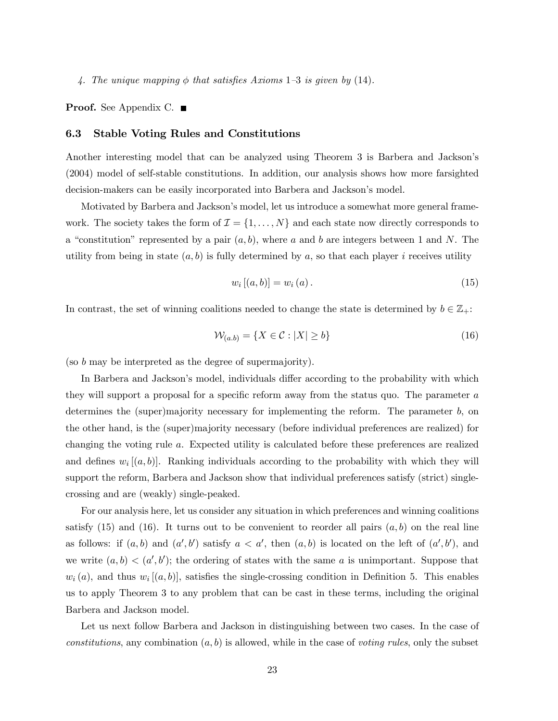4. The unique mapping  $\phi$  that satisfies Axioms 1–3 is given by (14).

**Proof.** See Appendix C. ■

#### 6.3 Stable Voting Rules and Constitutions

Another interesting model that can be analyzed using Theorem 3 is Barbera and Jackson's (2004) model of self-stable constitutions. In addition, our analysis shows how more farsighted decision-makers can be easily incorporated into Barbera and Jackson's model.

Motivated by Barbera and Jackson's model, let us introduce a somewhat more general framework. The society takes the form of  $\mathcal{I} = \{1, \ldots, N\}$  and each state now directly corresponds to a "constitution" represented by a pair  $(a, b)$ , where a and b are integers between 1 and N. The utility from being in state  $(a, b)$  is fully determined by a, so that each player i receives utility

$$
w_i [(a, b)] = w_i (a). \t\t(15)
$$

In contrast, the set of winning coalitions needed to change the state is determined by  $b \in \mathbb{Z}_+$ :

$$
\mathcal{W}_{(a,b)} = \{ X \in \mathcal{C} : |X| \ge b \}
$$
\n<sup>(16)</sup>

(so b may be interpreted as the degree of supermajority).

In Barbera and Jackson's model, individuals differ according to the probability with which they will support a proposal for a specific reform away from the status quo. The parameter a determines the (super)majority necessary for implementing the reform. The parameter b, on the other hand, is the (super)majority necessary (before individual preferences are realized) for changing the voting rule a. Expected utility is calculated before these preferences are realized and defines  $w_i$  [ $(a, b)$ ]. Ranking individuals according to the probability with which they will support the reform, Barbera and Jackson show that individual preferences satisfy (strict) singlecrossing and are (weakly) single-peaked.

For our analysis here, let us consider any situation in which preferences and winning coalitions satisfy  $(15)$  and  $(16)$ . It turns out to be convenient to reorder all pairs  $(a, b)$  on the real line as follows: if  $(a, b)$  and  $(a', b')$  satisfy  $a < a'$ , then  $(a, b)$  is located on the left of  $(a', b')$ , and we write  $(a, b) < (a', b')$ ; the ordering of states with the same a is unimportant. Suppose that  $w_i(a)$ , and thus  $w_i[(a, b)]$ , satisfies the single-crossing condition in Definition 5. This enables us to apply Theorem 3 to any problem that can be cast in these terms, including the original Barbera and Jackson model.

Let us next follow Barbera and Jackson in distinguishing between two cases. In the case of constitutions, any combination  $(a, b)$  is allowed, while in the case of voting rules, only the subset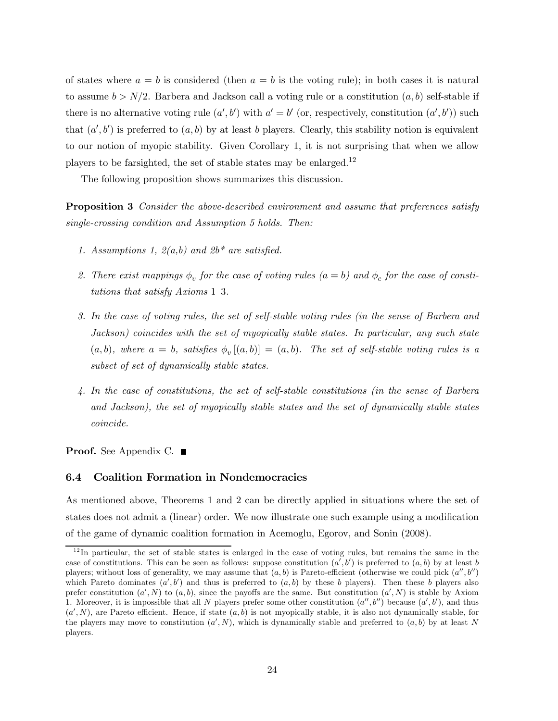of states where  $a = b$  is considered (then  $a = b$  is the voting rule); in both cases it is natural to assume  $b > N/2$ . Barbera and Jackson call a voting rule or a constitution  $(a, b)$  self-stable if there is no alternative voting rule  $(a', b')$  with  $a' = b'$  (or, respectively, constitution  $(a', b')$ ) such that  $(a', b')$  is preferred to  $(a, b)$  by at least b players. Clearly, this stability notion is equivalent to our notion of myopic stability. Given Corollary 1, it is not surprising that when we allow players to be farsighted, the set of stable states may be enlarged.<sup>12</sup>

The following proposition shows summarizes this discussion.

**Proposition 3** Consider the above-described environment and assume that preferences satisfy single-crossing condition and Assumption 5 holds. Then:

- 1. Assumptions 1,  $2(a,b)$  and  $2b^*$  are satisfied.
- 2. There exist mappings  $\phi_n$  for the case of voting rules  $(a = b)$  and  $\phi_c$  for the case of constitutions that satisfy Axioms 1—3.
- 3. In the case of voting rules, the set of self-stable voting rules (in the sense of Barbera and Jackson) coincides with the set of myopically stable states. In particular, any such state  $(a, b)$ , where  $a = b$ , satisfies  $\phi_n$   $[(a, b)] = (a, b)$ . The set of self-stable voting rules is a subset of set of dynamically stable states.
- 4. In the case of constitutions, the set of self-stable constitutions (in the sense of Barbera and Jackson), the set of myopically stable states and the set of dynamically stable states coincide.

**Proof.** See Appendix C. ■

#### 6.4 Coalition Formation in Nondemocracies

As mentioned above, Theorems 1 and 2 can be directly applied in situations where the set of states does not admit a (linear) order. We now illustrate one such example using a modification of the game of dynamic coalition formation in Acemoglu, Egorov, and Sonin (2008).

 $12$ In particular, the set of stable states is enlarged in the case of voting rules, but remains the same in the case of constitutions. This can be seen as follows: suppose constitution  $(a',b')$  is preferred to  $(a,b)$  by at least b players; without loss of generality, we may assume that  $(a, b)$  is Pareto-efficient (otherwise we could pick  $(a'', b'')$ ) which Pareto dominates  $(a', b')$  and thus is preferred to  $(a, b)$  by these b players). Then these b players also prefer constitution  $(a', N)$  to  $(a, b)$ , since the payoffs are the same. But constitution  $(a', N)$  is stable by Axiom 1. Moreover, it is impossible that all N players prefer some other constitution  $(a'',b'')$  because  $(a',b')$ , and thus  $(a', N)$ , are Pareto efficient. Hence, if state  $(a, b)$  is not myopically stable, it is also not dynamically stable, for the players may move to constitution  $(a', N)$ , which is dynamically stable and preferred to  $(a, b)$  by at least N players.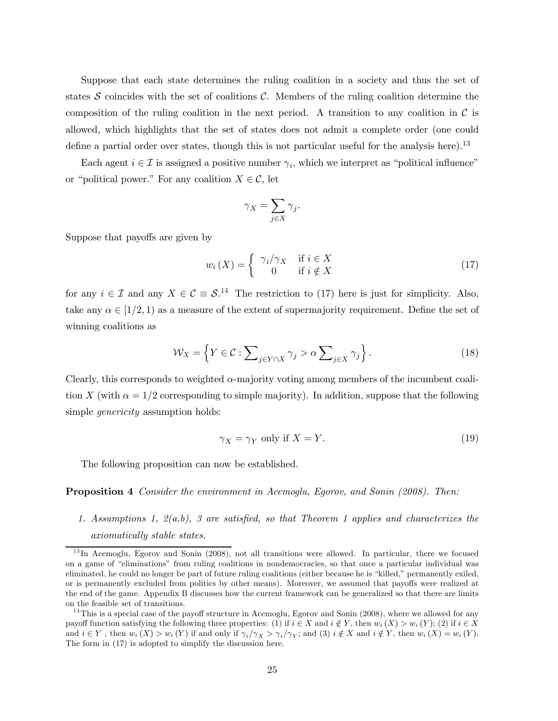Suppose that each state determines the ruling coalition in a society and thus the set of states S coincides with the set of coalitions  $\mathcal{C}$ . Members of the ruling coalition determine the composition of the ruling coalition in the next period. A transition to any coalition in  $\mathcal C$  is allowed, which highlights that the set of states does not admit a complete order (one could define a partial order over states, though this is not particular useful for the analysis here).<sup>13</sup>

Each agent  $i \in \mathcal{I}$  is assigned a positive number  $\gamma_i$ , which we interpret as "political influence" or "political power." For any coalition  $X \in \mathcal{C}$ , let

$$
\gamma_X=\sum_{j\in X}\gamma_j.
$$

Suppose that payoffs are given by

$$
w_i(X) = \begin{cases} \gamma_i/\gamma_X & \text{if } i \in X \\ 0 & \text{if } i \notin X \end{cases}
$$
 (17)

for any  $i \in \mathcal{I}$  and any  $X \in \mathcal{C} \equiv \mathcal{S}^{14}$ . The restriction to (17) here is just for simplicity. Also, take any  $\alpha \in [1/2, 1)$  as a measure of the extent of supermajority requirement. Define the set of winning coalitions as

$$
\mathcal{W}_X = \left\{ Y \in \mathcal{C} : \sum_{j \in Y \cap X} \gamma_j > \alpha \sum_{j \in X} \gamma_j \right\}.
$$
\n(18)

Clearly, this corresponds to weighted  $\alpha$ -majority voting among members of the incumbent coalition X (with  $\alpha = 1/2$  corresponding to simple majority). In addition, suppose that the following simple *genericity* assumption holds:

$$
\gamma_X = \gamma_Y \text{ only if } X = Y. \tag{19}
$$

The following proposition can now be established.

Proposition 4 Consider the environment in Acemoglu, Egorov, and Sonin (2008). Then:

1. Assumptions 1,  $2(a,b)$ , 3 are satisfied, so that Theorem 1 applies and characterizes the axiomatically stable states.

 $13$  In Acemoglu, Egorov and Sonin (2008), not all transitions were allowed. In particular, there we focused on a game of "eliminations" from ruling coalitions in nondemocracies, so that once a particular individual was eliminated, he could no longer be part of future ruling coalitions (either because he is "killed," permanently exiled, or is permanently excluded from politics by other means). Moreover, we assumed that payoffs were realized at the end of the game. Appendix B discusses how the current framework can be generalized so that there are limits on the feasible set of transitions.

 $14$ This is a special case of the payoff structure in Acemoglu, Egorov and Sonin (2008), where we allowed for any payoff function satisfying the following three properties: (1) if  $i \in X$  and  $i \notin Y$ , then  $w_i(X) > w_i(Y)$ ; (2) if  $i \in X$ and  $i \in Y$ , then  $w_i(X) > w_i(Y)$  if and only if  $\gamma_i/\gamma_X > \gamma_i/\gamma_Y$ ; and  $(3)$   $i \notin X$  and  $i \notin Y$ , then  $w_i(X) = w_i(Y)$ . The form in (17) is adopted to simplify the discussion here.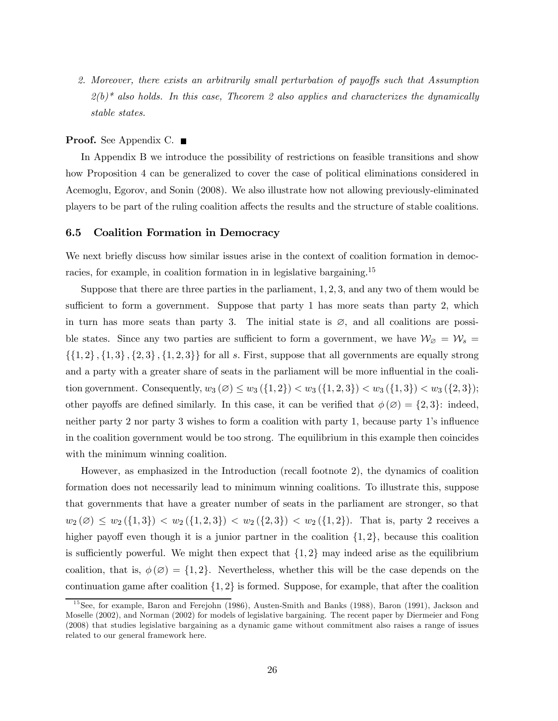2. Moreover, there exists an arbitrarily small perturbation of payoffs such that Assumption  $2(b)^*$  also holds. In this case, Theorem 2 also applies and characterizes the dynamically stable states.

#### **Proof.** See Appendix C. ■

In Appendix B we introduce the possibility of restrictions on feasible transitions and show how Proposition 4 can be generalized to cover the case of political eliminations considered in Acemoglu, Egorov, and Sonin (2008). We also illustrate how not allowing previously-eliminated players to be part of the ruling coalition affects the results and the structure of stable coalitions.

#### 6.5 Coalition Formation in Democracy

We next briefly discuss how similar issues arise in the context of coalition formation in democracies, for example, in coalition formation in in legislative bargaining.<sup>15</sup>

Suppose that there are three parties in the parliament, 1, 2, 3, and any two of them would be sufficient to form a government. Suppose that party 1 has more seats than party 2, which in turn has more seats than party 3. The initial state is  $\varnothing$ , and all coalitions are possible states. Since any two parties are sufficient to form a government, we have  $W_{\emptyset} = W_s =$  $\{\{1,2\},\{1,3\},\{2,3\},\{1,2,3\}\}\$  for all s. First, suppose that all governments are equally strong and a party with a greater share of seats in the parliament will be more influential in the coalition government. Consequently,  $w_3(\emptyset) \leq w_3(\{1,2\}) < w_3(\{1,2,3\}) < w_3(\{1,3\}) < w_3(\{2,3\})$ ; other payoffs are defined similarly. In this case, it can be verified that  $\phi(\emptyset) = \{2,3\}$ : indeed, neither party 2 nor party 3 wishes to form a coalition with party 1, because party 1's influence in the coalition government would be too strong. The equilibrium in this example then coincides with the minimum winning coalition.

However, as emphasized in the Introduction (recall footnote 2), the dynamics of coalition formation does not necessarily lead to minimum winning coalitions. To illustrate this, suppose that governments that have a greater number of seats in the parliament are stronger, so that  $w_2(\emptyset) \leq w_2(\{1,3\}) < w_2(\{1,2,3\}) < w_2(\{2,3\}) < w_2(\{1,2\})$ . That is, party 2 receives a higher payoff even though it is a junior partner in the coalition  $\{1, 2\}$ , because this coalition is sufficiently powerful. We might then expect that  $\{1, 2\}$  may indeed arise as the equilibrium coalition, that is,  $\phi(\emptyset) = \{1, 2\}$ . Nevertheless, whether this will be the case depends on the continuation game after coalition  $\{1, 2\}$  is formed. Suppose, for example, that after the coalition

<sup>&</sup>lt;sup>15</sup> See, for example, Baron and Ferejohn (1986), Austen-Smith and Banks (1988), Baron (1991), Jackson and Moselle (2002), and Norman (2002) for models of legislative bargaining. The recent paper by Diermeier and Fong (2008) that studies legislative bargaining as a dynamic game without commitment also raises a range of issues related to our general framework here.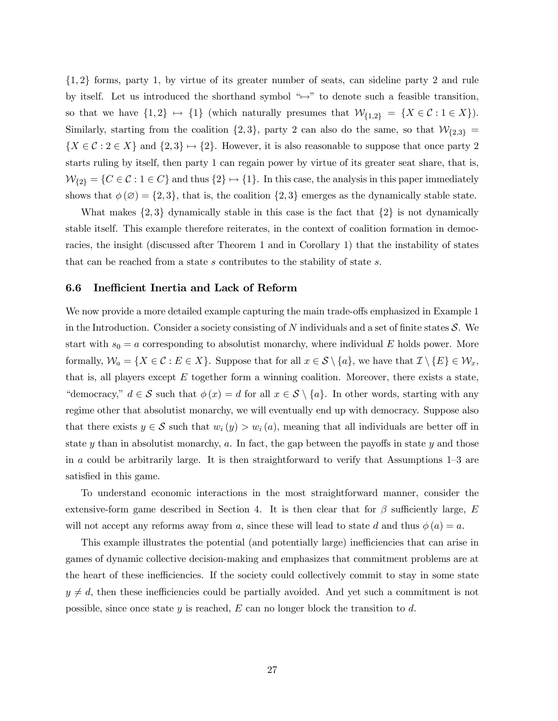{1, 2} forms, party 1, by virtue of its greater number of seats, can sideline party 2 and rule by itself. Let us introduced the shorthand symbol " $\mapsto$ " to denote such a feasible transition, so that we have  $\{1, 2\} \mapsto \{1\}$  (which naturally presumes that  $\mathcal{W}_{\{1,2\}} = \{X \in \mathcal{C} : 1 \in X\}$ ). Similarly, starting from the coalition  $\{2, 3\}$ , party 2 can also do the same, so that  $\mathcal{W}_{\{2,3\}} =$  $\{X \in \mathcal{C} : 2 \in X\}$  and  $\{2,3\} \mapsto \{2\}$ . However, it is also reasonable to suppose that once party 2 starts ruling by itself, then party 1 can regain power by virtue of its greater seat share, that is,  $\mathcal{W}_{\{2\}} = \{C \in \mathcal{C} : 1 \in C\}$  and thus  $\{2\} \mapsto \{1\}$ . In this case, the analysis in this paper immediately shows that  $\phi(\emptyset) = \{2, 3\}$ , that is, the coalition  $\{2, 3\}$  emerges as the dynamically stable state.

What makes  $\{2,3\}$  dynamically stable in this case is the fact that  $\{2\}$  is not dynamically stable itself. This example therefore reiterates, in the context of coalition formation in democracies, the insight (discussed after Theorem 1 and in Corollary 1) that the instability of states that can be reached from a state s contributes to the stability of state s.

#### 6.6 Inefficient Inertia and Lack of Reform

We now provide a more detailed example capturing the main trade-offs emphasized in Example 1 in the Introduction. Consider a society consisting of N individuals and a set of finite states  $S$ . We start with  $s_0 = a$  corresponding to absolutist monarchy, where individual E holds power. More formally,  $\mathcal{W}_a = \{X \in \mathcal{C} : E \in X\}$ . Suppose that for all  $x \in \mathcal{S} \setminus \{a\}$ , we have that  $\mathcal{I} \setminus \{E\} \in \mathcal{W}_x$ , that is, all players except  $E$  together form a winning coalition. Moreover, there exists a state, "democracy,"  $d \in \mathcal{S}$  such that  $\phi(x) = d$  for all  $x \in \mathcal{S} \setminus \{a\}$ . In other words, starting with any regime other that absolutist monarchy, we will eventually end up with democracy. Suppose also that there exists  $y \in \mathcal{S}$  such that  $w_i(y) > w_i(a)$ , meaning that all individuals are better off in state y than in absolutist monarchy,  $a$ . In fact, the gap between the payoffs in state y and those in a could be arbitrarily large. It is then straightforward to verify that Assumptions  $1-3$  are satisfied in this game.

To understand economic interactions in the most straightforward manner, consider the extensive-form game described in Section 4. It is then clear that for  $\beta$  sufficiently large, E will not accept any reforms away from a, since these will lead to state d and thus  $\phi(a) = a$ .

This example illustrates the potential (and potentially large) inefficiencies that can arise in games of dynamic collective decision-making and emphasizes that commitment problems are at the heart of these inefficiencies. If the society could collectively commit to stay in some state  $y \neq d$ , then these inefficiencies could be partially avoided. And yet such a commitment is not possible, since once state y is reached,  $E$  can no longer block the transition to  $d$ .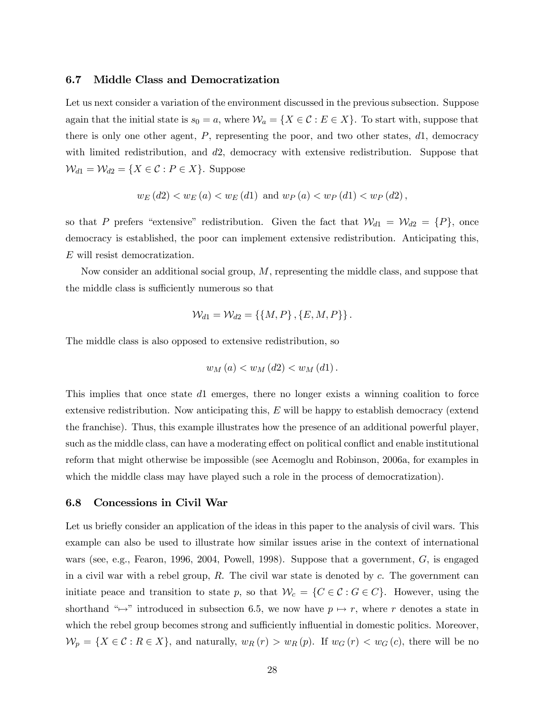#### 6.7 Middle Class and Democratization

Let us next consider a variation of the environment discussed in the previous subsection. Suppose again that the initial state is  $s_0 = a$ , where  $\mathcal{W}_a = \{X \in \mathcal{C} : E \in X\}$ . To start with, suppose that there is only one other agent,  $P$ , representing the poor, and two other states,  $d_1$ , democracy with limited redistribution, and d2, democracy with extensive redistribution. Suppose that  $\mathcal{W}_{d1} = \mathcal{W}_{d2} = \{X \in \mathcal{C} : P \in X\}$ . Suppose

$$
w_E(d2) < w_E(a) < w_E(d1)
$$
 and  $w_P(a) < w_P(d1) < w_P(d2)$ ,

so that P prefers "extensive" redistribution. Given the fact that  $\mathcal{W}_{d1} = \mathcal{W}_{d2} = \{P\}$ , once democracy is established, the poor can implement extensive redistribution. Anticipating this, E will resist democratization.

Now consider an additional social group, M, representing the middle class, and suppose that the middle class is sufficiently numerous so that

$$
\mathcal{W}_{d1} = \mathcal{W}_{d2} = \left\{ \{M, P\}, \{E, M, P\} \right\}.
$$

The middle class is also opposed to extensive redistribution, so

$$
w_M(a) < w_M(d2) < w_M(d1).
$$

This implies that once state d1 emerges, there no longer exists a winning coalition to force extensive redistribution. Now anticipating this,  $E$  will be happy to establish democracy (extend the franchise). Thus, this example illustrates how the presence of an additional powerful player, such as the middle class, can have a moderating effect on political conflict and enable institutional reform that might otherwise be impossible (see Acemoglu and Robinson, 2006a, for examples in which the middle class may have played such a role in the process of democratization).

#### 6.8 Concessions in Civil War

Let us briefly consider an application of the ideas in this paper to the analysis of civil wars. This example can also be used to illustrate how similar issues arise in the context of international wars (see, e.g., Fearon, 1996, 2004, Powell, 1998). Suppose that a government,  $G$ , is engaged in a civil war with a rebel group,  $R$ . The civil war state is denoted by  $c$ . The government can initiate peace and transition to state p, so that  $\mathcal{W}_c = \{C \in \mathcal{C} : G \in C\}$ . However, using the shorthand " $\rightarrow$ " introduced in subsection 6.5, we now have  $p \mapsto r$ , where r denotes a state in which the rebel group becomes strong and sufficiently influential in domestic politics. Moreover,  $\mathcal{W}_p = \{X \in \mathcal{C} : R \in X\}$ , and naturally,  $w_R(r) > w_R(p)$ . If  $w_G(r) < w_G(c)$ , there will be no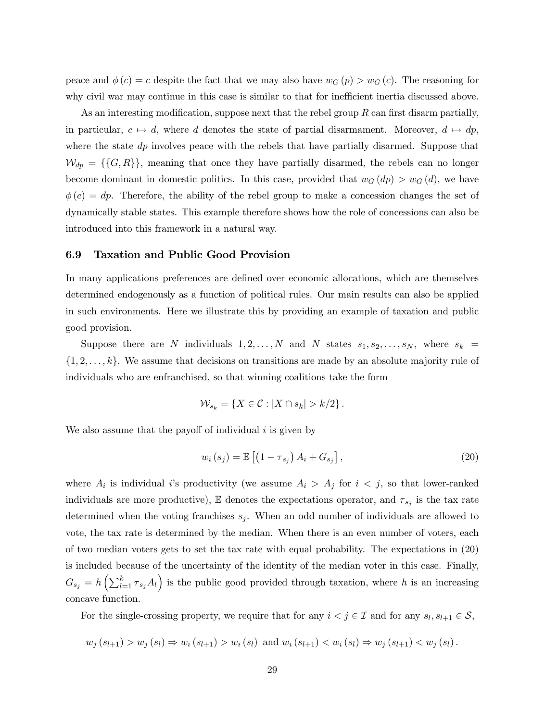peace and  $\phi(c) = c$  despite the fact that we may also have  $w_G(p) > w_G(c)$ . The reasoning for why civil war may continue in this case is similar to that for inefficient inertia discussed above.

As an interesting modification, suppose next that the rebel group  $R$  can first disarm partially, in particular,  $c \mapsto d$ , where d denotes the state of partial disarmament. Moreover,  $d \mapsto dp$ , where the state  $dp$  involves peace with the rebels that have partially disarmed. Suppose that  $\mathcal{W}_{dp} = \{\{G, R\}\}\$ , meaning that once they have partially disarmed, the rebels can no longer become dominant in domestic politics. In this case, provided that  $w_G(dp) > w_G(d)$ , we have  $\phi(c) = dp$ . Therefore, the ability of the rebel group to make a concession changes the set of dynamically stable states. This example therefore shows how the role of concessions can also be introduced into this framework in a natural way.

#### 6.9 Taxation and Public Good Provision

In many applications preferences are defined over economic allocations, which are themselves determined endogenously as a function of political rules. Our main results can also be applied in such environments. Here we illustrate this by providing an example of taxation and public good provision.

Suppose there are N individuals  $1, 2, ..., N$  and N states  $s_1, s_2, ..., s_N$ , where  $s_k$  $\{1, 2, \ldots, k\}$ . We assume that decisions on transitions are made by an absolute majority rule of individuals who are enfranchised, so that winning coalitions take the form

$$
\mathcal{W}_{s_k} = \{ X \in \mathcal{C} : |X \cap s_k| > k/2 \}.
$$

We also assume that the payoff of individual  $i$  is given by

$$
w_i(s_j) = \mathbb{E}\left[\left(1 - \tau_{s_j}\right)A_i + G_{s_j}\right],\tag{20}
$$

where  $A_i$  is individual i's productivity (we assume  $A_i > A_j$  for  $i < j$ , so that lower-ranked individuals are more productive), E denotes the expectations operator, and  $\tau_{s_j}$  is the tax rate determined when the voting franchises  $s_j$ . When an odd number of individuals are allowed to vote, the tax rate is determined by the median. When there is an even number of voters, each of two median voters gets to set the tax rate with equal probability. The expectations in (20) is included because of the uncertainty of the identity of the median voter in this case. Finally,  $G_{s_j} = h\left(\sum_{l=1}^k \tau_{s_j} A_l\right)$  is the public good provided through taxation, where h is an increasing concave function.

For the single-crossing property, we require that for any  $i < j \in \mathcal{I}$  and for any  $s_l, s_{l+1} \in \mathcal{S}$ ,

$$
w_j(s_{l+1}) > w_j(s_l) \Rightarrow w_i(s_{l+1}) > w_i(s_l)
$$
 and  $w_i(s_{l+1}) < w_i(s_l) \Rightarrow w_j(s_{l+1}) < w_j(s_l)$ .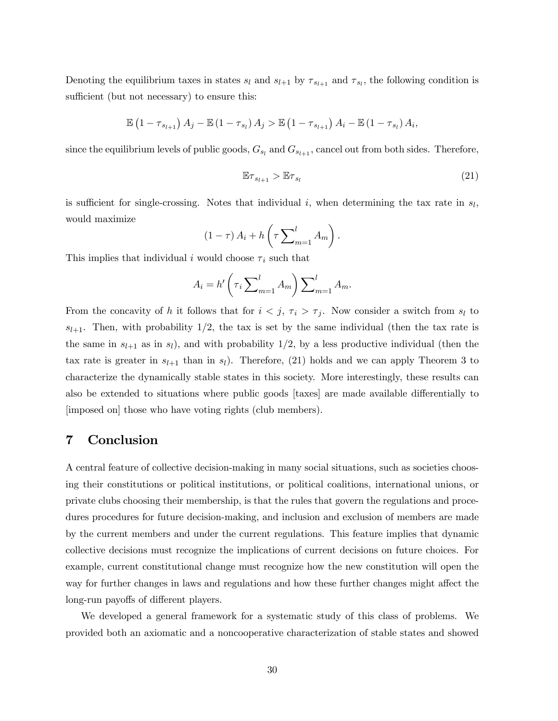Denoting the equilibrium taxes in states  $s_l$  and  $s_{l+1}$  by  $\tau_{s_{l+1}}$  and  $\tau_{s_l}$ , the following condition is sufficient (but not necessary) to ensure this:

$$
\mathbb{E} (1 - \tau_{s_{l+1}}) A_j - \mathbb{E} (1 - \tau_{s_l}) A_j > \mathbb{E} (1 - \tau_{s_{l+1}}) A_i - \mathbb{E} (1 - \tau_{s_l}) A_i,
$$

since the equilibrium levels of public goods,  $G_{s_l}$  and  $G_{s_{l+1}}$ , cancel out from both sides. Therefore,

$$
\mathbb{E}\tau_{s_{l+1}} > \mathbb{E}\tau_{s_l} \tag{21}
$$

is sufficient for single-crossing. Notes that individual i, when determining the tax rate in  $s_l$ , would maximize

$$
(1-\tau) A_i + h\left(\tau \sum_{m=1}^l A_m\right).
$$

This implies that individual i would choose  $\tau_i$  such that

$$
A_i = h' \left( \tau_i \sum_{m=1}^l A_m \right) \sum_{m=1}^l A_m.
$$

From the concavity of h it follows that for  $i < j$ ,  $\tau_i > \tau_j$ . Now consider a switch from  $s_l$  to  $s_{l+1}$ . Then, with probability 1/2, the tax is set by the same individual (then the tax rate is the same in  $s_{l+1}$  as in  $s_l$ ), and with probability 1/2, by a less productive individual (then the tax rate is greater in  $s_{l+1}$  than in  $s_l$ ). Therefore, (21) holds and we can apply Theorem 3 to characterize the dynamically stable states in this society. More interestingly, these results can also be extended to situations where public goods [taxes] are made available differentially to [imposed on] those who have voting rights (club members).

## 7 Conclusion

A central feature of collective decision-making in many social situations, such as societies choosing their constitutions or political institutions, or political coalitions, international unions, or private clubs choosing their membership, is that the rules that govern the regulations and procedures procedures for future decision-making, and inclusion and exclusion of members are made by the current members and under the current regulations. This feature implies that dynamic collective decisions must recognize the implications of current decisions on future choices. For example, current constitutional change must recognize how the new constitution will open the way for further changes in laws and regulations and how these further changes might affect the long-run payoffs of different players.

We developed a general framework for a systematic study of this class of problems. We provided both an axiomatic and a noncooperative characterization of stable states and showed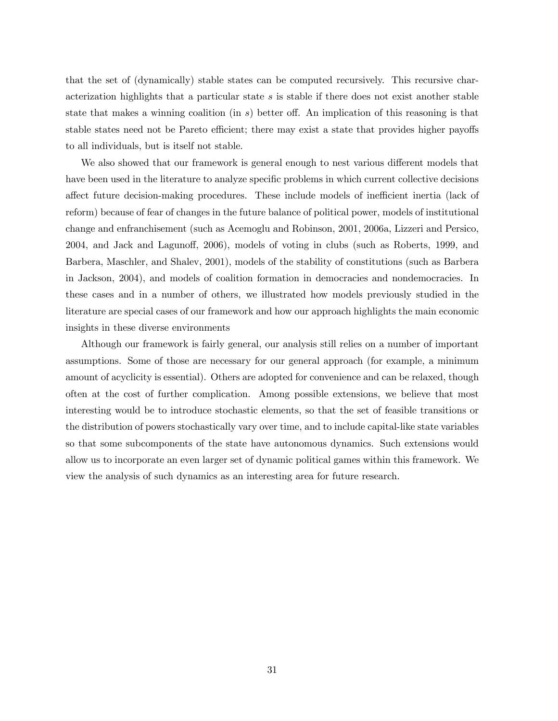that the set of (dynamically) stable states can be computed recursively. This recursive characterization highlights that a particular state s is stable if there does not exist another stable state that makes a winning coalition (in  $s$ ) better off. An implication of this reasoning is that stable states need not be Pareto efficient; there may exist a state that provides higher payoffs to all individuals, but is itself not stable.

We also showed that our framework is general enough to nest various different models that have been used in the literature to analyze specific problems in which current collective decisions affect future decision-making procedures. These include models of inefficient inertia (lack of reform) because of fear of changes in the future balance of political power, models of institutional change and enfranchisement (such as Acemoglu and Robinson, 2001, 2006a, Lizzeri and Persico, 2004, and Jack and Lagunoff, 2006), models of voting in clubs (such as Roberts, 1999, and Barbera, Maschler, and Shalev, 2001), models of the stability of constitutions (such as Barbera in Jackson, 2004), and models of coalition formation in democracies and nondemocracies. In these cases and in a number of others, we illustrated how models previously studied in the literature are special cases of our framework and how our approach highlights the main economic insights in these diverse environments

Although our framework is fairly general, our analysis still relies on a number of important assumptions. Some of those are necessary for our general approach (for example, a minimum amount of acyclicity is essential). Others are adopted for convenience and can be relaxed, though often at the cost of further complication. Among possible extensions, we believe that most interesting would be to introduce stochastic elements, so that the set of feasible transitions or the distribution of powers stochastically vary over time, and to include capital-like state variables so that some subcomponents of the state have autonomous dynamics. Such extensions would allow us to incorporate an even larger set of dynamic political games within this framework. We view the analysis of such dynamics as an interesting area for future research.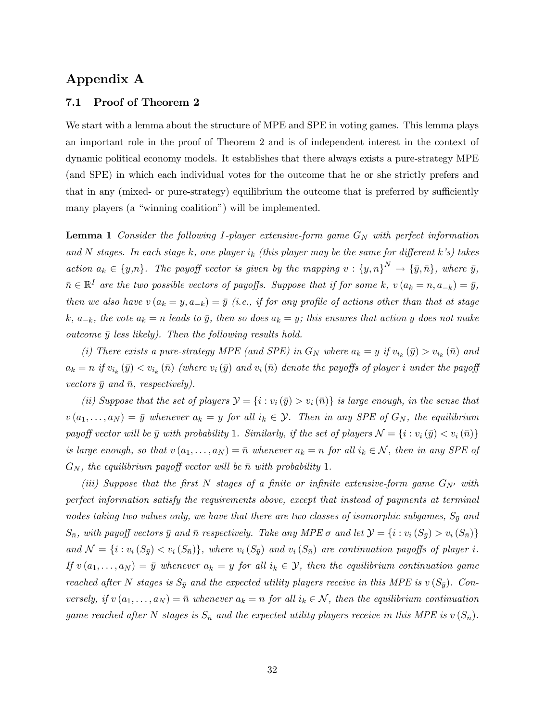## Appendix A

### 7.1 Proof of Theorem 2

We start with a lemma about the structure of MPE and SPE in voting games. This lemma plays an important role in the proof of Theorem 2 and is of independent interest in the context of dynamic political economy models. It establishes that there always exists a pure-strategy MPE (and SPE) in which each individual votes for the outcome that he or she strictly prefers and that in any (mixed- or pure-strategy) equilibrium the outcome that is preferred by sufficiently many players (a "winning coalition") will be implemented.

**Lemma 1** Consider the following I-player extensive-form game  $G_N$  with perfect information and N stages. In each stage k, one player  $i_k$  (this player may be the same for different k's) takes action  $a_k \in \{y,n\}$ . The payoff vector is given by the mapping  $v: \{y,n\}^N \to \{\bar{y},\bar{n}\},\$  where  $\bar{y},$  $\bar{n} \in \mathbb{R}^I$  are the two possible vectors of payoffs. Suppose that if for some k,  $v (a_k = n, a_{-k}) = \bar{y}$ , then we also have  $v(a_k = y, a_{-k}) = \bar{y}$  (i.e., if for any profile of actions other than that at stage k,  $a_{-k}$ , the vote  $a_k = n$  leads to  $\bar{y}$ , then so does  $a_k = y$ ; this ensures that action y does not make outcome  $\bar{y}$  less likely). Then the following results hold.

(i) There exists a pure-strategy MPE (and SPE) in  $G_N$  where  $a_k = y$  if  $v_{i_k}(\bar{y}) > v_{i_k}(\bar{n})$  and  $a_k = n$  if  $v_{i_k}(\bar{y}) < v_{i_k}(\bar{n})$  (where  $v_i(\bar{y})$  and  $v_i(\bar{n})$  denote the payoffs of player i under the payoff vectors  $\bar{y}$  and  $\bar{n}$ , respectively).

(ii) Suppose that the set of players  $\mathcal{Y} = \{i : v_i(\bar{y}) > v_i(\bar{n})\}$  is large enough, in the sense that  $v(a_1,...,a_N) = \bar{y}$  whenever  $a_k = y$  for all  $i_k \in \mathcal{Y}$ . Then in any SPE of  $G_N$ , the equilibrium payoff vector will be  $\bar{y}$  with probability 1. Similarly, if the set of players  $\mathcal{N} = \{i : v_i(\bar{y}) < v_i(\bar{n})\}$ is large enough, so that  $v(a_1,...,a_N) = \overline{n}$  whenever  $a_k = n$  for all  $i_k \in \mathcal{N}$ , then in any SPE of  $G_N$ , the equilibrium payoff vector will be  $\bar{n}$  with probability 1.

(iii) Suppose that the first N stages of a finite or infinite extensive-form game  $G_{N}$  with perfect information satisfy the requirements above, except that instead of payments at terminal nodes taking two values only, we have that there are two classes of isomorphic subgames,  $S_{\bar{y}}$  and  $S_{\bar{n}}$ , with payoff vectors  $\bar{y}$  and  $\bar{n}$  respectively. Take any MPE  $\sigma$  and let  $\mathcal{Y} = \{i : v_i(S_{\bar{y}}) > v_i(S_{\bar{n}})\}\$ and  $\mathcal{N} = \{i : v_i(S_{\bar{y}}) < v_i(S_{\bar{n}})\}\$ , where  $v_i(S_{\bar{y}})$  and  $v_i(S_{\bar{n}})$  are continuation payoffs of player i. If  $v(a_1,...,a_N) = \bar{y}$  whenever  $a_k = y$  for all  $i_k \in \mathcal{Y}$ , then the equilibrium continuation game reached after N stages is  $S_{\bar{y}}$  and the expected utility players receive in this MPE is v  $(S_{\bar{y}})$ . Conversely, if  $v(a_1,...,a_N) = \bar{n}$  whenever  $a_k = n$  for all  $i_k \in \mathcal{N}$ , then the equilibrium continuation game reached after N stages is  $S_{\bar{n}}$  and the expected utility players receive in this MPE is  $v(S_{\bar{n}})$ .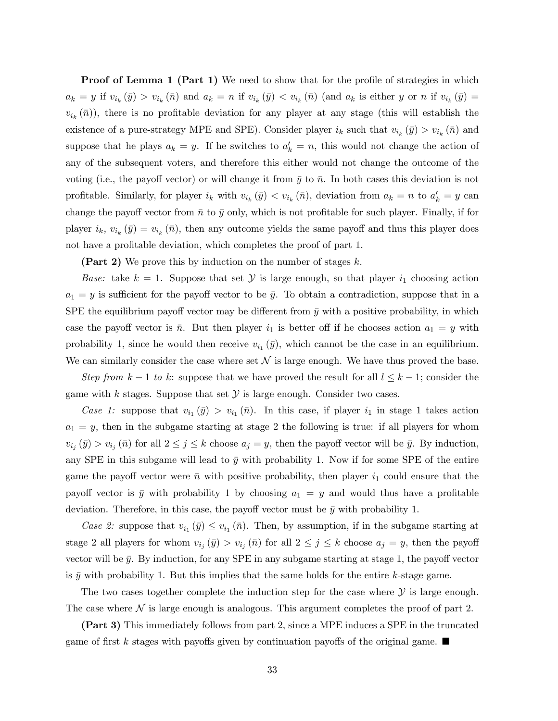**Proof of Lemma 1 (Part 1)** We need to show that for the profile of strategies in which  $a_k = y$  if  $v_{i_k}(\bar{y}) > v_{i_k}(\bar{n})$  and  $a_k = n$  if  $v_{i_k}(\bar{y}) < v_{i_k}(\bar{n})$  (and  $a_k$  is either y or n if  $v_{i_k}(\bar{y}) =$  $v_{i_k}(\bar{n})$ , there is no profitable deviation for any player at any stage (this will establish the existence of a pure-strategy MPE and SPE). Consider player  $i_k$  such that  $v_{i_k}(\bar{y}) > v_{i_k}(\bar{n})$  and suppose that he plays  $a_k = y$ . If he switches to  $a'_k = n$ , this would not change the action of any of the subsequent voters, and therefore this either would not change the outcome of the voting (i.e., the payoff vector) or will change it from  $\bar{y}$  to  $\bar{n}$ . In both cases this deviation is not profitable. Similarly, for player  $i_k$  with  $v_{i_k}(\bar{y}) < v_{i_k}(\bar{n})$ , deviation from  $a_k = n$  to  $a'_k = y$  can change the payoff vector from  $\bar{n}$  to  $\bar{y}$  only, which is not profitable for such player. Finally, if for player  $i_k$ ,  $v_{i_k}(\bar{y}) = v_{i_k}(\bar{n})$ , then any outcome yields the same payoff and thus this player does not have a profitable deviation, which completes the proof of part 1.

**(Part 2)** We prove this by induction on the number of stages k.

Base: take  $k = 1$ . Suppose that set Y is large enough, so that player  $i_1$  choosing action  $a_1 = y$  is sufficient for the payoff vector to be  $\bar{y}$ . To obtain a contradiction, suppose that in a SPE the equilibrium payoff vector may be different from  $\bar{y}$  with a positive probability, in which case the payoff vector is  $\bar{n}$ . But then player  $i_1$  is better off if he chooses action  $a_1 = y$  with probability 1, since he would then receive  $v_{i_1}(\bar{y})$ , which cannot be the case in an equilibrium. We can similarly consider the case where set  $\mathcal N$  is large enough. We have thus proved the base.

Step from  $k-1$  to k: suppose that we have proved the result for all  $l \leq k-1$ ; consider the game with k stages. Suppose that set  $\mathcal Y$  is large enough. Consider two cases.

Case 1: suppose that  $v_{i_1}(\bar{y}) > v_{i_1}(\bar{n})$ . In this case, if player  $i_1$  in stage 1 takes action  $a_1 = y$ , then in the subgame starting at stage 2 the following is true: if all players for whom  $v_{i_j}(\bar{y}) > v_{i_j}(\bar{n})$  for all  $2 \leq j \leq k$  choose  $a_j = y$ , then the payoff vector will be  $\bar{y}$ . By induction, any SPE in this subgame will lead to  $\bar{y}$  with probability 1. Now if for some SPE of the entire game the payoff vector were  $\bar{n}$  with positive probability, then player  $i_1$  could ensure that the payoff vector is  $\bar{y}$  with probability 1 by choosing  $a_1 = y$  and would thus have a profitable deviation. Therefore, in this case, the payoff vector must be  $\bar{y}$  with probability 1.

Case 2: suppose that  $v_{i_1}(\bar{y}) \le v_{i_1}(\bar{n})$ . Then, by assumption, if in the subgame starting at stage 2 all players for whom  $v_{i_j}(\bar{y}) > v_{i_j}(\bar{n})$  for all  $2 \leq j \leq k$  choose  $a_j = y$ , then the payoff vector will be  $\bar{y}$ . By induction, for any SPE in any subgame starting at stage 1, the payoff vector is  $\bar{y}$  with probability 1. But this implies that the same holds for the entire k-stage game.

The two cases together complete the induction step for the case where  $\mathcal Y$  is large enough. The case where  $\mathcal N$  is large enough is analogous. This argument completes the proof of part 2.

(Part 3) This immediately follows from part 2, since a MPE induces a SPE in the truncated game of first k stages with payoffs given by continuation payoffs of the original game.  $\blacksquare$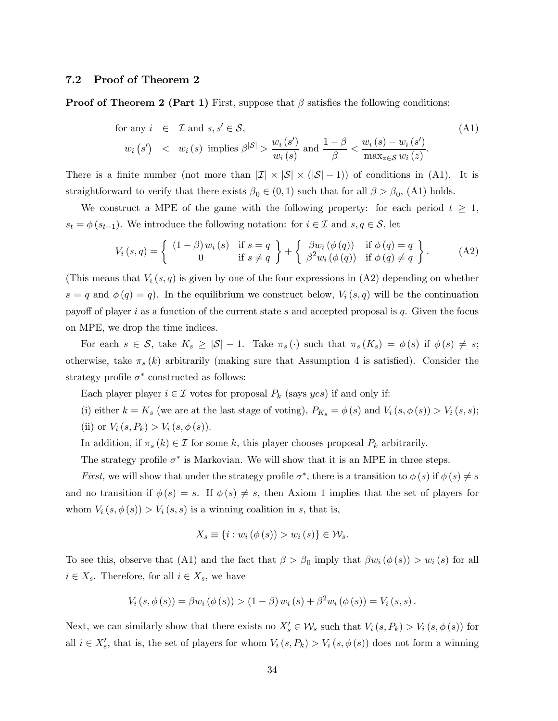### 7.2 Proof of Theorem 2

**Proof of Theorem 2 (Part 1)** First, suppose that  $\beta$  satisfies the following conditions:

for any 
$$
i \in \mathcal{I}
$$
 and  $s, s' \in \mathcal{S}$ ,  
\n $w_i(s') < w_i(s)$  implies  $\beta^{|\mathcal{S}|} > \frac{w_i(s')}{w_i(s)}$  and  $\frac{1-\beta}{\beta} < \frac{w_i(s) - w_i(s')}{\max_{z \in \mathcal{S}} w_i(z)}$ . (A1)

There is a finite number (not more than  $|\mathcal{I}| \times |\mathcal{S}| \times (|\mathcal{S}|-1)$ ) of conditions in (A1). It is straightforward to verify that there exists  $\beta_0 \in (0,1)$  such that for all  $\beta > \beta_0$ , (A1) holds.

We construct a MPE of the game with the following property: for each period  $t \geq 1$ ,  $s_t = \phi(s_{t-1})$ . We introduce the following notation: for  $i \in \mathcal{I}$  and  $s, q \in \mathcal{S}$ , let

$$
V_i(s,q) = \begin{cases} (1-\beta) w_i(s) & \text{if } s=q \\ 0 & \text{if } s \neq q \end{cases} + \begin{cases} \beta w_i(\phi(q)) & \text{if } \phi(q) = q \\ \beta^2 w_i(\phi(q)) & \text{if } \phi(q) \neq q \end{cases}.
$$
 (A2)

(This means that  $V_i(s,q)$  is given by one of the four expressions in  $(A2)$  depending on whether  $s = q$  and  $\phi(q) = q$ ). In the equilibrium we construct below,  $V_i(s,q)$  will be the continuation payoff of player  $i$  as a function of the current state s and accepted proposal is  $q$ . Given the focus on MPE, we drop the time indices.

For each  $s \in S$ , take  $K_s \geq |\mathcal{S}| - 1$ . Take  $\pi_s(\cdot)$  such that  $\pi_s(K_s) = \phi(s)$  if  $\phi(s) \neq s$ ; otherwise, take  $\pi_s(k)$  arbitrarily (making sure that Assumption 4 is satisfied). Consider the strategy profile  $\sigma^*$  constructed as follows:

Each player player  $i \in \mathcal{I}$  votes for proposal  $P_k$  (says yes) if and only if:

- (i) either  $k = K_s$  (we are at the last stage of voting),  $P_{K_s} = \phi(s)$  and  $V_i(s, \phi(s)) > V_i(s, s);$ (ii) or  $V_i(s, P_k) > V_i(s, \phi(s)).$
- In addition, if  $\pi_s(k) \in \mathcal{I}$  for some k, this player chooses proposal  $P_k$  arbitrarily.

The strategy profile  $\sigma^*$  is Markovian. We will show that it is an MPE in three steps.

First, we will show that under the strategy profile  $\sigma^*$ , there is a transition to  $\phi(s)$  if  $\phi(s) \neq s$ and no transition if  $\phi(s) = s$ . If  $\phi(s) \neq s$ , then Axiom 1 implies that the set of players for whom  $V_i(s, \phi(s)) > V_i(s, s)$  is a winning coalition in s, that is,

$$
X_s \equiv \{i : w_i(\phi(s)) > w_i(s)\} \in \mathcal{W}_s.
$$

To see this, observe that (A1) and the fact that  $\beta > \beta_0$  imply that  $\beta w_i (\phi(s)) > w_i (s)$  for all  $i \in X_s$ . Therefore, for all  $i \in X_s$ , we have

$$
V_i(s, \phi(s)) = \beta w_i(\phi(s)) > (1 - \beta) w_i(s) + \beta^2 w_i(\phi(s)) = V_i(s, s).
$$

Next, we can similarly show that there exists no  $X'_{s} \in W_{s}$  such that  $V_{i}(s, P_{k}) > V_{i}(s, \phi(s))$  for all  $i \in X'_{s}$ , that is, the set of players for whom  $V_i(s, P_k) > V_i(s, \phi(s))$  does not form a winning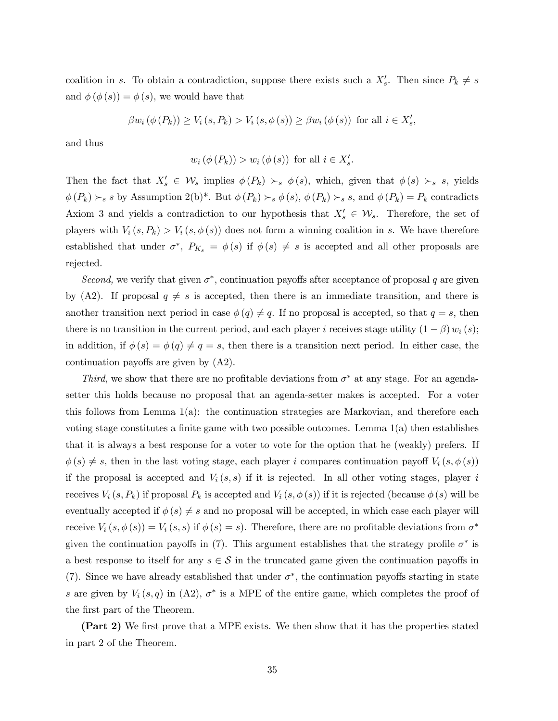coalition in s. To obtain a contradiction, suppose there exists such a  $X'_s$ . Then since  $P_k \neq s$ and  $\phi(\phi(s)) = \phi(s)$ , we would have that

$$
\beta w_i(\phi(P_k)) \ge V_i(s, P_k) > V_i(s, \phi(s)) \ge \beta w_i(\phi(s)) \text{ for all } i \in X'_s,
$$

and thus

$$
w_i(\phi(P_k)) > w_i(\phi(s))
$$
 for all  $i \in X'_s$ .

Then the fact that  $X'_s \in \mathcal{W}_s$  implies  $\phi(P_k) \succ_s \phi(s)$ , which, given that  $\phi(s) \succ_s s$ , yields  $\phi(P_k) \succ_s s$  by Assumption 2(b)\*. But  $\phi(P_k) \succ_s \phi(s)$ ,  $\phi(P_k) \succ_s s$ , and  $\phi(P_k) = P_k$  contradicts Axiom 3 and yields a contradiction to our hypothesis that  $X'_{s} \in \mathcal{W}_{s}$ . Therefore, the set of players with  $V_i(s, P_k) > V_i(s, \phi(s))$  does not form a winning coalition in s. We have therefore established that under  $\sigma^*$ ,  $P_{K_s} = \phi(s)$  if  $\phi(s) \neq s$  is accepted and all other proposals are rejected.

Second, we verify that given  $\sigma^*$ , continuation payoffs after acceptance of proposal q are given by (A2). If proposal  $q \neq s$  is accepted, then there is an immediate transition, and there is another transition next period in case  $\phi(q) \neq q$ . If no proposal is accepted, so that  $q = s$ , then there is no transition in the current period, and each player i receives stage utility  $(1 - \beta) w_i(s)$ ; in addition, if  $\phi(s) = \phi(q) \neq q = s$ , then there is a transition next period. In either case, the continuation payoffs are given by (A2).

Third, we show that there are no profitable deviations from  $\sigma^*$  at any stage. For an agendasetter this holds because no proposal that an agenda-setter makes is accepted. For a voter this follows from Lemma 1(a): the continuation strategies are Markovian, and therefore each voting stage constitutes a finite game with two possible outcomes. Lemma 1(a) then establishes that it is always a best response for a voter to vote for the option that he (weakly) prefers. If  $\phi(s) \neq s$ , then in the last voting stage, each player i compares continuation payoff  $V_i(s, \phi(s))$ if the proposal is accepted and  $V_i(s, s)$  if it is rejected. In all other voting stages, player i receives  $V_i(s, P_k)$  if proposal  $P_k$  is accepted and  $V_i(s, \phi(s))$  if it is rejected (because  $\phi(s)$  will be eventually accepted if  $\phi(s) \neq s$  and no proposal will be accepted, in which case each player will receive  $V_i(s, \phi(s)) = V_i(s, s)$  if  $\phi(s) = s$ . Therefore, there are no profitable deviations from  $\sigma^*$ given the continuation payoffs in (7). This argument establishes that the strategy profile  $\sigma^*$  is a best response to itself for any  $s \in \mathcal{S}$  in the truncated game given the continuation payoffs in (7). Since we have already established that under  $\sigma^*$ , the continuation payoffs starting in state s are given by  $V_i(s,q)$  in (A2),  $\sigma^*$  is a MPE of the entire game, which completes the proof of the first part of the Theorem.

(Part 2) We first prove that a MPE exists. We then show that it has the properties stated in part 2 of the Theorem.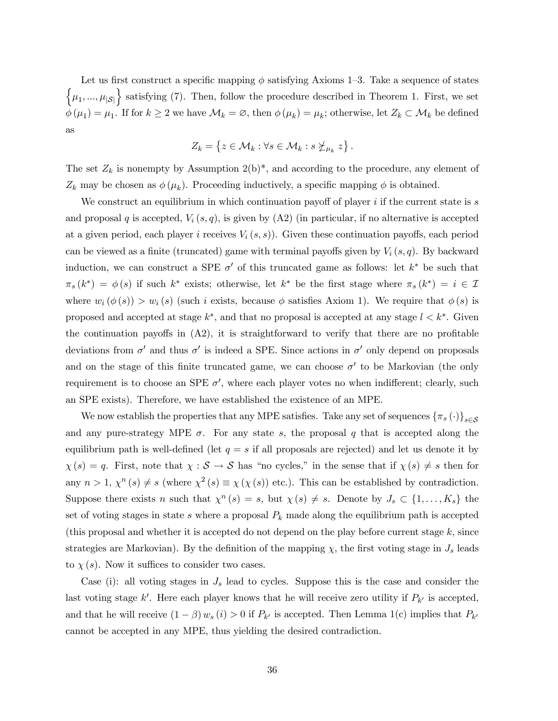Let us first construct a specific mapping  $\phi$  satisfying Axioms 1–3. Take a sequence of states  $\{\mu_1, ..., \mu_{|\mathcal{S}|}\}$  satisfying (7). Then, follow the procedure described in Theorem 1. First, we set  $\phi(\mu_1) = \mu_1$ . If for  $k \geq 2$  we have  $\mathcal{M}_k = \emptyset$ , then  $\phi(\mu_k) = \mu_k$ ; otherwise, let  $Z_k \subset \mathcal{M}_k$  be defined as

$$
Z_k = \left\{ z \in \mathcal{M}_k : \forall s \in \mathcal{M}_k : s \nleq_{\mu_k} z \right\}.
$$

The set  $Z_k$  is nonempty by Assumption 2(b)<sup>\*</sup>, and according to the procedure, any element of  $Z_k$  may be chosen as  $\phi(\mu_k)$ . Proceeding inductively, a specific mapping  $\phi$  is obtained.

We construct an equilibrium in which continuation payoff of player  $i$  if the current state is  $s$ and proposal q is accepted,  $V_i$  (s, q), is given by (A2) (in particular, if no alternative is accepted at a given period, each player i receives  $V_i(s, s)$ . Given these continuation payoffs, each period can be viewed as a finite (truncated) game with terminal payoffs given by  $V_i(s, q)$ . By backward induction, we can construct a SPE  $\sigma'$  of this truncated game as follows: let  $k^*$  be such that  $\pi_s(k^*) = \phi(s)$  if such  $k^*$  exists; otherwise, let  $k^*$  be the first stage where  $\pi_s(k^*) = i \in \mathcal{I}$ where  $w_i(\phi(s)) > w_i(s)$  (such i exists, because  $\phi$  satisfies Axiom 1). We require that  $\phi(s)$  is proposed and accepted at stage  $k^*$ , and that no proposal is accepted at any stage  $l < k^*$ . Given the continuation payoffs in  $(A2)$ , it is straightforward to verify that there are no profitable deviations from  $\sigma'$  and thus  $\sigma'$  is indeed a SPE. Since actions in  $\sigma'$  only depend on proposals and on the stage of this finite truncated game, we can choose  $\sigma'$  to be Markovian (the only requirement is to choose an SPE  $\sigma'$ , where each player votes no when indifferent; clearly, such an SPE exists). Therefore, we have established the existence of an MPE.

We now establish the properties that any MPE satisfies. Take any set of sequences  $\{\pi_s(\cdot)\}_{s\in\mathcal{S}}$ and any pure-strategy MPE  $\sigma$ . For any state s, the proposal q that is accepted along the equilibrium path is well-defined (let  $q = s$  if all proposals are rejected) and let us denote it by  $\chi(s) = q$ . First, note that  $\chi : \mathcal{S} \to \mathcal{S}$  has "no cycles," in the sense that if  $\chi(s) \neq s$  then for any  $n > 1$ ,  $\chi^{n}(s) \neq s$  (where  $\chi^{2}(s) \equiv \chi(\chi(s))$  etc.). This can be established by contradiction. Suppose there exists n such that  $\chi^{n}(s) = s$ , but  $\chi(s) \neq s$ . Denote by  $J_s \subset \{1, ..., K_s\}$  the set of voting stages in state s where a proposal  $P_k$  made along the equilibrium path is accepted (this proposal and whether it is accepted do not depend on the play before current stage  $k$ , since strategies are Markovian). By the definition of the mapping  $\chi$ , the first voting stage in  $J_s$  leads to  $\chi(s)$ . Now it suffices to consider two cases.

Case (i): all voting stages in  $J_s$  lead to cycles. Suppose this is the case and consider the last voting stage k'. Here each player knows that he will receive zero utility if  $P_{k'}$  is accepted, and that he will receive  $(1 - \beta) w_s(i) > 0$  if  $P_{k'}$  is accepted. Then Lemma 1(c) implies that  $P_{k'}$ cannot be accepted in any MPE, thus yielding the desired contradiction.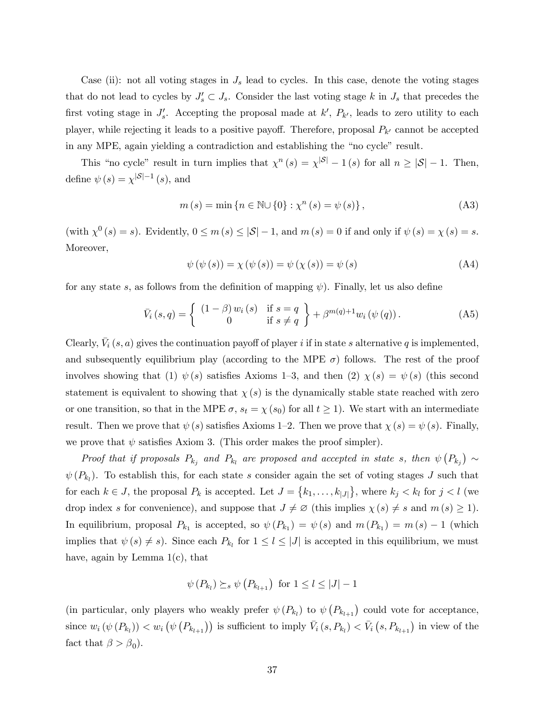Case (ii): not all voting stages in  $J_s$  lead to cycles. In this case, denote the voting stages that do not lead to cycles by  $J_s' \subset J_s$ . Consider the last voting stage k in  $J_s$  that precedes the first voting stage in  $J_s'$ . Accepting the proposal made at  $k'$ ,  $P_{k'}$ , leads to zero utility to each player, while rejecting it leads to a positive payoff. Therefore, proposal  $P_{k'}$  cannot be accepted in any MPE, again yielding a contradiction and establishing the "no cycle" result.

This "no cycle" result in turn implies that  $\chi^{n}(s) = \chi^{|\mathcal{S}|} - 1$  (s) for all  $n \geq |\mathcal{S}| - 1$ . Then, define  $\psi(s) = \chi^{|\mathcal{S}|-1}(s)$ , and

$$
m(s) = \min\left\{n \in \mathbb{N} \cup \{0\} : \chi^{n}(s) = \psi(s)\right\},\tag{A3}
$$

(with  $\chi^0(s) = s$ ). Evidently,  $0 \le m(s) \le |\mathcal{S}| - 1$ , and  $m(s) = 0$  if and only if  $\psi(s) = \chi(s) = s$ . Moreover,

$$
\psi(\psi(s)) = \chi(\psi(s)) = \psi(\chi(s)) = \psi(s)
$$
\n(A4)

for any state s, as follows from the definition of mapping  $\psi$ ). Finally, let us also define

$$
\bar{V}_i(s,q) = \begin{cases} (1-\beta) w_i(s) & \text{if } s=q \\ 0 & \text{if } s \neq q \end{cases} + \beta^{m(q)+1} w_i(\psi(q)). \tag{A5}
$$

Clearly,  $\bar{V}_i$  (s, a) gives the continuation payoff of player i if in state s alternative q is implemented, and subsequently equilibrium play (according to the MPE  $\sigma$ ) follows. The rest of the proof involves showing that (1)  $\psi(s)$  satisfies Axioms 1–3, and then (2)  $\chi(s) = \psi(s)$  (this second statement is equivalent to showing that  $\chi(s)$  is the dynamically stable state reached with zero or one transition, so that in the MPE  $\sigma$ ,  $s_t = \chi(s_0)$  for all  $t \ge 1$ ). We start with an intermediate result. Then we prove that  $\psi(s)$  satisfies Axioms 1–2. Then we prove that  $\chi(s) = \psi(s)$ . Finally, we prove that  $\psi$  satisfies Axiom 3. (This order makes the proof simpler).

Proof that if proposals  $P_{k_j}$  and  $P_{k_l}$  are proposed and accepted in state s, then  $\psi(P_{k_j}) \sim$  $\psi(P_{k_l})$ . To establish this, for each state s consider again the set of voting stages J such that for each  $k \in J$ , the proposal  $P_k$  is accepted. Let  $J = \{k_1, \ldots, k_{|J|}\}$ , where  $k_j < k_l$  for  $j < l$  (we drop index s for convenience), and suppose that  $J \neq \emptyset$  (this implies  $\chi(s) \neq s$  and  $m(s) \geq 1$ ). In equilibrium, proposal  $P_{k_1}$  is accepted, so  $\psi(P_{k_1}) = \psi(s)$  and  $m(P_{k_1}) = m(s) - 1$  (which implies that  $\psi(s) \neq s$ . Since each  $P_{k_l}$  for  $1 \leq l \leq |J|$  is accepted in this equilibrium, we must have, again by Lemma 1(c), that

$$
\psi(P_{k_l}) \succeq_s \psi(P_{k_{l+1}})
$$
 for  $1 \leq l \leq |J|-1$ 

(in particular, only players who weakly prefer  $\psi(P_{k_l})$  to  $\psi(P_{k_{l+1}})$  could vote for acceptance, since  $w_i(\psi(P_{k_l})) \langle w_i(\psi(P_{k_{l+1}}))$  is sufficient to imply  $\bar{V}_i(s, P_{k_l}) \langle \bar{V}_i(s, P_{k_{l+1}}) \rangle$  in view of the fact that  $\beta > \beta_0$ ).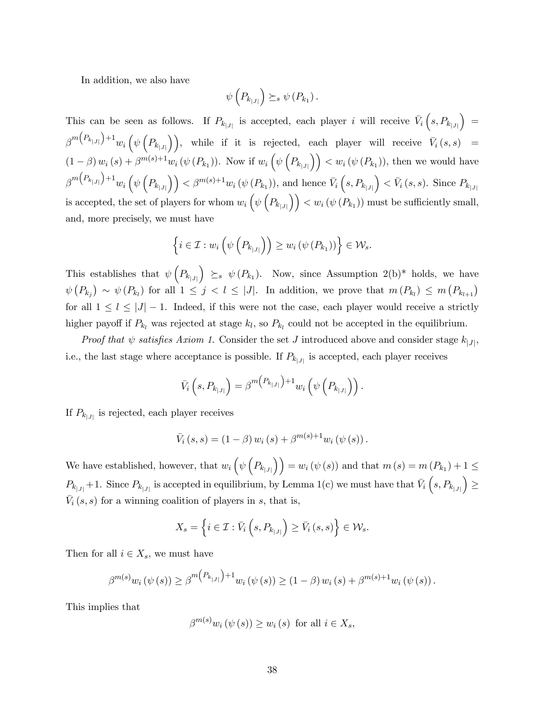In addition, we also have

$$
\psi\left(P_{k_{|J|}}\right) \succeq_s \psi\left(P_{k_1}\right).
$$

This can be seen as follows. If  $P_{k_{|J|}}$  is accepted, each player i will receive  $\bar{V}_i\left(s, P_{k_{|J|}}\right)$  =  $\beta^{m(P_{k_{|J|}})+1}w_i\left(\psi\left(P_{k_{|J|}}\right)\right)$ , while if it is rejected, each player will receive  $\bar{V}_i(s,s)$  =  $(1 - \beta) w_i(s) + \beta^{m(s)+1} w_i(\psi(P_{k_1}))$ . Now if  $w_i(\psi(P_{k_1}) > w_i(\psi(P_{k_1}))$ , then we would have  $\beta^{m(P_{k_{|J|}})+1}w_i\left(\psi\left(P_{k_{|J|}}\right)\right) < \beta^{m(s)+1}w_i\left(\psi\left(P_{k_1}\right)\right)$ , and hence  $\bar{V}_i\left(s, P_{k_{|J|}}\right) < \bar{V}_i\left(s, s\right)$ . Since  $P_{k_{|J|}}$ is accepted, the set of players for whom  $w_i\left(\psi\left(P_{k_{|J|}}\right)\right) < w_i\left(\psi\left(P_{k_1}\right)\right)$  must be sufficiently small, and, more precisely, we must have

$$
\left\{i\in\mathcal{I}:w_{i}\left(\psi\left(P_{k_{|J|}}\right)\right)\geq w_{i}\left(\psi\left(P_{k_{1}}\right)\right)\right\}\in\mathcal{W}_{s}.
$$

This establishes that  $\psi\left(P_{k_{|J|}}\right) \succeq_s \psi(P_{k_1})$ . Now, since Assumption 2(b)\* holds, we have  $\psi(P_{k_j}) \sim \psi(P_{k_l})$  for all  $1 \leq j \leq l \leq |J|$ . In addition, we prove that  $m(P_{k_l}) \leq m(P_{k_{l+1}})$ for all  $1 \leq l \leq |J|-1$ . Indeed, if this were not the case, each player would receive a strictly higher payoff if  $P_{k_l}$  was rejected at stage  $k_l$ , so  $P_{k_l}$  could not be accepted in the equilibrium.

*Proof that*  $\psi$  *satisfies Axiom 1.* Consider the set J introduced above and consider stage  $k_{|J|}$ , i.e., the last stage where acceptance is possible. If  $P_{k_{|J|}}$  is accepted, each player receives

$$
\bar{V}_i\left(s,P_{k_{|J|}}\right)=\beta^{m\left(P_{k_{|J|}}\right)+1}w_i\left(\psi\left(P_{k_{|J|}}\right)\right).
$$

If  $P_{k|J|}$  is rejected, each player receives

$$
\bar{V}_i(s,s) = (1 - \beta) w_i(s) + \beta^{m(s)+1} w_i(\psi(s)).
$$

We have established, however, that  $w_i\left(\psi\left(P_{k_{|J|}}\right)\right) = w_i\left(\psi\left(s\right)\right)$  and that  $m(s) = m(P_{k_1}) + 1 \leq$  $P_{k_{|J|}}+1$ . Since  $P_{k_{|J|}}$  is accepted in equilibrium, by Lemma 1(c) we must have that  $\bar{V}_i\left(s, P_{k_{|J|}}\right)$ ≥  $\overline{V}_i(s, s)$  for a winning coalition of players in s, that is,

$$
X_s = \left\{ i \in \mathcal{I} : \bar{V}_i \left( s, P_{k_{|J|}} \right) \ge \bar{V}_i \left( s, s \right) \right\} \in \mathcal{W}_s.
$$

Then for all  $i \in X_s$ , we must have

$$
\beta^{m(s)}w_{i}(\psi(s)) \geq \beta^{m(P_{k|J|})+1}w_{i}(\psi(s)) \geq (1-\beta) w_{i}(s) + \beta^{m(s)+1}w_{i}(\psi(s)).
$$

This implies that

$$
\beta^{m(s)}w_i(\psi(s)) \ge w_i(s) \text{ for all } i \in X_s,
$$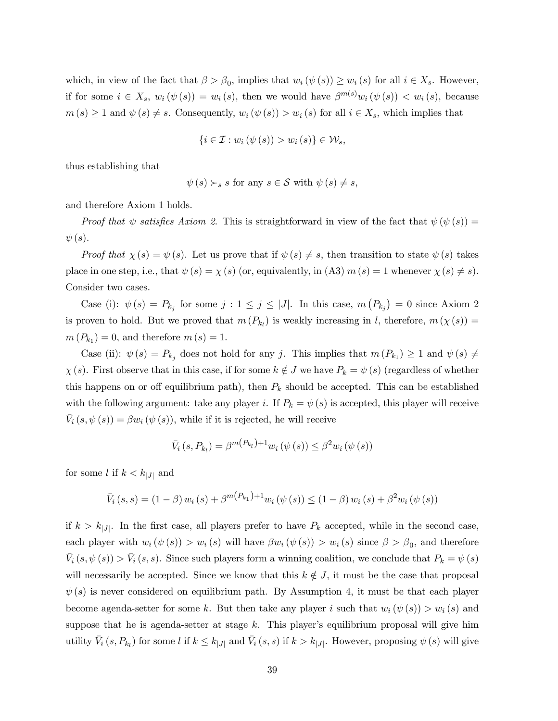which, in view of the fact that  $\beta > \beta_0$ , implies that  $w_i (\psi(s)) \geq w_i (s)$  for all  $i \in X_s$ . However, if for some  $i \in X_s$ ,  $w_i(\psi(s)) = w_i(s)$ , then we would have  $\beta^{m(s)}w_i(\psi(s)) < w_i(s)$ , because  $m(s) \geq 1$  and  $\psi(s) \neq s$ . Consequently,  $w_i(\psi(s)) > w_i(s)$  for all  $i \in X_s$ , which implies that

$$
\{i \in \mathcal{I} : w_i(\psi(s)) > w_i(s)\} \in \mathcal{W}_s,
$$

thus establishing that

$$
\psi(s) \succ_s s
$$
 for any  $s \in S$  with  $\psi(s) \neq s$ ,

and therefore Axiom 1 holds.

Proof that  $\psi$  satisfies Axiom 2. This is straightforward in view of the fact that  $\psi(\psi(s)) =$  $\psi(s)$ .

Proof that  $\chi(s) = \psi(s)$ . Let us prove that if  $\psi(s) \neq s$ , then transition to state  $\psi(s)$  takes place in one step, i.e., that  $\psi(s) = \chi(s)$  (or, equivalently, in (A3)  $m(s) = 1$  whenever  $\chi(s) \neq s$ ). Consider two cases.

Case (i):  $\psi(s) = P_{k_j}$  for some  $j : 1 \leq j \leq |J|$ . In this case,  $m(P_{k_j}) = 0$  since Axiom 2 is proven to hold. But we proved that  $m(P_{k_l})$  is weakly increasing in l, therefore,  $m(\chi(s)) =$  $m(P_{k_1})=0$ , and therefore  $m(s)=1$ .

Case (ii):  $\psi(s) = P_{k_j}$  does not hold for any j. This implies that  $m(P_{k_1}) \geq 1$  and  $\psi(s) \neq$  $\chi(s)$ . First observe that in this case, if for some  $k \notin J$  we have  $P_k = \psi(s)$  (regardless of whether this happens on or off equilibrium path), then  $P_k$  should be accepted. This can be established with the following argument: take any player i. If  $P_k = \psi(s)$  is accepted, this player will receive  $\bar{V}_i(s, \psi(s)) = \beta w_i(\psi(s))$ , while if it is rejected, he will receive

$$
\bar{V}_{i}(s, P_{k_{l}}) = \beta^{m(P_{k_{l}})+1} w_{i}(\psi(s)) \leq \beta^{2} w_{i}(\psi(s))
$$

for some l if  $k < k_{|J|}$  and

$$
\bar{V}_i(s,s) = (1-\beta) w_i(s) + \beta^{m(P_{k_1})+1} w_i(\psi(s)) \le (1-\beta) w_i(s) + \beta^2 w_i(\psi(s))
$$

if  $k > k_{|J|}$ . In the first case, all players prefer to have  $P_k$  accepted, while in the second case, each player with  $w_i(\psi(s)) > w_i(s)$  will have  $\beta w_i(\psi(s)) > w_i(s)$  since  $\beta > \beta_0$ , and therefore  $\bar{V}_i(s, \psi(s)) > \bar{V}_i(s, s)$ . Since such players form a winning coalition, we conclude that  $P_k = \psi(s)$ will necessarily be accepted. Since we know that this  $k \notin J$ , it must be the case that proposal  $\psi(s)$  is never considered on equilibrium path. By Assumption 4, it must be that each player become agenda-setter for some k. But then take any player i such that  $w_i (\psi(s)) > w_i (s)$  and suppose that he is agenda-setter at stage  $k$ . This player's equilibrium proposal will give him utility  $\bar{V}_i$  (s,  $P_{k_l}$ ) for some l if  $k \leq k_{|J|}$  and  $\bar{V}_i$  (s, s) if  $k > k_{|J|}$ . However, proposing  $\psi$  (s) will give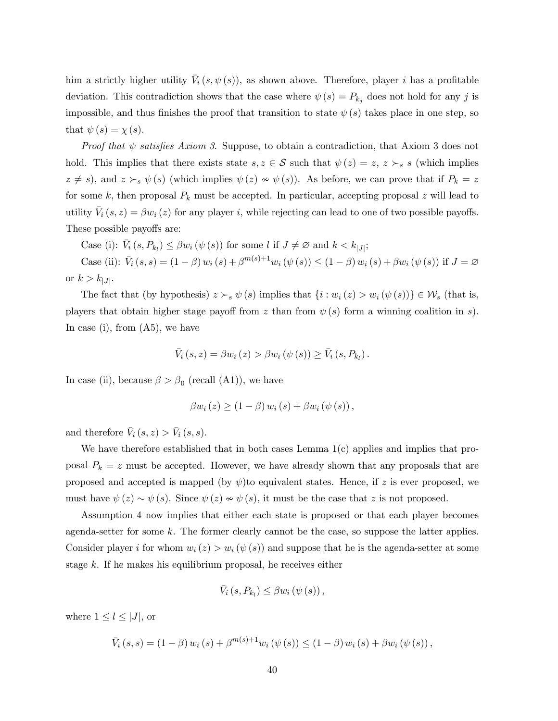him a strictly higher utility  $\bar{V}_i(s, \psi(s))$ , as shown above. Therefore, player i has a profitable deviation. This contradiction shows that the case where  $\psi(s) = P_{k_j}$  does not hold for any j is impossible, and thus finishes the proof that transition to state  $\psi(s)$  takes place in one step, so that  $\psi(s) = \chi(s)$ .

*Proof that*  $\psi$  *satisfies Axiom 3.* Suppose, to obtain a contradiction, that Axiom 3 does not hold. This implies that there exists state  $s, z \in S$  such that  $\psi(z) = z, z \succ_s s$  (which implies  $z \neq s$ , and  $z \succ_s \psi(s)$  (which implies  $\psi(z) \sim \psi(s)$ ). As before, we can prove that if  $P_k = z$ for some k, then proposal  $P_k$  must be accepted. In particular, accepting proposal z will lead to utility  $V_i(s, z) = \beta w_i(z)$  for any player i, while rejecting can lead to one of two possible payoffs. These possible payoffs are:

Case (i):  $\bar{V}_i(s, P_{k_i}) \leq \beta w_i(\psi(s))$  for some l if  $J \neq \emptyset$  and  $k < k_{|J|}$ ;

Case (ii):  $\bar{V}_i(s, s) = (1 - \beta) w_i(s) + \beta^{m(s)+1} w_i(\psi(s)) \leq (1 - \beta) w_i(s) + \beta w_i(\psi(s))$  if  $J = \emptyset$ or  $k > k_{|J|}$ .

The fact that (by hypothesis)  $z \succ_s \psi(s)$  implies that  $\{i : w_i(z) > w_i(\psi(s))\} \in \mathcal{W}_s$  (that is, players that obtain higher stage payoff from z than from  $\psi(s)$  form a winning coalition in s). In case (i), from (A5), we have

$$
\bar{V}_i(s, z) = \beta w_i(z) > \beta w_i(\psi(s)) \ge \bar{V}_i(s, P_{k_i}).
$$

In case (ii), because  $\beta > \beta_0$  (recall (A1)), we have

$$
\beta w_i(z) \ge (1 - \beta) w_i(s) + \beta w_i(\psi(s)),
$$

and therefore  $\bar{V}_i(s, z) > \bar{V}_i(s, s)$ .

We have therefore established that in both cases Lemma 1(c) applies and implies that proposal  $P_k = z$  must be accepted. However, we have already shown that any proposals that are proposed and accepted is mapped (by  $\psi$ )to equivalent states. Hence, if z is ever proposed, we must have  $\psi(z) \sim \psi(s)$ . Since  $\psi(z) \nsim \psi(s)$ , it must be the case that z is not proposed.

Assumption 4 now implies that either each state is proposed or that each player becomes agenda-setter for some k. The former clearly cannot be the case, so suppose the latter applies. Consider player i for whom  $w_i(z) > w_i(\psi(s))$  and suppose that he is the agenda-setter at some stage k. If he makes his equilibrium proposal, he receives either

$$
\bar{V}_i(s, P_{k_l}) \leq \beta w_i\left(\psi\left(s\right)\right),
$$

where  $1 \leq l \leq |J|$ , or

$$
\bar{V}_i(s, s) = (1 - \beta) w_i(s) + \beta^{m(s)+1} w_i(\psi(s)) \leq (1 - \beta) w_i(s) + \beta w_i(\psi(s)),
$$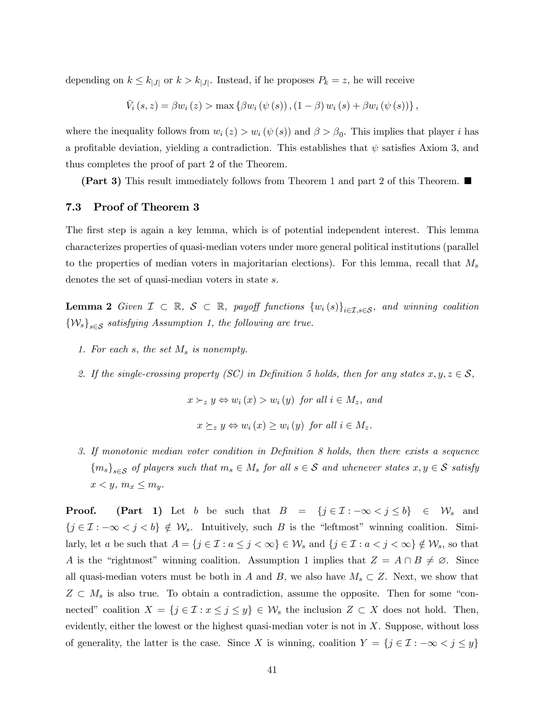depending on  $k \leq k_{|J|}$  or  $k > k_{|J|}$ . Instead, if he proposes  $P_k = z$ , he will receive

$$
\bar{V}_{i}(s, z) = \beta w_{i}(z) > \max \left\{ \beta w_{i}(\psi(s)), (1 - \beta) w_{i}(s) + \beta w_{i}(\psi(s)) \right\},\,
$$

where the inequality follows from  $w_i(z) > w_i(\psi(s))$  and  $\beta > \beta_0$ . This implies that player i has a profitable deviation, yielding a contradiction. This establishes that  $\psi$  satisfies Axiom 3, and thus completes the proof of part 2 of the Theorem.

**(Part 3)** This result immediately follows from Theorem 1 and part 2 of this Theorem.  $\blacksquare$ 

#### 7.3 Proof of Theorem 3

The first step is again a key lemma, which is of potential independent interest. This lemma characterizes properties of quasi-median voters under more general political institutions (parallel to the properties of median voters in majoritarian elections). For this lemma, recall that  $M_s$ denotes the set of quasi-median voters in state s.

**Lemma 2** Given  $\mathcal{I} \subset \mathbb{R}$ ,  $\mathcal{S} \subset \mathbb{R}$ , payoff functions  $\{w_i(s)\}_{i \in \mathcal{I}, s \in \mathcal{S}}$ , and winning coalition  ${W<sub>s</sub>}<sub>s∈S</sub> satisfying Assumption 1, the following are true.$ 

- 1. For each s, the set  $M_s$  is nonempty.
- 2. If the single-crossing property (SC) in Definition 5 holds, then for any states  $x, y, z \in S$ ,

$$
x \succ_z y \Leftrightarrow w_i(x) > w_i(y) \text{ for all } i \in M_z, \text{ and}
$$

$$
x \succeq_z y \Leftrightarrow w_i(x) \ge w_i(y) \text{ for all } i \in M_z.
$$

3. If monotonic median voter condition in Definition 8 holds, then there exists a sequence  ${m_s}_{s \in S}$  of players such that  $m_s \in M_s$  for all  $s \in S$  and whenever states  $x, y \in S$  satisfy  $x < y, m_x \leq m_y.$ 

**Proof.** (Part 1) Let b be such that  $B = \{j \in \mathcal{I} : -\infty < j \leq b\} \in \mathcal{W}_s$  and  ${j \in \mathcal{I} : -\infty < j < b} \notin \mathcal{W}_s$ . Intuitively, such B is the "leftmost" winning coalition. Similarly, let a be such that  $A = \{j \in \mathcal{I} : a \leq j < \infty\} \in \mathcal{W}_s$  and  $\{j \in \mathcal{I} : a < j < \infty\} \notin \mathcal{W}_s$ , so that A is the "rightmost" winning coalition. Assumption 1 implies that  $Z = A \cap B \neq \emptyset$ . Since all quasi-median voters must be both in A and B, we also have  $M_s \subset Z$ . Next, we show that  $Z \subset M_s$  is also true. To obtain a contradiction, assume the opposite. Then for some "connected" coalition  $X = \{j \in \mathcal{I} : x \leq j \leq y\} \in \mathcal{W}_s$  the inclusion  $Z \subset X$  does not hold. Then, evidently, either the lowest or the highest quasi-median voter is not in  $X$ . Suppose, without loss of generality, the latter is the case. Since X is winning, coalition  $Y = \{j \in \mathcal{I} : -\infty < j \leq y\}$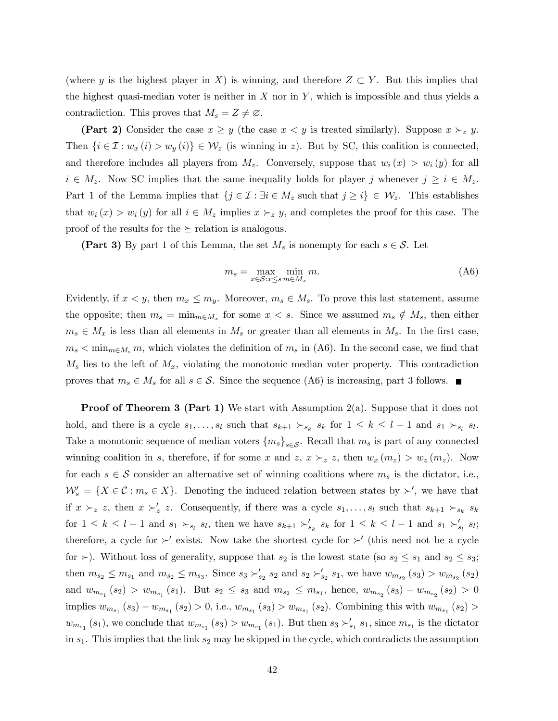(where y is the highest player in X) is winning, and therefore  $Z \subset Y$ . But this implies that the highest quasi-median voter is neither in  $X$  nor in  $Y$ , which is impossible and thus yields a contradiction. This proves that  $M_s = Z \neq \emptyset$ .

(Part 2) Consider the case  $x \geq y$  (the case  $x < y$  is treated similarly). Suppose  $x \succ_z y$ . Then  $\{i \in \mathcal{I} : w_x(i) > w_y(i)\}\in \mathcal{W}_z$  (is winning in z). But by SC, this coalition is connected, and therefore includes all players from  $M_z$ . Conversely, suppose that  $w_i(x) > w_i(y)$  for all  $i \in M_z$ . Now SC implies that the same inequality holds for player j whenever  $j \geq i \in M_z$ . Part 1 of the Lemma implies that  $\{j \in \mathcal{I} : \exists i \in M_z \text{ such that } j \geq i\} \in \mathcal{W}_z$ . This establishes that  $w_i(x) > w_i(y)$  for all  $i \in M_z$  implies  $x \succ_z y$ , and completes the proof for this case. The proof of the results for the  $\succeq$  relation is analogous.

(Part 3) By part 1 of this Lemma, the set  $M_s$  is nonempty for each  $s \in \mathcal{S}$ . Let

$$
m_s = \max_{x \in \mathcal{S}: x \le s} \min_{m \in M_x} m. \tag{A6}
$$

Evidently, if  $x < y$ , then  $m_x \leq m_y$ . Moreover,  $m_s \in M_s$ . To prove this last statement, assume the opposite; then  $m_s = \min_{m \in M_x}$  for some  $x < s$ . Since we assumed  $m_s \notin M_s$ , then either  $m_s \in M_x$  is less than all elements in  $M_s$  or greater than all elements in  $M_s$ . In the first case,  $m_s < \min_{m \in M_s} m$ , which violates the definition of  $m_s$  in (A6). In the second case, we find that  $M_s$  lies to the left of  $M_x$ , violating the monotonic median voter property. This contradiction proves that  $m_s \in M_s$  for all  $s \in S$ . Since the sequence (A6) is increasing, part 3 follows. ■

**Proof of Theorem 3 (Part 1)** We start with Assumption 2(a). Suppose that it does not hold, and there is a cycle  $s_1, \ldots, s_l$  such that  $s_{k+1} \succ_{s_k} s_k$  for  $1 \leq k \leq l-1$  and  $s_1 \succ_{s_l} s_l$ . Take a monotonic sequence of median voters  ${m_s}_{s \in S}$ . Recall that  $m_s$  is part of any connected winning coalition in s, therefore, if for some x and z,  $x \succ_z z$ , then  $w_x (m_z) > w_z (m_z)$ . Now for each  $s \in \mathcal{S}$  consider an alternative set of winning coalitions where  $m_s$  is the dictator, i.e.,  $\mathcal{W}'_s = \{ X \in \mathcal{C} : m_s \in X \}.$  Denoting the induced relation between states by  $\succ'$ , we have that if  $x \succ_z z$ , then  $x \succ'_z z$ . Consequently, if there was a cycle  $s_1,\ldots,s_l$  such that  $s_{k+1} \succ_{s_k} s_k$ for  $1 \leq k \leq l-1$  and  $s_1 \succ_{s_l} s_l$ , then we have  $s_{k+1} \succ'_{s_k} s_k$  for  $1 \leq k \leq l-1$  and  $s_1 \succ'_{s_l} s_l$ ; therefore, a cycle for  $\succ'$  exists. Now take the shortest cycle for  $\succ'$  (this need not be a cycle for  $\geq$ ). Without loss of generality, suppose that  $s_2$  is the lowest state (so  $s_2 \leq s_1$  and  $s_2 \leq s_3$ ; then  $m_{s_2} \leq m_{s_1}$  and  $m_{s_2} \leq m_{s_3}$ . Since  $s_3 \succ_{s_2} s_2$  and  $s_2 \succ_{s_2} s_1$ , we have  $w_{m_{s_2}}(s_3) > w_{m_{s_2}}(s_2)$ and  $w_{m_{s_1}}(s_2) > w_{m_{s_1}}(s_1)$ . But  $s_2 \leq s_3$  and  $m_{s_2} \leq m_{s_1}$ , hence,  $w_{m_{s_2}}(s_3) - w_{m_{s_2}}(s_2) > 0$ implies  $w_{m_{s_1}}(s_3) - w_{m_{s_1}}(s_2) > 0$ , i.e.,  $w_{m_{s_1}}(s_3) > w_{m_{s_1}}(s_2)$ . Combining this with  $w_{m_{s_1}}(s_2) >$  $w_{m_{s_1}}(s_1)$ , we conclude that  $w_{m_{s_1}}(s_3) > w_{m_{s_1}}(s_1)$ . But then  $s_3 \succ'_{s_1} s_1$ , since  $m_{s_1}$  is the dictator in  $s_1$ . This implies that the link  $s_2$  may be skipped in the cycle, which contradicts the assumption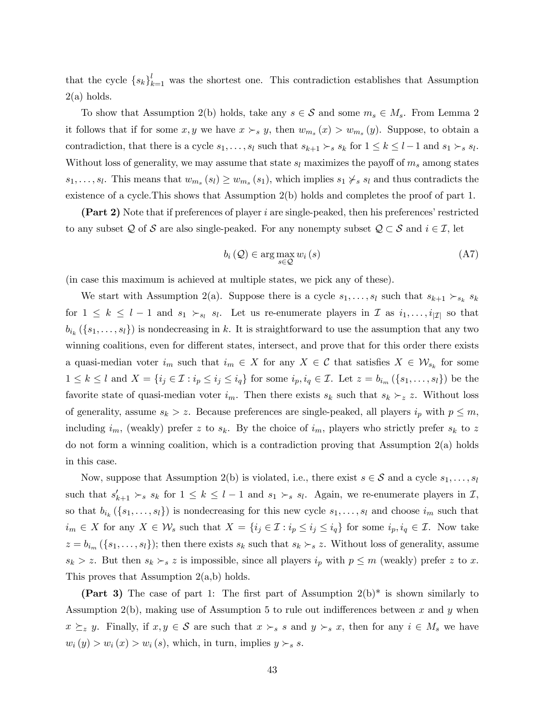that the cycle  $\{s_k\}_{k=1}^l$  was the shortest one. This contradiction establishes that Assumption  $2(a)$  holds.

To show that Assumption 2(b) holds, take any  $s \in \mathcal{S}$  and some  $m_s \in M_s$ . From Lemma 2 it follows that if for some  $x, y$  we have  $x \succ_s y$ , then  $w_{m_s}(x) > w_{m_s}(y)$ . Suppose, to obtain a contradiction, that there is a cycle  $s_1, \ldots, s_l$  such that  $s_{k+1} \succ_s s_k$  for  $1 \leq k \leq l-1$  and  $s_1 \succ_s s_l$ . Without loss of generality, we may assume that state  $s_l$  maximizes the payoff of  $m_s$  among states  $s_1,\ldots,s_l$ . This means that  $w_{m_s}(s_l) \geq w_{m_s}(s_1)$ , which implies  $s_1 \not\succ_s s_l$  and thus contradicts the existence of a cycle.This shows that Assumption 2(b) holds and completes the proof of part 1.

(Part 2) Note that if preferences of player  $i$  are single-peaked, then his preferences' restricted to any subset Q of S are also single-peaked. For any nonempty subset  $Q \subset S$  and  $i \in \mathcal{I}$ , let

$$
b_i\left(\mathcal{Q}\right) \in \arg\max_{s \in \mathcal{Q}} w_i\left(s\right) \tag{A7}
$$

(in case this maximum is achieved at multiple states, we pick any of these).

We start with Assumption 2(a). Suppose there is a cycle  $s_1, \ldots, s_l$  such that  $s_{k+1} \succ_{s_k} s_k$ for  $1 \leq k \leq l-1$  and  $s_1 \succ_{s_l} s_l$ . Let us re-enumerate players in  $\mathcal I$  as  $i_1,\ldots,i_{|\mathcal I|}$  so that  $b_{i_k}(\{s_1,\ldots,s_l\})$  is nondecreasing in k. It is straightforward to use the assumption that any two winning coalitions, even for different states, intersect, and prove that for this order there exists a quasi-median voter  $i_m$  such that  $i_m \in X$  for any  $X \in \mathcal{C}$  that satisfies  $X \in \mathcal{W}_{s_k}$  for some  $1 \leq k \leq l$  and  $X = \{i_j \in \mathcal{I} : i_p \leq i_j \leq i_q\}$  for some  $i_p, i_q \in \mathcal{I}$ . Let  $z = b_{i_m} (\{s_1, \ldots, s_l\})$  be the favorite state of quasi-median voter  $i_m$ . Then there exists  $s_k$  such that  $s_k \succ_z z$ . Without loss of generality, assume  $s_k > z$ . Because preferences are single-peaked, all players  $i_p$  with  $p \leq m$ , including  $i_m$ , (weakly) prefer z to  $s_k$ . By the choice of  $i_m$ , players who strictly prefer  $s_k$  to z do not form a winning coalition, which is a contradiction proving that Assumption 2(a) holds in this case.

Now, suppose that Assumption 2(b) is violated, i.e., there exist  $s \in \mathcal{S}$  and a cycle  $s_1, \ldots, s_l$ such that  $s'_{k+1} \succ_s s_k$  for  $1 \leq k \leq l-1$  and  $s_1 \succ_s s_l$ . Again, we re-enumerate players in  $\mathcal{I}$ , so that  $b_{i_k}(\{s_1,\ldots,s_l\})$  is nondecreasing for this new cycle  $s_1,\ldots,s_l$  and choose  $i_m$  such that  $i_m \in X$  for any  $X \in \mathcal{W}_s$  such that  $X = \{i_j \in \mathcal{I} : i_p \leq i_j \leq i_q\}$  for some  $i_p, i_q \in \mathcal{I}$ . Now take  $z = b_{i_m} (\{s_1, \ldots, s_l\})$ ; then there exists  $s_k$  such that  $s_k \succ_s z$ . Without loss of generality, assume  $s_k > z$ . But then  $s_k \succ_s z$  is impossible, since all players  $i_p$  with  $p \leq m$  (weakly) prefer z to x. This proves that Assumption 2(a,b) holds.

**(Part 3)** The case of part 1: The first part of Assumption  $2(b)^*$  is shown similarly to Assumption 2(b), making use of Assumption 5 to rule out indifferences between x and y when  $x \succeq_z y$ . Finally, if  $x, y \in S$  are such that  $x \succ_s s$  and  $y \succ_s x$ , then for any  $i \in M_s$  we have  $w_i(y) > w_i(x) > w_i(s)$ , which, in turn, implies  $y \succ_s s$ .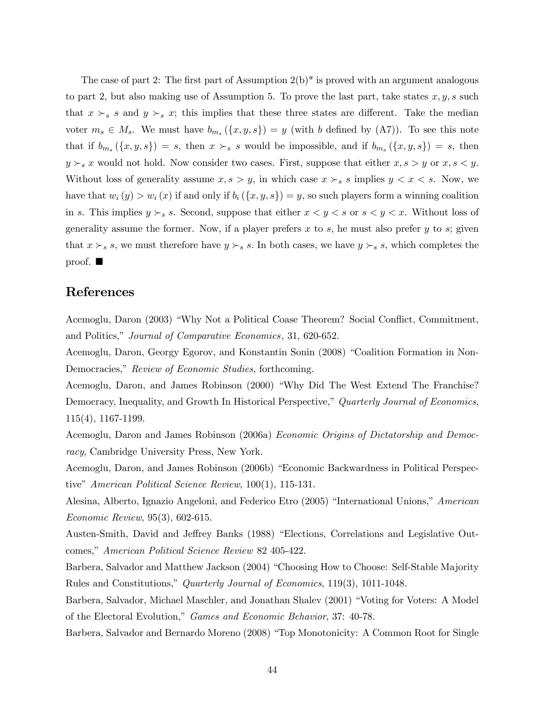The case of part 2: The first part of Assumption  $2(b)^*$  is proved with an argument analogous to part 2, but also making use of Assumption 5. To prove the last part, take states  $x, y, s$  such that  $x \succ_{s} s$  and  $y \succ_{s} x$ ; this implies that these three states are different. Take the median voter  $m_s \in M_s$ . We must have  $b_{m_s}(\{x, y, s\}) = y$  (with b defined by  $(A7)$ ). To see this note that if  $b_{m_s}(\{x, y, s\}) = s$ , then  $x \succ_s s$  would be impossible, and if  $b_{m_s}(\{x, y, s\}) = s$ , then  $y \succ_s x$  would not hold. Now consider two cases. First, suppose that either  $x, s > y$  or  $x, s < y$ . Without loss of generality assume  $x, s > y$ , in which case  $x \succ_s s$  implies  $y < x < s$ . Now, we have that  $w_i(y) > w_i(x)$  if and only if  $b_i(\lbrace x, y, s \rbrace) = y$ , so such players form a winning coalition in s. This implies  $y \succ_s s$ . Second, suppose that either  $x < y < s$  or  $s < y < x$ . Without loss of generality assume the former. Now, if a player prefers  $x$  to  $s$ , he must also prefer  $y$  to  $s$ ; given that  $x \succ_s s$ , we must therefore have  $y \succ_s s$ . In both cases, we have  $y \succ_s s$ , which completes the proof.  $\blacksquare$ 

## References

Acemoglu, Daron (2003) "Why Not a Political Coase Theorem? Social Conflict, Commitment, and Politics," Journal of Comparative Economics , 31, 620-652.

Acemoglu, Daron, Georgy Egorov, and Konstantin Sonin (2008) "Coalition Formation in Non-Democracies," Review of Economic Studies, forthcoming.

Acemoglu, Daron, and James Robinson (2000) "Why Did The West Extend The Franchise? Democracy, Inequality, and Growth In Historical Perspective," Quarterly Journal of Economics, 115(4), 1167-1199.

Acemoglu, Daron and James Robinson (2006a) Economic Origins of Dictatorship and Democracy, Cambridge University Press, New York.

Acemoglu, Daron, and James Robinson (2006b) "Economic Backwardness in Political Perspective" American Political Science Review, 100(1), 115-131.

Alesina, Alberto, Ignazio Angeloni, and Federico Etro (2005) "International Unions," American Economic Review, 95(3), 602-615.

Austen-Smith, David and Jeffrey Banks (1988) "Elections, Correlations and Legislative Outcomes," American Political Science Review 82 405-422.

Barbera, Salvador and Matthew Jackson (2004) "Choosing How to Choose: Self-Stable Majority Rules and Constitutions," Quarterly Journal of Economics, 119(3), 1011-1048.

Barbera, Salvador, Michael Maschler, and Jonathan Shalev (2001) "Voting for Voters: A Model of the Electoral Evolution," Games and Economic Behavior, 37: 40-78.

Barbera, Salvador and Bernardo Moreno (2008) "Top Monotonicity: A Common Root for Single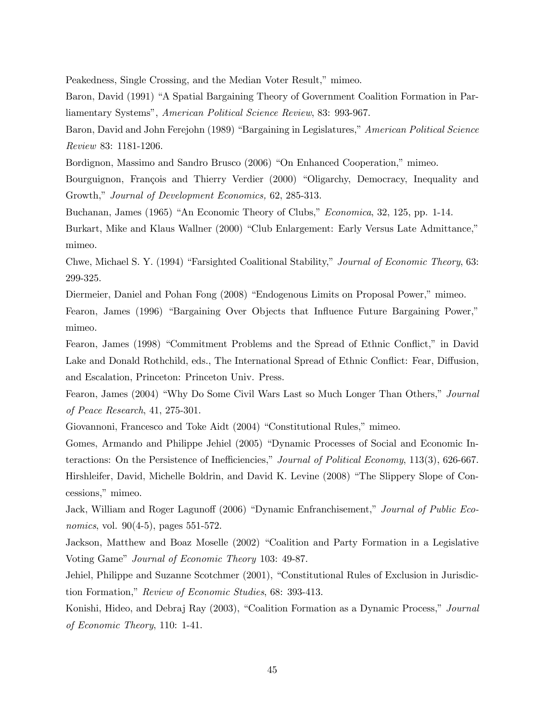Peakedness, Single Crossing, and the Median Voter Result," mimeo.

Baron, David (1991) "A Spatial Bargaining Theory of Government Coalition Formation in Parliamentary Systems", American Political Science Review, 83: 993-967.

Baron, David and John Ferejohn (1989) "Bargaining in Legislatures," American Political Science Review 83: 1181-1206.

Bordignon, Massimo and Sandro Brusco (2006) "On Enhanced Cooperation," mimeo.

Bourguignon, François and Thierry Verdier (2000) "Oligarchy, Democracy, Inequality and Growth," Journal of Development Economics, 62, 285-313.

Buchanan, James (1965) "An Economic Theory of Clubs," Economica, 32, 125, pp. 1-14.

Burkart, Mike and Klaus Wallner (2000) "Club Enlargement: Early Versus Late Admittance," mimeo.

Chwe, Michael S. Y. (1994) "Farsighted Coalitional Stability," Journal of Economic Theory, 63: 299-325.

Diermeier, Daniel and Pohan Fong (2008) "Endogenous Limits on Proposal Power," mimeo. Fearon, James (1996) "Bargaining Over Objects that Influence Future Bargaining Power," mimeo.

Fearon, James (1998) "Commitment Problems and the Spread of Ethnic Conflict," in David Lake and Donald Rothchild, eds., The International Spread of Ethnic Conflict: Fear, Diffusion, and Escalation, Princeton: Princeton Univ. Press.

Fearon, James (2004) "Why Do Some Civil Wars Last so Much Longer Than Others," Journal of Peace Research, 41, 275-301.

Giovannoni, Francesco and Toke Aidt (2004) "Constitutional Rules," mimeo.

Gomes, Armando and Philippe Jehiel (2005) "Dynamic Processes of Social and Economic Interactions: On the Persistence of Inefficiencies," Journal of Political Economy, 113(3), 626-667. Hirshleifer, David, Michelle Boldrin, and David K. Levine (2008) "The Slippery Slope of Concessions," mimeo.

Jack, William and Roger Lagunoff (2006) "Dynamic Enfranchisement," Journal of Public Economics, vol. 90(4-5), pages 551-572.

Jackson, Matthew and Boaz Moselle (2002) "Coalition and Party Formation in a Legislative Voting Game" Journal of Economic Theory 103: 49-87.

Jehiel, Philippe and Suzanne Scotchmer (2001), "Constitutional Rules of Exclusion in Jurisdiction Formation," Review of Economic Studies, 68: 393-413.

Konishi, Hideo, and Debraj Ray (2003), "Coalition Formation as a Dynamic Process," Journal of Economic Theory, 110: 1-41.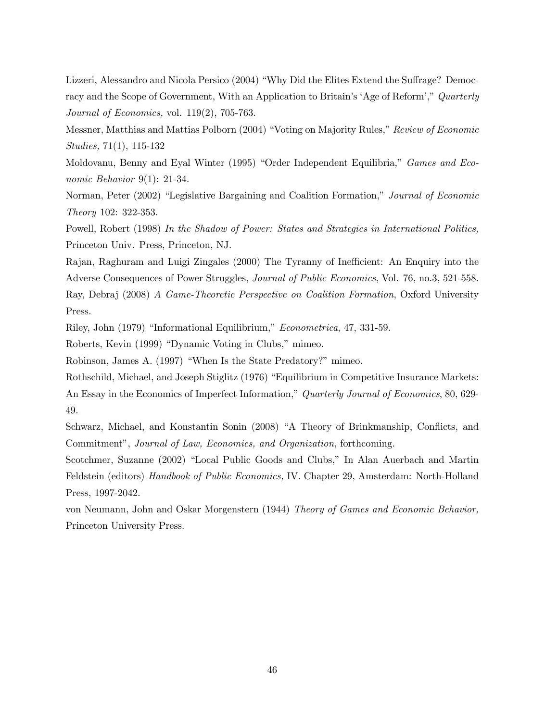Lizzeri, Alessandro and Nicola Persico (2004) "Why Did the Elites Extend the Suffrage? Democracy and the Scope of Government, With an Application to Britain's 'Age of Reform'," Quarterly Journal of Economics, vol. 119(2), 705-763.

Messner, Matthias and Mattias Polborn (2004) "Voting on Majority Rules," Review of Economic Studies, 71(1), 115-132

Moldovanu, Benny and Eyal Winter (1995) "Order Independent Equilibria," Games and Economic Behavior 9(1): 21-34.

Norman, Peter (2002) "Legislative Bargaining and Coalition Formation," Journal of Economic Theory 102: 322-353.

Powell, Robert (1998) In the Shadow of Power: States and Strategies in International Politics, Princeton Univ. Press, Princeton, NJ.

Rajan, Raghuram and Luigi Zingales (2000) The Tyranny of Inefficient: An Enquiry into the Adverse Consequences of Power Struggles, *Journal of Public Economics*, Vol. 76, no.3, 521-558. Ray, Debraj (2008) A Game-Theoretic Perspective on Coalition Formation, Oxford University

Press.

Riley, John (1979) "Informational Equilibrium," Econometrica, 47, 331-59.

Roberts, Kevin (1999) "Dynamic Voting in Clubs," mimeo.

Robinson, James A. (1997) "When Is the State Predatory?" mimeo.

Rothschild, Michael, and Joseph Stiglitz (1976) "Equilibrium in Competitive Insurance Markets: An Essay in the Economics of Imperfect Information," Quarterly Journal of Economics, 80, 629-49.

Schwarz, Michael, and Konstantin Sonin (2008) "A Theory of Brinkmanship, Conflicts, and Commitment", Journal of Law, Economics, and Organization, forthcoming.

Scotchmer, Suzanne (2002) "Local Public Goods and Clubs," In Alan Auerbach and Martin Feldstein (editors) Handbook of Public Economics, IV. Chapter 29, Amsterdam: North-Holland Press, 1997-2042.

von Neumann, John and Oskar Morgenstern (1944) Theory of Games and Economic Behavior, Princeton University Press.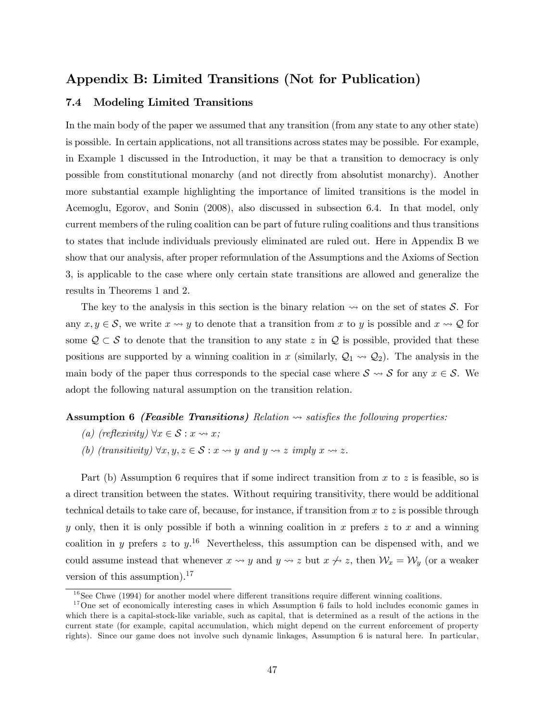## Appendix B: Limited Transitions (Not for Publication)

#### 7.4 Modeling Limited Transitions

In the main body of the paper we assumed that any transition (from any state to any other state) is possible. In certain applications, not all transitions across states may be possible. For example, in Example 1 discussed in the Introduction, it may be that a transition to democracy is only possible from constitutional monarchy (and not directly from absolutist monarchy). Another more substantial example highlighting the importance of limited transitions is the model in Acemoglu, Egorov, and Sonin (2008), also discussed in subsection 6.4. In that model, only current members of the ruling coalition can be part of future ruling coalitions and thus transitions to states that include individuals previously eliminated are ruled out. Here in Appendix B we show that our analysis, after proper reformulation of the Assumptions and the Axioms of Section 3, is applicable to the case where only certain state transitions are allowed and generalize the results in Theorems 1 and 2.

The key to the analysis in this section is the binary relation  $\sim$  on the set of states S. For any  $x, y \in S$ , we write  $x \leadsto y$  to denote that a transition from x to y is possible and  $x \leadsto Q$  for some  $Q \subset S$  to denote that the transition to any state z in Q is possible, provided that these positions are supported by a winning coalition in x (similarly,  $\mathcal{Q}_1 \rightsquigarrow \mathcal{Q}_2$ ). The analysis in the main body of the paper thus corresponds to the special case where  $S \leadsto S$  for any  $x \in S$ . We adopt the following natural assumption on the transition relation.

### Assumption 6 (Feasible Transitions) Relation  $\rightsquigarrow$  satisfies the following properties:

- (a) (reflexivity)  $\forall x \in S : x \rightsquigarrow x;$
- (b) (transitivity)  $\forall x, y, z \in S : x \rightarrow y$  and  $y \rightarrow z$  imply  $x \rightarrow z$ .

Part (b) Assumption 6 requires that if some indirect transition from x to z is feasible, so is a direct transition between the states. Without requiring transitivity, there would be additional technical details to take care of, because, for instance, if transition from x to z is possible through y only, then it is only possible if both a winning coalition in x prefers  $z$  to x and a winning coalition in y prefers z to  $y$ <sup>16</sup>. Nevertheless, this assumption can be dispensed with, and we could assume instead that whenever  $x \leadsto y$  and  $y \leadsto z$  but  $x \not\leadsto z$ , then  $\mathcal{W}_x = \mathcal{W}_y$  (or a weaker version of this assumption).<sup>17</sup>

 $16$  See Chwe (1994) for another model where different transitions require different winning coalitions.

 $17$  One set of economically interesting cases in which Assumption 6 fails to hold includes economic games in which there is a capital-stock-like variable, such as capital, that is determined as a result of the actions in the current state (for example, capital accumulation, which might depend on the current enforcement of property rights). Since our game does not involve such dynamic linkages, Assumption 6 is natural here. In particular,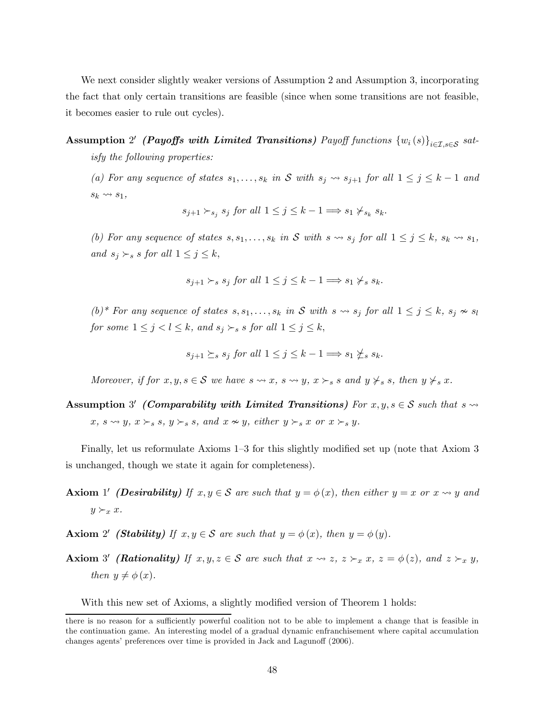We next consider slightly weaker versions of Assumption 2 and Assumption 3, incorporating the fact that only certain transitions are feasible (since when some transitions are not feasible, it becomes easier to rule out cycles).

Assumption 2' (Payoffs with Limited Transitions) Payoff functions  ${w_i(s)}_{i \in \mathcal{I}, s \in \mathcal{S}}$  satisfy the following properties:

(a) For any sequence of states  $s_1,\ldots,s_k$  in S with  $s_j \leadsto s_{j+1}$  for all  $1 \leq j \leq k-1$  and  $s_k \leadsto s_1$ ,

$$
s_{j+1} \succ_{s_j} s_j \text{ for all } 1 \le j \le k-1 \Longrightarrow s_1 \nsucc_{s_k} s_k.
$$

(b) For any sequence of states  $s, s_1, \ldots, s_k$  in S with  $s \leadsto s_j$  for all  $1 \leq j \leq k$ ,  $s_k \leadsto s_1$ , and  $s_j \succ_s s$  for all  $1 \leq j \leq k$ ,

$$
s_{j+1} \succ_s s_j
$$
 for all  $1 \leq j \leq k-1 \Longrightarrow s_1 \nsucc_s s_k$ .

(b)\* For any sequence of states  $s, s_1, \ldots, s_k$  in S with  $s \leadsto s_j$  for all  $1 \leq j \leq k$ ,  $s_j \nsim s_l$ for some  $1 \leq j < l \leq k$ , and  $s_j \succ_s s$  for all  $1 \leq j \leq k$ ,

$$
s_{j+1} \succeq_s s_j
$$
 for all  $1 \le j \le k-1 \Longrightarrow s_1 \npreceq_s s_k$ .

Moreover, if for  $x, y, s \in S$  we have  $s \leadsto x, s \leadsto y, x \succ_s s$  and  $y \not\vdash_s s$ , then  $y \not\vdash_s x$ .

Assumption 3' (Comparability with Limited Transitions) For  $x, y, s \in S$  such that  $s \rightarrow$  $x, s \rightsquigarrow y, x \succ_s s, y \succ_s s, \text{ and } x \nsim y, \text{ either } y \succ_s x \text{ or } x \succ_s y.$ 

Finally, let us reformulate Axioms 1—3 for this slightly modified set up (note that Axiom 3 is unchanged, though we state it again for completeness).

**Axiom** 1' (Desirability) If  $x, y \in S$  are such that  $y = \phi(x)$ , then either  $y = x$  or  $x \leadsto y$  and  $y \succ_x x$ .

**Axiom** 2' (**Stability**) If  $x, y \in S$  are such that  $y = \phi(x)$ , then  $y = \phi(y)$ .

Axiom 3' (Rationality) If  $x, y, z \in S$  are such that  $x \leadsto z$ ,  $z \succ_x x$ ,  $z = \phi(z)$ , and  $z \succ_x y$ , then  $y \neq \phi(x)$ .

With this new set of Axioms, a slightly modified version of Theorem 1 holds:

there is no reason for a sufficiently powerful coalition not to be able to implement a change that is feasible in the continuation game. An interesting model of a gradual dynamic enfranchisement where capital accumulation changes agents' preferences over time is provided in Jack and Lagunoff (2006).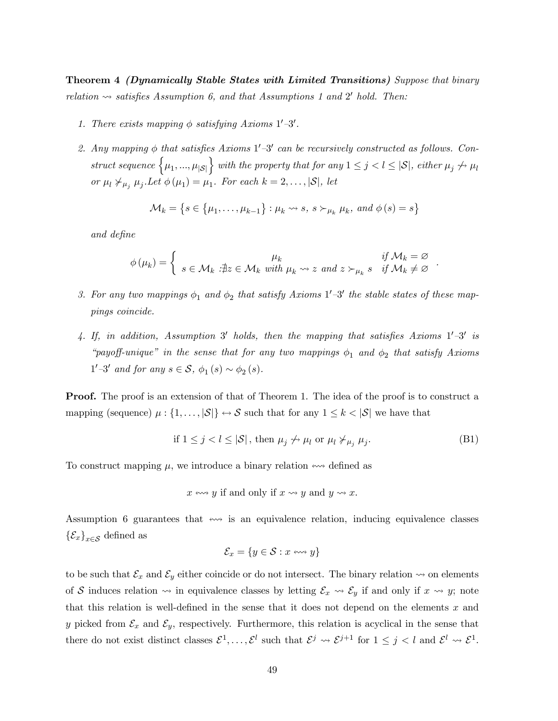Theorem 4 *(Dynamically Stable States with Limited Transitions)* Suppose that binary relation  $\sim$  satisfies Assumption 6, and that Assumptions 1 and 2' hold. Then:

- 1. There exists mapping  $\phi$  satisfying Axioms  $1'$ -3'.
- 2. Any mapping  $\phi$  that satisfies Axioms  $1'$ -3' can be recursively constructed as follows. Construct sequence  $\left\{\mu_1, ..., \mu_{|\mathcal{S}|}\right\}$  with the property that for any  $1 \leq j < l \leq |\mathcal{S}|$ , either  $\mu_j \nleftrightarrow \mu_l$ or  $\mu_l \not\succ \mu_j$ ,  $\mu_j$ . Let  $\phi(\mu_1) = \mu_1$ . For each  $k = 2, \ldots, |\mathcal{S}|$ , let

$$
\mathcal{M}_k = \left\{ s \in \left\{ \mu_1, \ldots, \mu_{k-1} \right\} : \mu_k \leadsto s, \, s \succ_{\mu_k} \mu_k, \, \text{and} \, \phi \left( s \right) = s \right\}
$$

and define

$$
\phi(\mu_k) = \begin{cases} \mu_k & \text{if } M_k = \varnothing \\ s \in \mathcal{M}_k & \text{if } \varnothing \in \mathcal{M}_k \text{ with } \mu_k \leadsto z \text{ and } z \succ_{\mu_k} s & \text{if } \mathcal{M}_k \neq \varnothing \end{cases}.
$$

- 3. For any two mappings  $\phi_1$  and  $\phi_2$  that satisfy Axioms  $1'$ -3' the stable states of these mappings coincide.
- 4. If, in addition, Assumption 3' holds, then the mapping that satisfies Axioms  $1'$ -3' is "payoff-unique" in the sense that for any two mappings  $\phi_1$  and  $\phi_2$  that satisfy Axioms  $1'$ -3' and for any  $s \in S$ ,  $\phi_1(s) \sim \phi_2(s)$ .

Proof. The proof is an extension of that of Theorem 1. The idea of the proof is to construct a mapping (sequence)  $\mu : \{1, \ldots, |\mathcal{S}|\} \leftrightarrow \mathcal{S}$  such that for any  $1 \leq k < |\mathcal{S}|$  we have that

if 
$$
1 \le j < l \le |\mathcal{S}|
$$
, then  $\mu_j \nleftrightarrow \mu_l$  or  $\mu_l \nleftrightarrow \mu_j$ . (B1)

To construct mapping  $\mu$ , we introduce a binary relation  $\leftrightarrow$  defined as

$$
x \leftrightarrow y
$$
 if and only if  $x \leftrightarrow y$  and  $y \leftrightarrow x$ .

Assumption 6 guarantees that  $\leftrightarrow$  is an equivalence relation, inducing equivalence classes  ${\{\mathcal{E}_x\}}_{x\in\mathcal{S}}$  defined as

$$
\mathcal{E}_x = \{ y \in \mathcal{S} : x \leftrightarrow y \}
$$

to be such that  $\mathcal{E}_x$  and  $\mathcal{E}_y$  either coincide or do not intersect. The binary relation  $\leadsto$  on elements of S induces relation  $\rightsquigarrow$  in equivalence classes by letting  $\mathcal{E}_x \rightsquigarrow \mathcal{E}_y$  if and only if  $x \rightsquigarrow y$ ; note that this relation is well-defined in the sense that it does not depend on the elements  $x$  and y picked from  $\mathcal{E}_x$  and  $\mathcal{E}_y$ , respectively. Furthermore, this relation is acyclical in the sense that there do not exist distinct classes  $\mathcal{E}^1,\ldots,\mathcal{E}^l$  such that  $\mathcal{E}^j \rightsquigarrow \mathcal{E}^{j+1}$  for  $1 \leq j < l$  and  $\mathcal{E}^l \rightsquigarrow \mathcal{E}^1$ .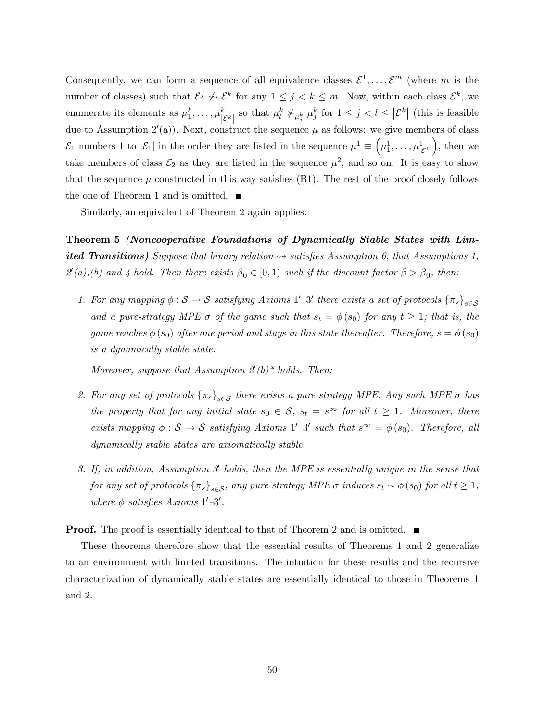Consequently, we can form a sequence of all equivalence classes  $\mathcal{E}^1,\ldots,\mathcal{E}^m$  (where m is the number of classes) such that  $\mathcal{E}^j \nleftrightarrow \mathcal{E}^k$  for any  $1 \leq j \leq k \leq m$ . Now, within each class  $\mathcal{E}^k$ , we enumerate its elements as  $\mu_1^k, \ldots, \mu_{|\mathcal{E}^k|}^k$  so that  $\mu_l^k \nsucc_{\mu_j^k} \mu_j^k$  for  $1 \leq j < l \leq |\mathcal{E}^k|$  (this is feasible due to Assumption 2'(a)). Next, construct the sequence  $\mu$  as follows: we give members of class  $\mathcal{E}_1$  numbers 1 to  $|\mathcal{E}_1|$  in the order they are listed in the sequence  $\mu^1 \equiv \left(\mu_1^1, \ldots, \mu_{|\mathcal{E}^1|}^1\right)$  $\big)$ , then we take members of class  $\mathcal{E}_2$  as they are listed in the sequence  $\mu^2$ , and so on. It is easy to show that the sequence  $\mu$  constructed in this way satisfies (B1). The rest of the proof closely follows the one of Theorem 1 and is omitted.  $\blacksquare$ 

Similarly, an equivalent of Theorem 2 again applies.

Theorem 5 (Noncooperative Foundations of Dynamically Stable States with Limited Transitions) Suppose that binary relation  $\sim$  satisfies Assumption 6, that Assumptions 1,  $2'(a)$ ,(b) and 4 hold. Then there exists  $\beta_0 \in [0,1)$  such if the discount factor  $\beta > \beta_0$ , then:

1. For any mapping  $\phi : \mathcal{S} \to \mathcal{S}$  satisfying Axioms  $1'$ -3' there exists a set of protocols  $\{\pi_s\}_{s \in \mathcal{S}}$ and a pure-strategy MPE  $\sigma$  of the game such that  $s_t = \phi(s_0)$  for any  $t \geq 1$ ; that is, the game reaches  $\phi(s_0)$  after one period and stays in this state thereafter. Therefore,  $s = \phi(s_0)$ is a dynamically stable state.

Moreover, suppose that Assumption  $2'(b)^*$  holds. Then:

- 2. For any set of protocols  $\{\pi_s\}_{s\in\mathcal{S}}$  there exists a pure-strategy MPE. Any such MPE  $\sigma$  has the property that for any initial state  $s_0 \in S$ ,  $s_t = s^{\infty}$  for all  $t \geq 1$ . Moreover, there exists mapping  $\phi : \mathcal{S} \to \mathcal{S}$  satisfying Axioms  $1'$ -3' such that  $s^{\infty} = \phi(s_0)$ . Therefore, all dynamically stable states are axiomatically stable.
- 3. If, in addition, Assumption  $\mathcal{S}$  holds, then the MPE is essentially unique in the sense that for any set of protocols  $\{\pi_s\}_{s\in\mathcal{S}}$ , any pure-strategy MPE  $\sigma$  induces  $s_t \sim \phi(s_0)$  for all  $t \geq 1$ , where  $\phi$  satisfies Axioms  $1'-3'$ .

**Proof.** The proof is essentially identical to that of Theorem 2 and is omitted.  $\blacksquare$ 

These theorems therefore show that the essential results of Theorems 1 and 2 generalize to an environment with limited transitions. The intuition for these results and the recursive characterization of dynamically stable states are essentially identical to those in Theorems 1 and 2.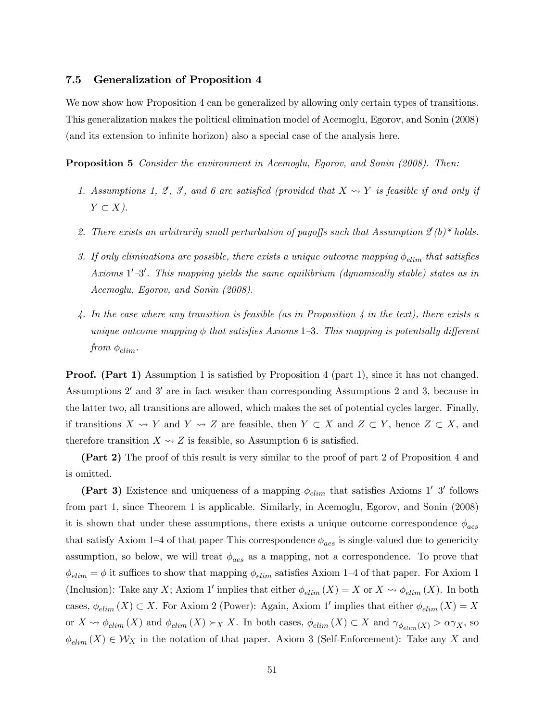#### 7.5 Generalization of Proposition 4

We now show how Proposition 4 can be generalized by allowing only certain types of transitions. This generalization makes the political elimination model of Acemoglu, Egorov, and Sonin (2008) (and its extension to infinite horizon) also a special case of the analysis here.

Proposition 5 Consider the environment in Acemoglu, Egorov, and Sonin (2008). Then:

- 1. Assumptions 1, 2, 3, and 6 are satisfied (provided that  $X \rightarrow Y$  is feasible if and only if  $Y \subset X$ ).
- 2. There exists an arbitrarily small perturbation of payoffs such that Assumption  $2'(b)^*$  holds.
- 3. If only eliminations are possible, there exists a unique outcome mapping  $\phi_{elim}$  that satisfies Axioms  $1'-3'$ . This mapping yields the same equilibrium (dynamically stable) states as in Acemoglu, Egorov, and Sonin (2008).
- 4. In the case where any transition is feasible (as in Proposition 4 in the text), there exists a unique outcome mapping  $\phi$  that satisfies Axioms 1–3. This mapping is potentially different from  $\phi_{elim}$ .

**Proof.** (Part 1) Assumption 1 is satisfied by Proposition 4 (part 1), since it has not changed. Assumptions 2' and 3' are in fact weaker than corresponding Assumptions 2 and 3, because in the latter two, all transitions are allowed, which makes the set of potential cycles larger. Finally, if transitions  $X \rightsquigarrow Y$  and  $Y \rightsquigarrow Z$  are feasible, then  $Y \subset X$  and  $Z \subset Y$ , hence  $Z \subset X$ , and therefore transition  $X \rightarrow Z$  is feasible, so Assumption 6 is satisfied.

(Part 2) The proof of this result is very similar to the proof of part 2 of Proposition 4 and is omitted.

(Part 3) Existence and uniqueness of a mapping  $\phi_{elim}$  that satisfies Axioms 1'-3' follows from part 1, since Theorem 1 is applicable. Similarly, in Acemoglu, Egorov, and Sonin (2008) it is shown that under these assumptions, there exists a unique outcome correspondence  $\phi_{\text{des}}$ that satisfy Axiom 1–4 of that paper This correspondence  $\phi_{\text{aes}}$  is single-valued due to genericity assumption, so below, we will treat  $\phi_{\text{aes}}$  as a mapping, not a correspondence. To prove that  $\phi_{elim} = \phi$  it suffices to show that mapping  $\phi_{elim}$  satisfies Axiom 1–4 of that paper. For Axiom 1 (Inclusion): Take any X; Axiom 1' implies that either  $\phi_{elim}(X) = X$  or  $X \rightsquigarrow \phi_{elim}(X)$ . In both cases,  $\phi_{elim}(X) \subset X$ . For Axiom 2 (Power): Again, Axiom 1' implies that either  $\phi_{elim}(X) = X$ or  $X \rightsquigarrow \phi_{elim}(X)$  and  $\phi_{elim}(X) \succ_X X$ . In both cases,  $\phi_{elim}(X) \subset X$  and  $\gamma_{\phi_{elim}(X)} > \alpha \gamma_X$ , so  $\phi_{elim}(X) \in \mathcal{W}_X$  in the notation of that paper. Axiom 3 (Self-Enforcement): Take any X and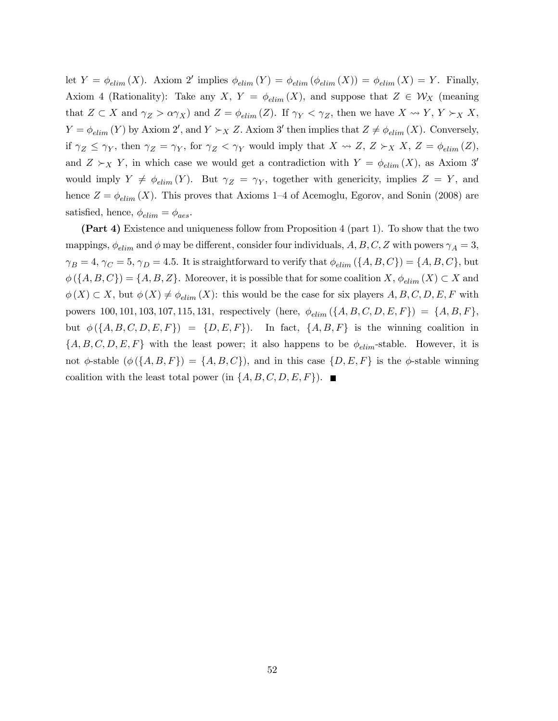let  $Y = \phi_{elim}(X)$ . Axiom 2' implies  $\phi_{elim}(Y) = \phi_{elim}(\phi_{elim}(X)) = \phi_{elim}(X) = Y$ . Finally, Axiom 4 (Rationality): Take any X,  $Y = \phi_{elim}(X)$ , and suppose that  $Z \in \mathcal{W}_X$  (meaning that  $Z \subset X$  and  $\gamma_Z > \alpha \gamma_X$ ) and  $Z = \phi_{elim}(Z)$ . If  $\gamma_Y < \gamma_Z$ , then we have  $X \rightsquigarrow Y$ ,  $Y \succ_X X$ ,  $Y = \phi_{elim}(Y)$  by Axiom 2', and  $Y \succ_X Z$ . Axiom 3' then implies that  $Z \neq \phi_{elim}(X)$ . Conversely, if  $\gamma_Z \leq \gamma_Y$ , then  $\gamma_Z = \gamma_Y$ , for  $\gamma_Z < \gamma_Y$  would imply that  $X \rightsquigarrow Z$ ,  $Z \succ_X X$ ,  $Z = \phi_{elim}(Z)$ , and  $Z \succ_X Y$ , in which case we would get a contradiction with  $Y = \phi_{elim}(X)$ , as Axiom 3' would imply  $Y \neq \phi_{elim}(Y)$ . But  $\gamma_Z = \gamma_Y$ , together with genericity, implies  $Z = Y$ , and hence  $Z = \phi_{elim}(X)$ . This proves that Axioms 1–4 of Acemoglu, Egorov, and Sonin (2008) are satisfied, hence,  $\phi_{elim} = \phi_{aes}$ .

(Part 4) Existence and uniqueness follow from Proposition 4 (part 1). To show that the two mappings,  $\phi_{elim}$  and  $\phi$  may be different, consider four individuals, A, B, C, Z with powers  $\gamma_A = 3$ ,  $\gamma_B = 4, \gamma_C = 5, \gamma_D = 4.5$ . It is straightforward to verify that  $\phi_{elim}(\{A, B, C\}) = \{A, B, C\}$ , but  $\phi(\{A, B, C\}) = \{A, B, Z\}$ . Moreover, it is possible that for some coalition X,  $\phi_{elim}(X) \subset X$  and  $\phi(X) \subset X$ , but  $\phi(X) \neq \phi_{elim}(X)$ : this would be the case for six players  $A, B, C, D, E, F$  with powers 100, 101, 103, 107, 115, 131, respectively (here,  $\phi_{elim}(\{A, B, C, D, E, F\}) = \{A, B, F\},\$ but  $\phi(\lbrace A, B, C, D, E, F \rbrace) = \lbrace D, E, F \rbrace$ . In fact,  $\lbrace A, B, F \rbrace$  is the winning coalition in  $\{A, B, C, D, E, F\}$  with the least power; it also happens to be  $\phi_{elim}$ -stable. However, it is not  $\phi$ -stable  $(\phi(\lbrace A, B, F \rbrace) = \lbrace A, B, C \rbrace)$ , and in this case  $\lbrace D, E, F \rbrace$  is the  $\phi$ -stable winning coalition with the least total power (in  $\{A, B, C, D, E, F\}$ ).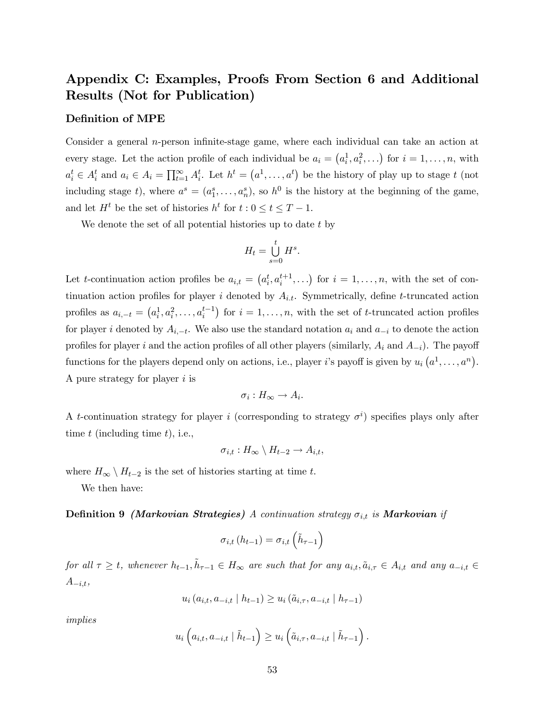# Appendix C: Examples, Proofs From Section 6 and Additional Results (Not for Publication)

#### Definition of MPE

Consider a general n-person infinite-stage game, where each individual can take an action at every stage. Let the action profile of each individual be  $a_i = (a_i^1, a_i^2, \ldots)$  for  $i = 1, \ldots, n$ , with  $a_i^t \in A_i^t$  and  $a_i \in A_i = \prod_{t=1}^{\infty} A_i^t$ . Let  $h^t = (a^1, \ldots, a^t)$  be the history of play up to stage t (not including stage t), where  $a^s = (a_1^s, \ldots, a_n^s)$ , so  $h^0$  is the history at the beginning of the game, and let  $H^t$  be the set of histories  $h^t$  for  $t : 0 \le t \le T - 1$ .

We denote the set of all potential histories up to date  $t$  by

$$
H_t = \bigcup_{s=0}^t H^s.
$$

Let t-continuation action profiles be  $a_{i,t} = (a_i^t, a_i^{t+1}, \ldots)$  for  $i = 1, \ldots, n$ , with the set of continuation action profiles for player i denoted by  $A_{i,t}$ . Symmetrically, define t-truncated action profiles as  $a_{i,-t} = (a_i^1, a_i^2, \ldots, a_i^{t-1})$  for  $i = 1, \ldots, n$ , with the set of t-truncated action profiles for player i denoted by  $A_{i,-t}$ . We also use the standard notation  $a_i$  and  $a_{-i}$  to denote the action profiles for player i and the action profiles of all other players (similarly,  $A_i$  and  $A_{-i}$ ). The payoff functions for the players depend only on actions, i.e., player *i*'s payoff is given by  $u_i$   $(a^1, \ldots, a^n)$ . A pure strategy for player  $i$  is

$$
\sigma_i: H_\infty \to A_i.
$$

A t-continuation strategy for player i (corresponding to strategy  $\sigma^i$ ) specifies plays only after time  $t$  (including time  $t$ ), i.e.,

$$
\sigma_{i,t}: H_{\infty} \setminus H_{t-2} \to A_{i,t},
$$

where  $H_{\infty} \setminus H_{t-2}$  is the set of histories starting at time t.

We then have:

**Definition 9** (Markovian Strategies) A continuation strategy  $\sigma_{i,t}$  is Markovian if

$$
\sigma_{i,t}\left(h_{t-1}\right) = \sigma_{i,t}\left(\tilde{h}_{\tau-1}\right)
$$

for all  $\tau \geq t$ , whenever  $h_{t-1}, \tilde{h}_{\tau-1} \in H_{\infty}$  are such that for any  $a_{i,t}, \tilde{a}_{i,\tau} \in A_{i,t}$  and any  $a_{-i,t} \in$  $A_{-i,t}$ 

$$
u_i(a_{i,t}, a_{-i,t} | h_{t-1}) \ge u_i(\tilde{a}_{i,\tau}, a_{-i,t} | h_{\tau-1})
$$

implies

$$
u_i\left(a_{i,t}, a_{-i,t} \mid \tilde{h}_{t-1}\right) \geq u_i\left(\tilde{a}_{i,\tau}, a_{-i,t} \mid \tilde{h}_{\tau-1}\right).
$$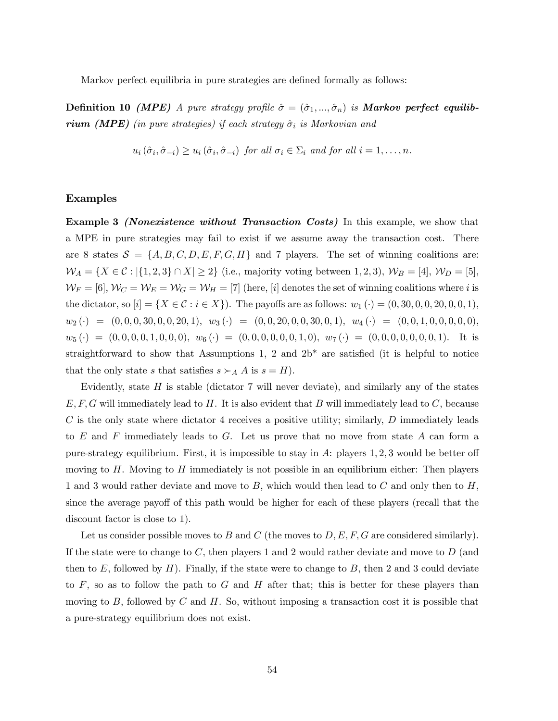Markov perfect equilibria in pure strategies are defined formally as follows:

**Definition 10 (MPE)** A pure strategy profile  $\hat{\sigma} = (\hat{\sigma}_1, ..., \hat{\sigma}_n)$  is **Markov perfect equilib**rium (MPE) (in pure strategies) if each strategy  $\hat{\sigma}_i$  is Markovian and

$$
u_i\left(\hat{\sigma}_i,\hat{\sigma}_{-i}\right) \geq u_i\left(\hat{\sigma}_i,\hat{\sigma}_{-i}\right) \text{ for all } \sigma_i \in \Sigma_i \text{ and for all } i = 1,\ldots,n.
$$

#### Examples

**Example 3** (*Nonexistence without Transaction Costs*) In this example, we show that a MPE in pure strategies may fail to exist if we assume away the transaction cost. There are 8 states  $S = \{A, B, C, D, E, F, G, H\}$  and 7 players. The set of winning coalitions are:  $\mathcal{W}_A = \{X \in \mathcal{C} : |\{1, 2, 3\} \cap X| \ge 2\}$  (i.e., majority voting between 1, 2, 3),  $\mathcal{W}_B = [4]$ ,  $\mathcal{W}_D = [5]$ ,  $W_F = [6], W_C = W_E = W_G = W_H = [7]$  (here, [i] denotes the set of winning coalitions where i is the dictator, so  $[i] = \{X \in \mathcal{C} : i \in X\}$ . The payoffs are as follows:  $w_1(\cdot) = (0, 30, 0, 0, 20, 0, 0, 1)$ ,  $w_2(\cdot) = (0, 0, 0, 30, 0, 0, 20, 1), w_3(\cdot) = (0, 0, 20, 0, 0, 30, 0, 1), w_4(\cdot) = (0, 0, 1, 0, 0, 0, 0, 0),$  $w_5(\cdot) = (0, 0, 0, 0, 1, 0, 0, 0), w_6(\cdot) = (0, 0, 0, 0, 0, 0, 1, 0), w_7(\cdot) = (0, 0, 0, 0, 0, 0, 0, 1).$  It is straightforward to show that Assumptions 1, 2 and 2b\* are satisfied (it is helpful to notice that the only state s that satisfies  $s \succ_A A$  is  $s = H$ ).

Evidently, state  $H$  is stable (dictator 7 will never deviate), and similarly any of the states  $E, F, G$  will immediately lead to H. It is also evident that B will immediately lead to C, because  $C$  is the only state where dictator 4 receives a positive utility; similarly,  $D$  immediately leads to  $E$  and  $F$  immediately leads to  $G$ . Let us prove that no move from state  $A$  can form a pure-strategy equilibrium. First, it is impossible to stay in  $A$ : players 1, 2, 3 would be better off moving to  $H$ . Moving to  $H$  immediately is not possible in an equilibrium either: Then players 1 and 3 would rather deviate and move to  $B$ , which would then lead to  $C$  and only then to  $H$ , since the average payoff of this path would be higher for each of these players (recall that the discount factor is close to 1).

Let us consider possible moves to B and C (the moves to  $D, E, F, G$  are considered similarly). If the state were to change to  $C$ , then players 1 and 2 would rather deviate and move to  $D$  (and then to E, followed by  $H$ ). Finally, if the state were to change to B, then 2 and 3 could deviate to  $F$ , so as to follow the path to  $G$  and  $H$  after that; this is better for these players than moving to  $B$ , followed by  $C$  and  $H$ . So, without imposing a transaction cost it is possible that a pure-strategy equilibrium does not exist.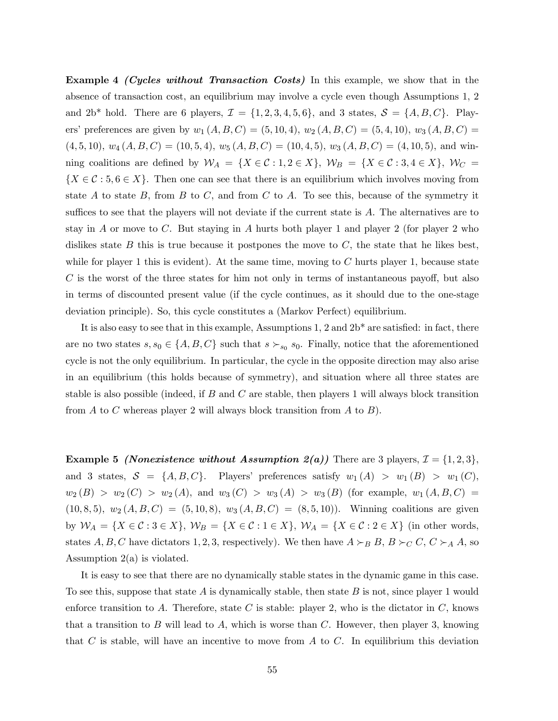Example 4 (Cycles without Transaction Costs) In this example, we show that in the absence of transaction cost, an equilibrium may involve a cycle even though Assumptions 1, 2 and  $2b^*$  hold. There are 6 players,  $\mathcal{I} = \{1, 2, 3, 4, 5, 6\}$ , and 3 states,  $\mathcal{S} = \{A, B, C\}$ . Players' preferences are given by  $w_1(A, B, C) = (5, 10, 4), w_2(A, B, C) = (5, 4, 10), w_3(A, B, C) =$  $(4, 5, 10), w_4(A, B, C) = (10, 5, 4), w_5(A, B, C) = (10, 4, 5), w_3(A, B, C) = (4, 10, 5), \text{ and win-}$ ning coalitions are defined by  $W_A = \{X \in \mathcal{C} : 1, 2 \in X\}$ ,  $W_B = \{X \in \mathcal{C} : 3, 4 \in X\}$ ,  $W_C =$  $\{X \in \mathcal{C} : 5, 6 \in X\}$ . Then one can see that there is an equilibrium which involves moving from state A to state B, from B to C, and from C to A. To see this, because of the symmetry it suffices to see that the players will not deviate if the current state is A. The alternatives are to stay in A or move to C. But staying in A hurts both player 1 and player 2 (for player 2 who dislikes state  $B$  this is true because it postpones the move to  $C$ , the state that he likes best, while for player 1 this is evident). At the same time, moving to  $C$  hurts player 1, because state C is the worst of the three states for him not only in terms of instantaneous payoff, but also in terms of discounted present value (if the cycle continues, as it should due to the one-stage deviation principle). So, this cycle constitutes a (Markov Perfect) equilibrium.

It is also easy to see that in this example, Assumptions 1, 2 and 2b\* are satisfied: in fact, there are no two states  $s, s_0 \in \{A, B, C\}$  such that  $s \succ_{s_0} s_0$ . Finally, notice that the aforementioned cycle is not the only equilibrium. In particular, the cycle in the opposite direction may also arise in an equilibrium (this holds because of symmetry), and situation where all three states are stable is also possible (indeed, if  $B$  and  $C$  are stable, then players 1 will always block transition from  $A$  to  $C$  whereas player 2 will always block transition from  $A$  to  $B$ ).

**Example 5** (*Nonexistence without Assumption 2(a)*) There are 3 players,  $\mathcal{I} = \{1, 2, 3\}$ , and 3 states,  $S = \{A, B, C\}$ . Players' preferences satisfy  $w_1(A) > w_1(B) > w_1(C)$ ,  $w_2(B) > w_2(C) > w_2(A)$ , and  $w_3(C) > w_3(A) > w_3(B)$  (for example,  $w_1(A, B, C)$ )  $(10, 8, 5), w_2(A, B, C) = (5, 10, 8), w_3(A, B, C) = (8, 5, 10).$  Winning coalitions are given by  $\mathcal{W}_A = \{X \in \mathcal{C} : 3 \in X\}$ ,  $\mathcal{W}_B = \{X \in \mathcal{C} : 1 \in X\}$ ,  $\mathcal{W}_A = \{X \in \mathcal{C} : 2 \in X\}$  (in other words, states A, B, C have dictators 1, 2, 3, respectively). We then have  $A \succ_B B$ ,  $B \succ_C C$ ,  $C \succ_A A$ , so Assumption 2(a) is violated.

It is easy to see that there are no dynamically stable states in the dynamic game in this case. To see this, suppose that state A is dynamically stable, then state B is not, since player 1 would enforce transition to A. Therefore, state C is stable: player 2, who is the dictator in  $C$ , knows that a transition to  $B$  will lead to  $A$ , which is worse than  $C$ . However, then player 3, knowing that C is stable, will have an incentive to move from A to C. In equilibrium this deviation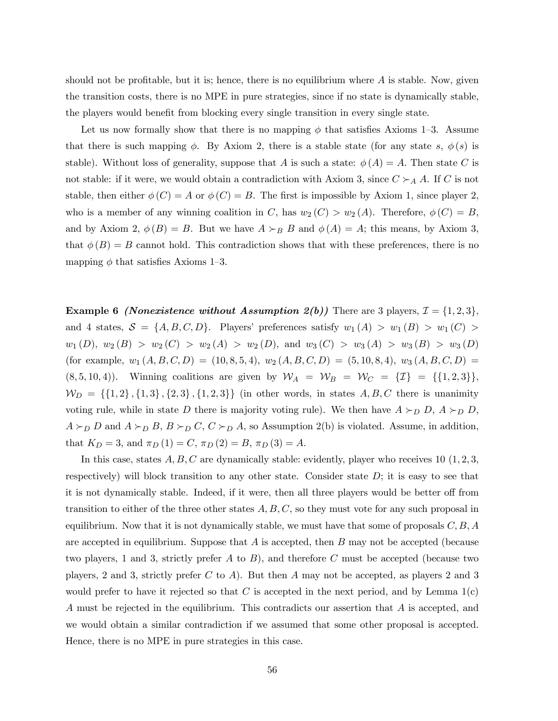should not be profitable, but it is; hence, there is no equilibrium where  $A$  is stable. Now, given the transition costs, there is no MPE in pure strategies, since if no state is dynamically stable, the players would benefit from blocking every single transition in every single state.

Let us now formally show that there is no mapping  $\phi$  that satisfies Axioms 1–3. Assume that there is such mapping  $\phi$ . By Axiom 2, there is a stable state (for any state s,  $\phi(s)$  is stable). Without loss of generality, suppose that A is such a state:  $\phi(A) = A$ . Then state C is not stable: if it were, we would obtain a contradiction with Axiom 3, since  $C \succ_A A$ . If C is not stable, then either  $\phi(C) = A$  or  $\phi(C) = B$ . The first is impossible by Axiom 1, since player 2, who is a member of any winning coalition in C, has  $w_2(C) > w_2(A)$ . Therefore,  $\phi(C) = B$ , and by Axiom 2,  $\phi(B) = B$ . But we have  $A \succ_B B$  and  $\phi(A) = A$ ; this means, by Axiom 3, that  $\phi(B) = B$  cannot hold. This contradiction shows that with these preferences, there is no mapping  $\phi$  that satisfies Axioms 1–3.

**Example 6** (*Nonexistence without Assumption 2(b)*) There are 3 players,  $\mathcal{I} = \{1, 2, 3\}$ , and 4 states,  $S = \{A, B, C, D\}$ . Players' preferences satisfy  $w_1(A) > w_1(B) > w_1(C)$  $w_1(D), w_2(B) > w_2(C) > w_2(A) > w_2(D), \text{ and } w_3(C) > w_3(A) > w_3(B) > w_3(D)$ (for example,  $w_1(A, B, C, D) = (10, 8, 5, 4), w_2(A, B, C, D) = (5, 10, 8, 4), w_3(A, B, C, D) =$ (8, 5, 10, 4)). Winning coalitions are given by  $W_A = W_B = W_C = \{I\} = \{\{1, 2, 3\}\},\$  $\mathcal{W}_D = \{\{1, 2\}, \{1, 3\}, \{2, 3\}, \{1, 2, 3\}\}\$  (in other words, in states  $A, B, C$  there is unanimity voting rule, while in state D there is majority voting rule). We then have  $A \succ_D D$ ,  $A \succ_D D$ ,  $A \succ_D D$  and  $A \succ_D B$ ,  $B \succ_D C$ ,  $C \succ_D A$ , so Assumption 2(b) is violated. Assume, in addition, that  $K_D = 3$ , and  $\pi_D (1) = C$ ,  $\pi_D (2) = B$ ,  $\pi_D (3) = A$ .

In this case, states  $A, B, C$  are dynamically stable: evidently, player who receives 10 (1, 2, 3, respectively) will block transition to any other state. Consider state  $D$ ; it is easy to see that it is not dynamically stable. Indeed, if it were, then all three players would be better off from transition to either of the three other states  $A, B, C$ , so they must vote for any such proposal in equilibrium. Now that it is not dynamically stable, we must have that some of proposals  $C, B, A$ are accepted in equilibrium. Suppose that  $A$  is accepted, then  $B$  may not be accepted (because two players, 1 and 3, strictly prefer  $A$  to  $B$ ), and therefore  $C$  must be accepted (because two players, 2 and 3, strictly prefer C to A). But then A may not be accepted, as players 2 and 3 would prefer to have it rejected so that C is accepted in the next period, and by Lemma  $1(c)$ A must be rejected in the equilibrium. This contradicts our assertion that A is accepted, and we would obtain a similar contradiction if we assumed that some other proposal is accepted. Hence, there is no MPE in pure strategies in this case.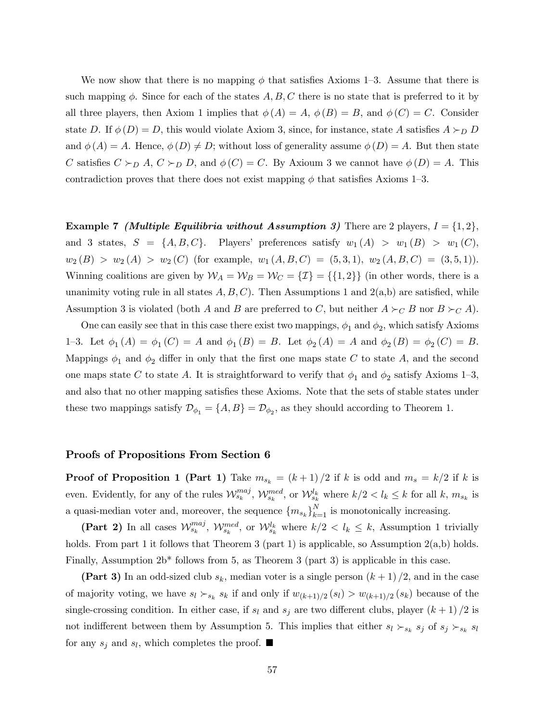We now show that there is no mapping  $\phi$  that satisfies Axioms 1–3. Assume that there is such mapping  $\phi$ . Since for each of the states A, B, C there is no state that is preferred to it by all three players, then Axiom 1 implies that  $\phi(A) = A$ ,  $\phi(B) = B$ , and  $\phi(C) = C$ . Consider state D. If  $\phi(D) = D$ , this would violate Axiom 3, since, for instance, state A satisfies  $A \succ_D D$ and  $\phi(A) = A$ . Hence,  $\phi(D) \neq D$ ; without loss of generality assume  $\phi(D) = A$ . But then state C satisfies  $C \succ_D A$ ,  $C \succ_D D$ , and  $\phi(C) = C$ . By Axioum 3 we cannot have  $\phi(D) = A$ . This contradiction proves that there does not exist mapping  $\phi$  that satisfies Axioms 1–3.

**Example 7** (Multiple Equilibria without Assumption 3) There are 2 players,  $I = \{1, 2\}$ , and 3 states,  $S = \{A, B, C\}$ . Players' preferences satisfy  $w_1(A) > w_1(B) > w_1(C)$ ,  $w_2(B) > w_2(A) > w_2(C)$  (for example,  $w_1(A, B, C) = (5, 3, 1), w_2(A, B, C) = (3, 5, 1).$ Winning coalitions are given by  $\mathcal{W}_A = \mathcal{W}_B = \mathcal{W}_C = \{\mathcal{I}\} = \{\{1, 2\}\}\$  (in other words, there is a unanimity voting rule in all states  $A, B, C$ . Then Assumptions 1 and  $2(a,b)$  are satisfied, while Assumption 3 is violated (both A and B are preferred to C, but neither  $A \succ_C B$  nor  $B \succ_C A$ ).

One can easily see that in this case there exist two mappings,  $\phi_1$  and  $\phi_2$ , which satisfy Axioms 1-3. Let  $\phi_1(A) = \phi_1(C) = A$  and  $\phi_1(B) = B$ . Let  $\phi_2(A) = A$  and  $\phi_2(B) = \phi_2(C) = B$ . Mappings  $\phi_1$  and  $\phi_2$  differ in only that the first one maps state C to state A, and the second one maps state C to state A. It is straightforward to verify that  $\phi_1$  and  $\phi_2$  satisfy Axioms 1–3, and also that no other mapping satisfies these Axioms. Note that the sets of stable states under these two mappings satisfy  $\mathcal{D}_{\phi_1} = \{A, B\} = \mathcal{D}_{\phi_2}$ , as they should according to Theorem 1.

#### Proofs of Propositions From Section 6

**Proof of Proposition 1 (Part 1)** Take  $m_{s_k} = (k+1)/2$  if k is odd and  $m_s = k/2$  if k is even. Evidently, for any of the rules  $\mathcal{W}_{s_k}^{maj}$ ,  $\mathcal{W}_{s_k}^{med}$ , or  $\mathcal{W}_{s_k}^{l_k}$  where  $k/2 < l_k \leq k$  for all k,  $m_{s_k}$  is a quasi-median voter and, moreover, the sequence  ${m_{s_k}}_{k=1}^N$  is monotonically increasing.

(Part 2) In all cases  $\mathcal{W}_{s_k}^{maj}$ ,  $\mathcal{W}_{s_k}^{med}$ , or  $\mathcal{W}_{s_k}^{lk}$  where  $k/2 < l_k \leq k$ , Assumption 1 trivially holds. From part 1 it follows that Theorem 3 (part 1) is applicable, so Assumption  $2(a,b)$  holds. Finally, Assumption  $2b^*$  follows from 5, as Theorem 3 (part 3) is applicable in this case.

(Part 3) In an odd-sized club  $s_k$ , median voter is a single person  $(k+1)/2$ , and in the case of majority voting, we have  $s_l \succ_{s_k} s_k$  if and only if  $w_{(k+1)/2}(s_l) > w_{(k+1)/2}(s_k)$  because of the single-crossing condition. In either case, if  $s_l$  and  $s_j$  are two different clubs, player  $(k+1)/2$  is not indifferent between them by Assumption 5. This implies that either  $s_l \succ_{s_k} s_j$  of  $s_j \succ_{s_k} s_l$ for any  $s_j$  and  $s_l,$  which completes the proof.  $\blacksquare$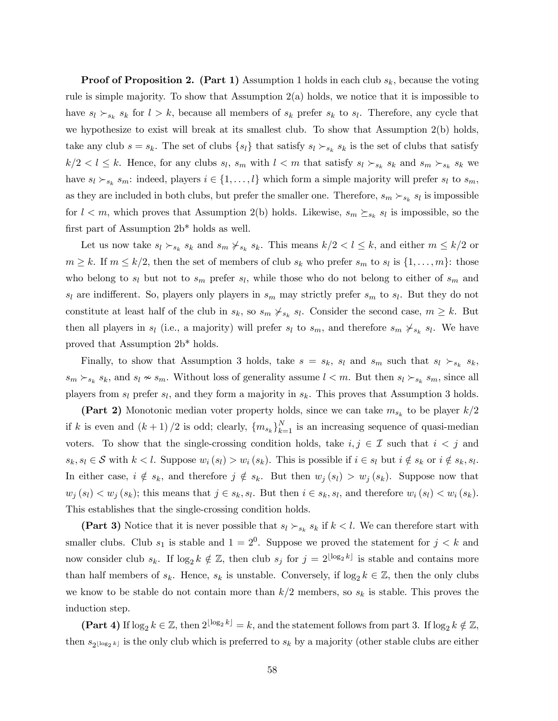**Proof of Proposition 2.** (Part 1) Assumption 1 holds in each club  $s_k$ , because the voting rule is simple majority. To show that Assumption 2(a) holds, we notice that it is impossible to have  $s_l \succ_{s_k} s_k$  for  $l>k$ , because all members of  $s_k$  prefer  $s_k$  to  $s_l$ . Therefore, any cycle that we hypothesize to exist will break at its smallest club. To show that Assumption 2(b) holds, take any club  $s = s_k$ . The set of clubs  $\{s_l\}$  that satisfy  $s_l \succ_{s_k} s_k$  is the set of clubs that satisfy  $k/2 < l \leq k$ . Hence, for any clubs  $s_l$ ,  $s_m$  with  $l < m$  that satisfy  $s_l \succ_{s_k} s_k$  and  $s_m \succ_{s_k} s_k$  we have  $s_l \succ_{s_k} s_m$ : indeed, players  $i \in \{1,\ldots,l\}$  which form a simple majority will prefer  $s_l$  to  $s_m$ , as they are included in both clubs, but prefer the smaller one. Therefore,  $s_m \succ_{s_k} s_l$  is impossible for  $l < m$ , which proves that Assumption 2(b) holds. Likewise,  $s_m \succeq_{s_k} s_l$  is impossible, so the first part of Assumption 2b\* holds as well.

Let us now take  $s_l \succ_{s_k} s_k$  and  $s_m \not\succ_{s_k} s_k$ . This means  $k/2 < l \leq k$ , and either  $m \leq k/2$  or  $m \geq k$ . If  $m \leq k/2$ , then the set of members of club  $s_k$  who prefer  $s_m$  to  $s_l$  is  $\{1, \ldots, m\}$ : those who belong to  $s_l$  but not to  $s_m$  prefer  $s_l$ , while those who do not belong to either of  $s_m$  and  $s_l$  are indifferent. So, players only players in  $s_m$  may strictly prefer  $s_m$  to  $s_l$ . But they do not constitute at least half of the club in  $s_k$ , so  $s_m \nsucc s_k$ ,  $s_l$ . Consider the second case,  $m \geq k$ . But then all players in  $s_l$  (i.e., a majority) will prefer  $s_l$  to  $s_m$ , and therefore  $s_m \nsucc_{s_k} s_l$ . We have proved that Assumption 2b\* holds.

Finally, to show that Assumption 3 holds, take  $s = s_k$ ,  $s_l$  and  $s_m$  such that  $s_l \succ_{s_k} s_k$ ,  $s_m \succ_{s_k} s_k$ , and  $s_l \nsim s_m$ . Without loss of generality assume  $l < m$ . But then  $s_l \succ_{s_k} s_m$ , since all players from  $s_l$  prefer  $s_l$ , and they form a majority in  $s_k$ . This proves that Assumption 3 holds.

(Part 2) Monotonic median voter property holds, since we can take  $m_{s_k}$  to be player  $k/2$ if k is even and  $(k+1)/2$  is odd; clearly,  ${m_{s_k}}_{k=1}^N$  is an increasing sequence of quasi-median voters. To show that the single-crossing condition holds, take  $i, j \in \mathcal{I}$  such that  $i < j$  and  $s_k, s_l \in \mathcal{S}$  with  $k < l$ . Suppose  $w_i (s_l) > w_i (s_k)$ . This is possible if  $i \in s_l$  but  $i \notin s_k$  or  $i \notin s_k, s_l$ . In either case,  $i \notin s_k$ , and therefore  $j \notin s_k$ . But then  $w_j(s_l) > w_j(s_k)$ . Suppose now that  $w_j(s_l) \lt w_j(s_k)$ ; this means that  $j \in s_k, s_l$ . But then  $i \in s_k, s_l$ , and therefore  $w_i(s_l) \lt w_i(s_k)$ . This establishes that the single-crossing condition holds.

(Part 3) Notice that it is never possible that  $s_l \succ_{s_k} s_k$  if  $k < l$ . We can therefore start with smaller clubs. Club  $s_1$  is stable and  $1=2^0$ . Suppose we proved the statement for  $j < k$  and now consider club  $s_k$ . If  $\log_2 k \notin \mathbb{Z}$ , then club  $s_j$  for  $j = 2^{\lfloor \log_2 k \rfloor}$  is stable and contains more than half members of  $s_k$ . Hence,  $s_k$  is unstable. Conversely, if  $\log_2 k \in \mathbb{Z}$ , then the only clubs we know to be stable do not contain more than  $k/2$  members, so  $s_k$  is stable. This proves the induction step.

(Part 4) If  $\log_2 k \in \mathbb{Z}$ , then  $2^{\lfloor \log_2 k \rfloor} = k$ , and the statement follows from part 3. If  $\log_2 k \notin \mathbb{Z}$ , then  $s_{2\lfloor \log_2 k \rfloor}$  is the only club which is preferred to  $s_k$  by a majority (other stable clubs are either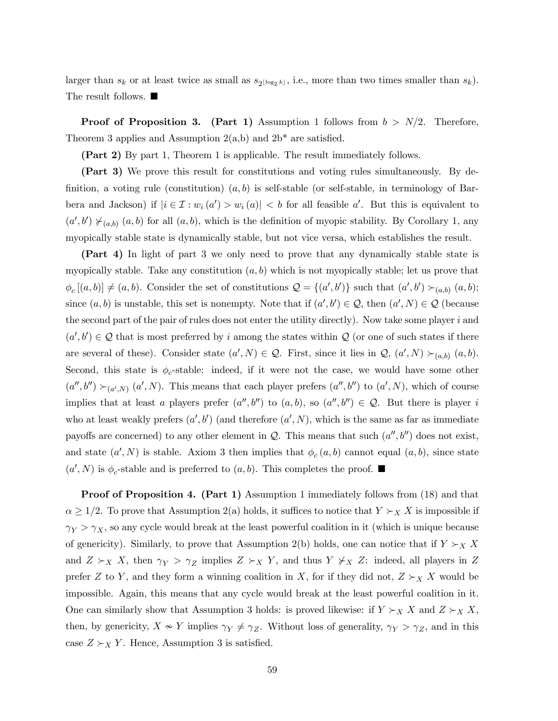larger than  $s_k$  or at least twice as small as  $s_{2^{\lfloor \log_2 k \rfloor}}$ , i.e., more than two times smaller than  $s_k$ ). The result follows.  $\blacksquare$ 

**Proof of Proposition 3.** (Part 1) Assumption 1 follows from  $b > N/2$ . Therefore, Theorem 3 applies and Assumption  $2(a,b)$  and  $2b^*$  are satisfied.

(Part 2) By part 1, Theorem 1 is applicable. The result immediately follows.

(Part 3) We prove this result for constitutions and voting rules simultaneously. By definition, a voting rule (constitution)  $(a, b)$  is self-stable (or self-stable, in terminology of Barbera and Jackson) if  $|i \in \mathcal{I}: w_i(a') > w_i(a)| < b$  for all feasible a'. But this is equivalent to  $(a',b') \nsucc_{(a,b)} (a,b)$  for all  $(a,b)$ , which is the definition of myopic stability. By Corollary 1, any myopically stable state is dynamically stable, but not vice versa, which establishes the result.

(Part 4) In light of part 3 we only need to prove that any dynamically stable state is myopically stable. Take any constitution  $(a, b)$  which is not myopically stable; let us prove that  $\phi_c [(a, b)] \neq (a, b)$ . Consider the set of constitutions  $\mathcal{Q} = \{(a', b')\}$  such that  $(a', b') \succ_{(a, b)} (a, b)$ ; since  $(a, b)$  is unstable, this set is nonempty. Note that if  $(a', b') \in \mathcal{Q}$ , then  $(a', N) \in \mathcal{Q}$  (because the second part of the pair of rules does not enter the utility directly). Now take some player  $i$  and  $(a', b') \in \mathcal{Q}$  that is most preferred by i among the states within  $\mathcal{Q}$  (or one of such states if there are several of these). Consider state  $(a', N) \in \mathcal{Q}$ . First, since it lies in  $\mathcal{Q}, (a', N) \succ_{(a,b)} (a, b)$ . Second, this state is  $\phi_c$ -stable: indeed, if it were not the case, we would have some other  $(a'', b'') \succ_{(a', N)} (a', N)$ . This means that each player prefers  $(a'', b'')$  to  $(a', N)$ , which of course implies that at least a players prefer  $(a'', b'')$  to  $(a, b)$ , so  $(a'', b'') \in \mathcal{Q}$ . But there is player i who at least weakly prefers  $(a', b')$  (and therefore  $(a', N)$ , which is the same as far as immediate payoffs are concerned) to any other element in  $Q$ . This means that such  $(a'', b'')$  does not exist, and state  $(a', N)$  is stable. Axiom 3 then implies that  $\phi_c(a, b)$  cannot equal  $(a, b)$ , since state  $(a', N)$  is  $\phi_c$ -stable and is preferred to  $(a, b)$ . This completes the proof.  $\blacksquare$ 

Proof of Proposition 4. (Part 1) Assumption 1 immediately follows from (18) and that  $\alpha \geq 1/2$ . To prove that Assumption 2(a) holds, it suffices to notice that  $Y \succ_X X$  is impossible if  $\gamma_Y > \gamma_X$ , so any cycle would break at the least powerful coalition in it (which is unique because of genericity). Similarly, to prove that Assumption 2(b) holds, one can notice that if  $Y \succ_X X$ and  $Z \succ_X X$ , then  $\gamma_Y > \gamma_Z$  implies  $Z \succ_X Y$ , and thus  $Y \not\succ_X Z$ : indeed, all players in Z prefer Z to Y, and they form a winning coalition in X, for if they did not,  $Z \succ_X X$  would be impossible. Again, this means that any cycle would break at the least powerful coalition in it. One can similarly show that Assumption 3 holds: is proved likewise: if  $Y \succ_X X$  and  $Z \succ_X X$ , then, by genericity,  $X \sim Y$  implies  $\gamma_Y \neq \gamma_Z$ . Without loss of generality,  $\gamma_Y > \gamma_Z$ , and in this case  $Z \succ_X Y$ . Hence, Assumption 3 is satisfied.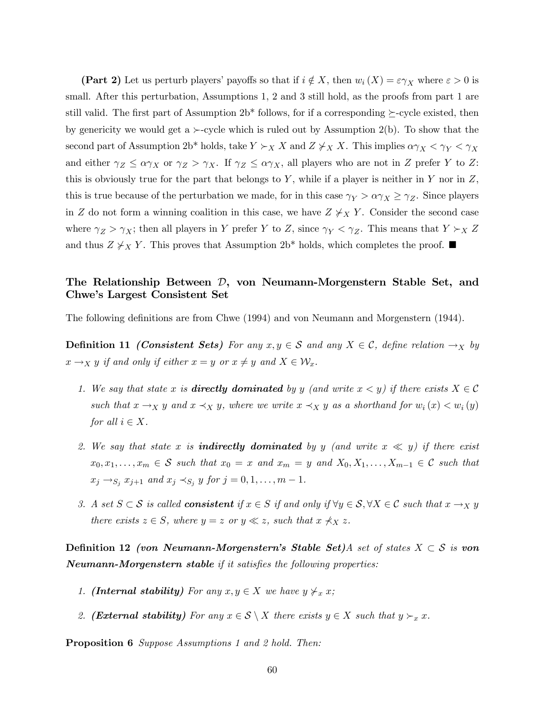(Part 2) Let us perturb players' payoffs so that if  $i \notin X$ , then  $w_i(X) = \varepsilon \gamma_X$  where  $\varepsilon > 0$  is small. After this perturbation, Assumptions 1, 2 and 3 still hold, as the proofs from part 1 are still valid. The first part of Assumption  $2b^*$  follows, for if a corresponding  $\succeq$ -cycle existed, then by genericity we would get a  $\succ$ -cycle which is ruled out by Assumption 2(b). To show that the second part of Assumption 2b\* holds, take  $Y \succ_X X$  and  $Z \not\vdash_X X$ . This implies  $\alpha \gamma_X < \gamma_Y < \gamma_X$ and either  $\gamma_Z \leq \alpha \gamma_X$  or  $\gamma_Z > \gamma_X$ . If  $\gamma_Z \leq \alpha \gamma_X$ , all players who are not in Z prefer Y to Z: this is obviously true for the part that belongs to Y, while if a player is neither in Y nor in  $Z$ , this is true because of the perturbation we made, for in this case  $\gamma_Y > \alpha \gamma_X \geq \gamma_Z$ . Since players in Z do not form a winning coalition in this case, we have  $Z \nsucc_{X} Y$ . Consider the second case where  $\gamma_Z > \gamma_X$ ; then all players in Y prefer Y to Z, since  $\gamma_Y < \gamma_Z$ . This means that  $Y \succ_X Z$ and thus  $Z \nsucc_X Y$ . This proves that Assumption 2b<sup>\*</sup> holds, which completes the proof.  $\blacksquare$ 

## The Relationship Between  $D$ , von Neumann-Morgenstern Stable Set, and Chwe's Largest Consistent Set

The following definitions are from Chwe (1994) and von Neumann and Morgenstern (1944).

**Definition 11** (Consistent Sets) For any  $x, y \in S$  and any  $X \in C$ , define relation  $\rightarrow_X$  by  $x \rightarrow_X y$  if and only if either  $x = y$  or  $x \neq y$  and  $X \in \mathcal{W}_x$ .

- 1. We say that state x is **directly dominated** by y (and write  $x < y$ ) if there exists  $X \in \mathcal{C}$ such that  $x \to_X y$  and  $x \prec_X y$ , where we write  $x \prec_X y$  as a shorthand for  $w_i(x) < w_i(y)$ for all  $i \in X$ .
- 2. We say that state x is **indirectly dominated** by y (and write  $x \ll y$ ) if there exist  $x_0, x_1, \ldots, x_m \in \mathcal{S}$  such that  $x_0 = x$  and  $x_m = y$  and  $X_0, X_1, \ldots, X_{m-1} \in \mathcal{C}$  such that  $x_j \rightarrow_{S_j} x_{j+1}$  and  $x_j \prec_{S_j} y$  for  $j = 0, 1, \ldots, m-1$ .
- 3. A set  $S \subset S$  is called **consistent** if  $x \in S$  if and only if  $\forall y \in S, \forall X \in C$  such that  $x \to_X y$ there exists  $z \in S$ , where  $y = z$  or  $y \ll z$ , such that  $x \nprec_X z$ .

Definition 12 (von Neumann-Morgenstern's Stable Set)A set of states  $X \subset S$  is von Neumann-Morgenstern stable if it satisfies the following properties:

- 1. (Internal stability) For any  $x, y \in X$  we have  $y \nsucc_{x} x;$
- 2. (External stability) For any  $x \in S \setminus X$  there exists  $y \in X$  such that  $y \succ_x x$ .

Proposition 6 Suppose Assumptions 1 and 2 hold. Then: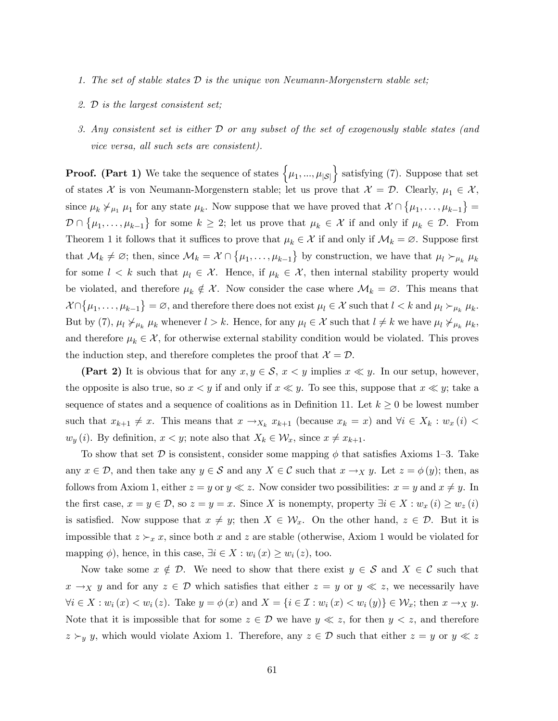- 1. The set of stable states  $\mathcal D$  is the unique von Neumann-Morgenstern stable set;
- 2. D is the largest consistent set;
- 3. Any consistent set is either D or any subset of the set of exogenously stable states (and vice versa, all such sets are consistent).

**Proof.** (Part 1) We take the sequence of states  $\{\mu_1, ..., \mu_{|\mathcal{S}|}\}$  satisfying (7). Suppose that set of states X is von Neumann-Morgenstern stable; let us prove that  $\mathcal{X} = \mathcal{D}$ . Clearly,  $\mu_1 \in \mathcal{X}$ , since  $\mu_k \nsucc_{\mu_1} \mu_1$  for any state  $\mu_k$ . Now suppose that we have proved that  $\mathcal{X} \cap {\mu_1, \ldots, \mu_{k-1}}$  $\mathcal{D} \cap \{\mu_1, \ldots, \mu_{k-1}\}\$ for some  $k \geq 2$ ; let us prove that  $\mu_k \in \mathcal{X}$  if and only if  $\mu_k \in \mathcal{D}$ . From Theorem 1 it follows that it suffices to prove that  $\mu_k \in \mathcal{X}$  if and only if  $\mathcal{M}_k = \emptyset$ . Suppose first that  $\mathcal{M}_k \neq \emptyset$ ; then, since  $\mathcal{M}_k = \mathcal{X} \cap \{\mu_1, \ldots, \mu_{k-1}\}\$  by construction, we have that  $\mu_l \succ_{\mu_k} \mu_k$ for some  $l < k$  such that  $\mu_l \in \mathcal{X}$ . Hence, if  $\mu_k \in \mathcal{X}$ , then internal stability property would be violated, and therefore  $\mu_k \notin \mathcal{X}$ . Now consider the case where  $\mathcal{M}_k = \emptyset$ . This means that  $\mathcal{X} \cap \{\mu_1, \ldots, \mu_{k-1}\} = \emptyset$ , and therefore there does not exist  $\mu_l \in \mathcal{X}$  such that  $l \leq k$  and  $\mu_l \succ_{\mu_k} \mu_k$ . But by (7),  $\mu_l \neq_{\mu_k} \mu_k$  whenever  $l>k$ . Hence, for any  $\mu_l \in \mathcal{X}$  such that  $l \neq k$  we have  $\mu_l \neq_{\mu_k} \mu_k$ , and therefore  $\mu_k \in \mathcal{X}$ , for otherwise external stability condition would be violated. This proves the induction step, and therefore completes the proof that  $\mathcal{X} = \mathcal{D}$ .

(Part 2) It is obvious that for any  $x, y \in S$ ,  $x < y$  implies  $x \ll y$ . In our setup, however, the opposite is also true, so  $x < y$  if and only if  $x \ll y$ . To see this, suppose that  $x \ll y$ ; take a sequence of states and a sequence of coalitions as in Definition 11. Let  $k \geq 0$  be lowest number such that  $x_{k+1} \neq x$ . This means that  $x \to x_k$   $x_{k+1}$  (because  $x_k = x$ ) and  $\forall i \in X_k : w_x(i) <$  $w_y(i)$ . By definition,  $x < y$ ; note also that  $X_k \in \mathcal{W}_x$ , since  $x \neq x_{k+1}$ .

To show that set  $\mathcal D$  is consistent, consider some mapping  $\phi$  that satisfies Axioms 1–3. Take any  $x \in \mathcal{D}$ , and then take any  $y \in \mathcal{S}$  and any  $X \in \mathcal{C}$  such that  $x \to_X y$ . Let  $z = \phi(y)$ ; then, as follows from Axiom 1, either  $z = y$  or  $y \ll z$ . Now consider two possibilities:  $x = y$  and  $x \neq y$ . In the first case,  $x = y \in \mathcal{D}$ , so  $z = y = x$ . Since X is nonempty, property  $\exists i \in X : w_x(i) \ge w_z(i)$ is satisfied. Now suppose that  $x \neq y$ ; then  $X \in \mathcal{W}_x$ . On the other hand,  $z \in \mathcal{D}$ . But it is impossible that  $z \succ_x x$ , since both x and z are stable (otherwise, Axiom 1 would be violated for mapping  $\phi$ ), hence, in this case,  $\exists i \in X : w_i(x) \geq w_i(z)$ , too.

Now take some  $x \notin \mathcal{D}$ . We need to show that there exist  $y \in \mathcal{S}$  and  $X \in \mathcal{C}$  such that  $x \to_X y$  and for any  $z \in \mathcal{D}$  which satisfies that either  $z = y$  or  $y \ll z$ , we necessarily have  $\forall i \in X : w_i(x) < w_i(z)$ . Take  $y = \phi(x)$  and  $X = \{i \in \mathcal{I} : w_i(x) < w_i(y)\} \in \mathcal{W}_x$ ; then  $x \to_X y$ . Note that it is impossible that for some  $z \in \mathcal{D}$  we have  $y \ll z$ , for then  $y < z$ , and therefore  $z \succ_y y$ , which would violate Axiom 1. Therefore, any  $z \in \mathcal{D}$  such that either  $z = y$  or  $y \ll z$